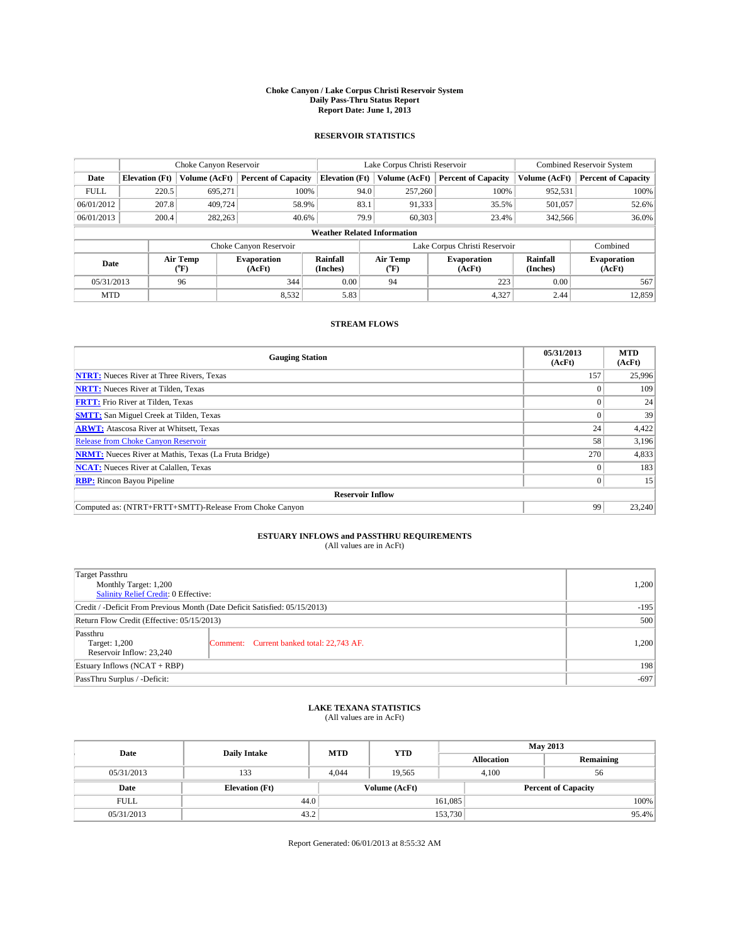#### **Choke Canyon / Lake Corpus Christi Reservoir System Daily Pass-Thru Status Report Report Date: June 1, 2013**

### **RESERVOIR STATISTICS**

|             |                                    | Choke Canyon Reservoir |                              |                       | Lake Corpus Christi Reservoir | <b>Combined Reservoir System</b> |                      |                              |  |
|-------------|------------------------------------|------------------------|------------------------------|-----------------------|-------------------------------|----------------------------------|----------------------|------------------------------|--|
| Date        | <b>Elevation</b> (Ft)              | Volume (AcFt)          | <b>Percent of Capacity</b>   | <b>Elevation (Ft)</b> | Volume (AcFt)                 | <b>Percent of Capacity</b>       | Volume (AcFt)        | <b>Percent of Capacity</b>   |  |
| <b>FULL</b> | 220.5                              | 695,271                | 100%                         | 94.0                  | 257,260                       | 100%                             | 952,531              | 100%                         |  |
| 06/01/2012  | 207.8                              | 409,724                | 58.9%                        | 83.1                  | 91,333                        | 35.5%                            | 501,057              | 52.6%                        |  |
| 06/01/2013  | 200.4                              | 282,263                | 40.6%                        | 79.9                  | 60.303                        | 23.4%                            | 342,566              | 36.0%                        |  |
|             | <b>Weather Related Information</b> |                        |                              |                       |                               |                                  |                      |                              |  |
|             |                                    |                        | Choke Canyon Reservoir       |                       | Lake Corpus Christi Reservoir |                                  | Combined             |                              |  |
| Date        |                                    | Air Temp<br>(°F)       | <b>Evaporation</b><br>(AcFt) | Rainfall<br>(Inches)  | Air Temp<br>(°F)              | <b>Evaporation</b><br>(AcFt)     | Rainfall<br>(Inches) | <b>Evaporation</b><br>(AcFt) |  |
| 05/31/2013  |                                    | 96                     | 344                          | 0.00                  | 94                            | 223                              | 0.00                 | 567                          |  |
| <b>MTD</b>  |                                    |                        | 8,532                        | 5.83                  |                               | 4,327                            | 2.44                 | 12,859                       |  |

### **STREAM FLOWS**

| <b>Gauging Station</b>                                       | 05/31/2013<br>(AcFt) | <b>MTD</b><br>(AcFt) |  |  |  |  |  |
|--------------------------------------------------------------|----------------------|----------------------|--|--|--|--|--|
| <b>NTRT:</b> Nueces River at Three Rivers, Texas             | 157                  | 25,996               |  |  |  |  |  |
| <b>NRTT:</b> Nueces River at Tilden, Texas                   |                      | 109                  |  |  |  |  |  |
| <b>FRTT:</b> Frio River at Tilden, Texas                     |                      | 24                   |  |  |  |  |  |
| <b>SMTT:</b> San Miguel Creek at Tilden, Texas               |                      | 39                   |  |  |  |  |  |
| <b>ARWT:</b> Atascosa River at Whitsett, Texas               | 24                   | 4,422                |  |  |  |  |  |
| <b>Release from Choke Canyon Reservoir</b>                   | 58                   | 3,196                |  |  |  |  |  |
| <b>NRMT:</b> Nueces River at Mathis, Texas (La Fruta Bridge) | 270                  | 4,833                |  |  |  |  |  |
| <b>NCAT:</b> Nueces River at Calallen, Texas                 |                      | 183                  |  |  |  |  |  |
| <b>RBP:</b> Rincon Bayou Pipeline                            | $\Omega$             | 15                   |  |  |  |  |  |
| <b>Reservoir Inflow</b>                                      |                      |                      |  |  |  |  |  |
| Computed as: (NTRT+FRTT+SMTT)-Release From Choke Canyon      | 99                   | 23,240               |  |  |  |  |  |

# **ESTUARY INFLOWS and PASSTHRU REQUIREMENTS**<br>(All values are in AcFt)

| Target Passthru<br>Monthly Target: 1,200<br>Salinity Relief Credit: 0 Effective: |                                           |       |  |  |
|----------------------------------------------------------------------------------|-------------------------------------------|-------|--|--|
|                                                                                  |                                           |       |  |  |
| Credit / -Deficit From Previous Month (Date Deficit Satisfied: 05/15/2013)       |                                           |       |  |  |
| Return Flow Credit (Effective: 05/15/2013)                                       |                                           |       |  |  |
| Passthru<br>Target: 1,200<br>Reservoir Inflow: 23,240                            | Comment: Current banked total: 22,743 AF. | 1,200 |  |  |
| Estuary Inflows $(NCAT + RBP)$                                                   |                                           |       |  |  |
| PassThru Surplus / -Deficit:                                                     | $-697$                                    |       |  |  |

# **LAKE TEXANA STATISTICS** (All values are in AcFt)

| Date        | <b>Daily Intake</b>   | <b>MTD</b> | <b>YTD</b>    | <b>May 2013</b>   |                            |  |  |
|-------------|-----------------------|------------|---------------|-------------------|----------------------------|--|--|
|             |                       |            |               | <b>Allocation</b> | Remaining                  |  |  |
| 05/31/2013  | 133                   | 4.044      | 19.565        | 4.100             | 56                         |  |  |
| Date        | <b>Elevation</b> (Ft) |            | Volume (AcFt) |                   | <b>Percent of Capacity</b> |  |  |
| <b>FULL</b> | 44.0                  |            |               | 161,085           | 100%                       |  |  |
| 05/31/2013  | 43.2                  |            |               | 153,730           | 95.4%                      |  |  |

Report Generated: 06/01/2013 at 8:55:32 AM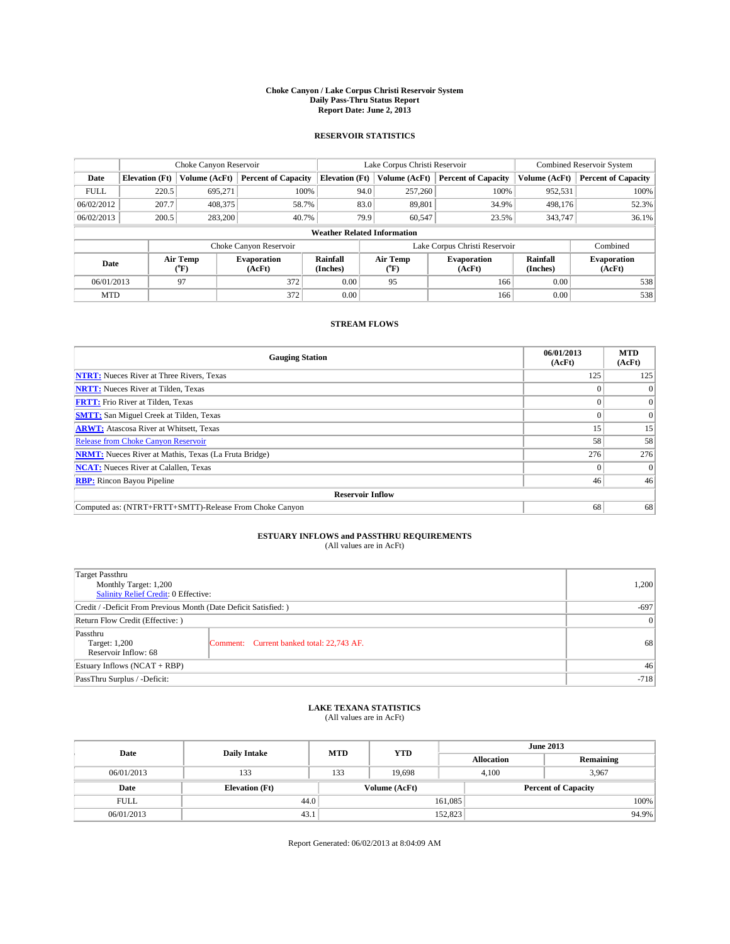#### **Choke Canyon / Lake Corpus Christi Reservoir System Daily Pass-Thru Status Report Report Date: June 2, 2013**

### **RESERVOIR STATISTICS**

|             |                       | Choke Canyon Reservoir |                            |                                    | Lake Corpus Christi Reservoir | <b>Combined Reservoir System</b> |                      |                              |
|-------------|-----------------------|------------------------|----------------------------|------------------------------------|-------------------------------|----------------------------------|----------------------|------------------------------|
| Date        | <b>Elevation</b> (Ft) | Volume (AcFt)          | <b>Percent of Capacity</b> | <b>Elevation (Ft)</b>              | Volume (AcFt)                 | <b>Percent of Capacity</b>       | Volume (AcFt)        | Percent of Capacity          |
| <b>FULL</b> | 220.5                 | 695,271                | 100%                       | 94.0                               | 257,260                       | 100%                             | 952,531              | 100%                         |
| 06/02/2012  | 207.7                 | 408,375                | 58.7%                      | 83.0                               | 89,801                        | 34.9%                            | 498,176              | 52.3%                        |
| 06/02/2013  | 200.5                 | 283,200                | 40.7%                      | 79.9                               | 60.547                        | 23.5%                            | 343,747              | $36.1\%$                     |
|             |                       |                        |                            | <b>Weather Related Information</b> |                               |                                  |                      |                              |
|             |                       |                        | Choke Canyon Reservoir     |                                    | Lake Corpus Christi Reservoir |                                  | Combined             |                              |
| Date        |                       | Air Temp<br>(°F)       | Evaporation<br>(AcFt)      | Rainfall<br>(Inches)               | Air Temp<br>("F)              | <b>Evaporation</b><br>(AcFt)     | Rainfall<br>(Inches) | <b>Evaporation</b><br>(AcFt) |
| 06/01/2013  |                       | 97                     | 372                        | 0.00                               | 95                            | 166                              | 0.00                 | 538                          |
| <b>MTD</b>  |                       |                        | 372                        | 0.00                               |                               | 166                              | 0.00                 | 538                          |

### **STREAM FLOWS**

| <b>Gauging Station</b>                                       | 06/01/2013<br>(AcFt) | <b>MTD</b><br>(AcFt) |  |  |  |  |  |
|--------------------------------------------------------------|----------------------|----------------------|--|--|--|--|--|
| <b>NTRT:</b> Nueces River at Three Rivers, Texas             | 125                  | 125                  |  |  |  |  |  |
| <b>NRTT:</b> Nueces River at Tilden, Texas                   |                      |                      |  |  |  |  |  |
| <b>FRTT:</b> Frio River at Tilden, Texas                     |                      | $\overline{0}$       |  |  |  |  |  |
| <b>SMTT:</b> San Miguel Creek at Tilden, Texas               |                      | $\Omega$             |  |  |  |  |  |
| <b>ARWT:</b> Atascosa River at Whitsett, Texas               | 15                   | 15                   |  |  |  |  |  |
| <b>Release from Choke Canyon Reservoir</b>                   | 58                   | 58                   |  |  |  |  |  |
| <b>NRMT:</b> Nueces River at Mathis, Texas (La Fruta Bridge) | 276                  | 276                  |  |  |  |  |  |
| <b>NCAT:</b> Nueces River at Calallen, Texas                 |                      | $\Omega$             |  |  |  |  |  |
| <b>RBP:</b> Rincon Bayou Pipeline                            | 46                   | 46                   |  |  |  |  |  |
| <b>Reservoir Inflow</b>                                      |                      |                      |  |  |  |  |  |
| Computed as: (NTRT+FRTT+SMTT)-Release From Choke Canyon      | 68                   | 68                   |  |  |  |  |  |

# **ESTUARY INFLOWS and PASSTHRU REQUIREMENTS**<br>(All values are in AcFt)

| <b>Target Passthru</b><br>Monthly Target: 1,200<br>Salinity Relief Credit: 0 Effective: |                                           |    |  |  |
|-----------------------------------------------------------------------------------------|-------------------------------------------|----|--|--|
| Credit / -Deficit From Previous Month (Date Deficit Satisfied: )                        |                                           |    |  |  |
| Return Flow Credit (Effective: )                                                        |                                           |    |  |  |
| Passthru<br>Target: 1,200<br>Reservoir Inflow: 68                                       | Comment: Current banked total: 22,743 AF. | 68 |  |  |
| Estuary Inflows (NCAT + RBP)                                                            |                                           |    |  |  |
| PassThru Surplus / -Deficit:                                                            | $-718$                                    |    |  |  |

## **LAKE TEXANA STATISTICS** (All values are in AcFt)

| Date        | <b>Daily Intake</b>   | <b>MTD</b> | <b>YTD</b>    | <b>June 2013</b>  |                            |           |  |
|-------------|-----------------------|------------|---------------|-------------------|----------------------------|-----------|--|
|             |                       |            |               | <b>Allocation</b> |                            | Remaining |  |
| 06/01/2013  | 133                   | 133        | 19.698        |                   | 3,967<br>4.100             |           |  |
| Date        | <b>Elevation</b> (Ft) |            | Volume (AcFt) |                   | <b>Percent of Capacity</b> |           |  |
| <b>FULL</b> | 44.0                  |            |               | 161,085           |                            | 100%      |  |
| 06/01/2013  | 43.1                  |            |               | 152,823           |                            | 94.9%     |  |

Report Generated: 06/02/2013 at 8:04:09 AM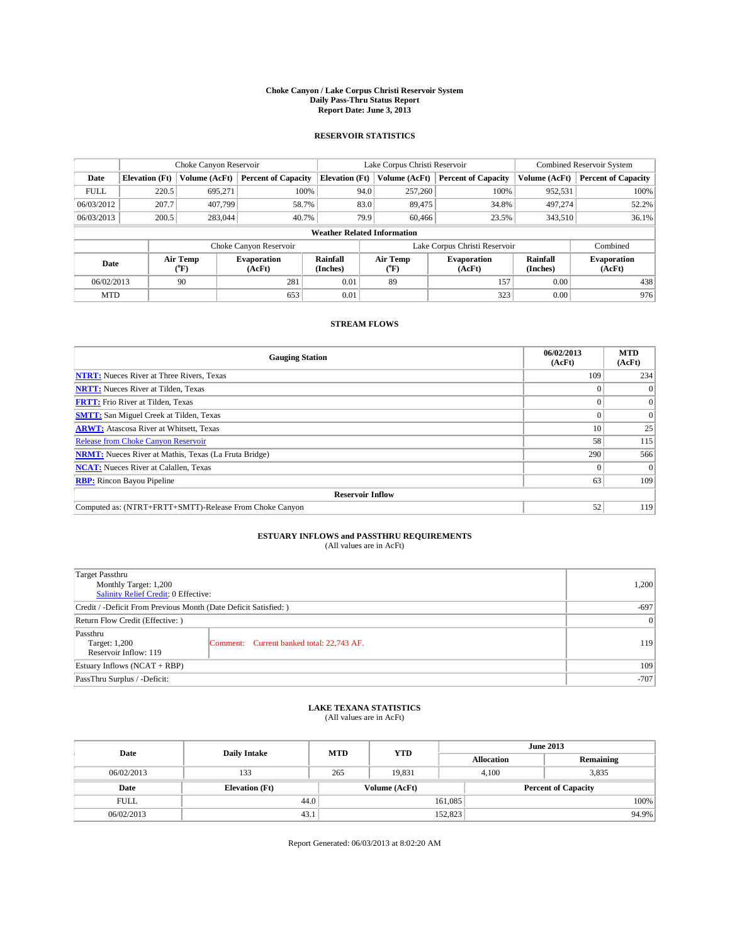#### **Choke Canyon / Lake Corpus Christi Reservoir System Daily Pass-Thru Status Report Report Date: June 3, 2013**

### **RESERVOIR STATISTICS**

|             |                       | Choke Canyon Reservoir |                              |                                    | Lake Corpus Christi Reservoir | <b>Combined Reservoir System</b> |                      |                              |
|-------------|-----------------------|------------------------|------------------------------|------------------------------------|-------------------------------|----------------------------------|----------------------|------------------------------|
| Date        | <b>Elevation</b> (Ft) | Volume (AcFt)          | <b>Percent of Capacity</b>   | <b>Elevation (Ft)</b>              | Volume (AcFt)                 | <b>Percent of Capacity</b>       | Volume (AcFt)        | Percent of Capacity          |
| <b>FULL</b> | 220.5                 | 695,271                | 100%                         | 94.0                               | 257,260                       | 100%                             | 952,531              | 100%                         |
| 06/03/2012  | 207.7                 | 407.799                | 58.7%                        | 83.0                               | 89,475                        | 34.8%                            | 497.274              | 52.2%                        |
| 06/03/2013  | 200.5                 | 283,044                | 40.7%                        | 79.9                               | 60,466                        | 23.5%                            | 343.510              | $36.1\%$                     |
|             |                       |                        |                              | <b>Weather Related Information</b> |                               |                                  |                      |                              |
|             |                       |                        | Choke Canyon Reservoir       |                                    | Lake Corpus Christi Reservoir |                                  | Combined             |                              |
| Date        |                       | Air Temp<br>(°F)       | <b>Evaporation</b><br>(AcFt) | Rainfall<br>(Inches)               | Air Temp<br>("F)              | <b>Evaporation</b><br>(AcFt)     | Rainfall<br>(Inches) | <b>Evaporation</b><br>(AcFt) |
| 06/02/2013  |                       | 90                     | 281                          | 0.01                               | 89                            | 157                              | 0.00                 | 438                          |
| <b>MTD</b>  |                       |                        | 653                          | 0.01                               |                               | 323                              | 0.00                 | 976                          |

### **STREAM FLOWS**

| <b>Gauging Station</b>                                       | 06/02/2013<br>(AcFt) | <b>MTD</b><br>(AcFt) |  |  |  |  |
|--------------------------------------------------------------|----------------------|----------------------|--|--|--|--|
| <b>NTRT:</b> Nueces River at Three Rivers, Texas             | 109                  | 234                  |  |  |  |  |
| <b>NRTT:</b> Nueces River at Tilden, Texas                   |                      | $\theta$             |  |  |  |  |
| <b>FRTT:</b> Frio River at Tilden, Texas                     |                      | $\overline{0}$       |  |  |  |  |
| <b>SMTT:</b> San Miguel Creek at Tilden, Texas               |                      | $\Omega$             |  |  |  |  |
| <b>ARWT:</b> Atascosa River at Whitsett, Texas               | 10                   | 25                   |  |  |  |  |
| <b>Release from Choke Canyon Reservoir</b>                   | 58                   | 115                  |  |  |  |  |
| <b>NRMT:</b> Nueces River at Mathis, Texas (La Fruta Bridge) | 290                  | 566                  |  |  |  |  |
| <b>NCAT:</b> Nueces River at Calallen, Texas                 |                      | $\Omega$             |  |  |  |  |
| <b>RBP:</b> Rincon Bayou Pipeline                            | 63                   | 109                  |  |  |  |  |
| <b>Reservoir Inflow</b>                                      |                      |                      |  |  |  |  |
| Computed as: (NTRT+FRTT+SMTT)-Release From Choke Canyon      | 52                   | 119                  |  |  |  |  |

# **ESTUARY INFLOWS and PASSTHRU REQUIREMENTS**<br>(All values are in AcFt)

| <b>Target Passthru</b><br>Monthly Target: 1,200<br>Salinity Relief Credit: 0 Effective: |                                           |     |  |  |
|-----------------------------------------------------------------------------------------|-------------------------------------------|-----|--|--|
| Credit / -Deficit From Previous Month (Date Deficit Satisfied: )                        |                                           |     |  |  |
| Return Flow Credit (Effective: )                                                        |                                           |     |  |  |
| Passthru<br>Target: 1,200<br>Reservoir Inflow: 119                                      | Comment: Current banked total: 22,743 AF. | 119 |  |  |
| Estuary Inflows $(NCAT + RBP)$                                                          | 109                                       |     |  |  |
| PassThru Surplus / -Deficit:                                                            | $-707$                                    |     |  |  |

# **LAKE TEXANA STATISTICS** (All values are in AcFt)

| Date        | <b>Daily Intake</b>   | <b>MTD</b> | <b>YTD</b>    | <b>June 2013</b>  |                            |           |       |
|-------------|-----------------------|------------|---------------|-------------------|----------------------------|-----------|-------|
|             |                       |            |               | <b>Allocation</b> |                            | Remaining |       |
| 06/02/2013  | 133                   | 265        | 19.831        | 4.100             |                            | 3,835     |       |
| Date        | <b>Elevation (Ft)</b> |            | Volume (AcFt) |                   | <b>Percent of Capacity</b> |           |       |
| <b>FULL</b> | 44.0                  |            | 161,085       |                   |                            |           | 100%  |
| 06/02/2013  | 43.1                  |            |               | 152,823           |                            |           | 94.9% |

Report Generated: 06/03/2013 at 8:02:20 AM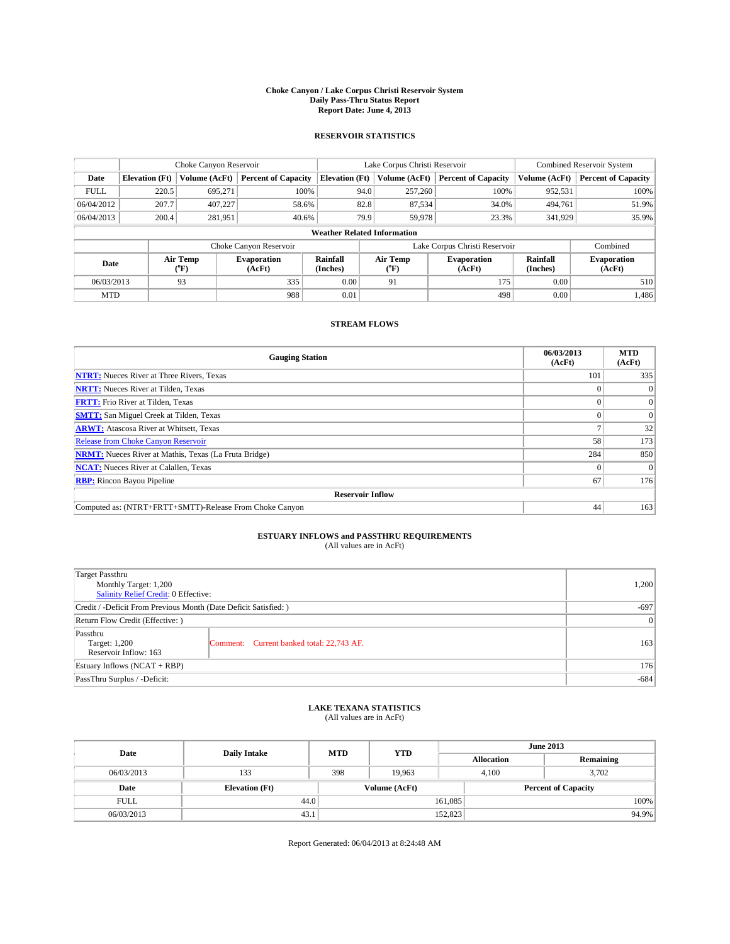#### **Choke Canyon / Lake Corpus Christi Reservoir System Daily Pass-Thru Status Report Report Date: June 4, 2013**

### **RESERVOIR STATISTICS**

|             |                                    | Choke Canyon Reservoir |                              |                       | Lake Corpus Christi Reservoir | Combined Reservoir System    |                      |                              |  |  |
|-------------|------------------------------------|------------------------|------------------------------|-----------------------|-------------------------------|------------------------------|----------------------|------------------------------|--|--|
| Date        | <b>Elevation</b> (Ft)              | Volume (AcFt)          | <b>Percent of Capacity</b>   | <b>Elevation (Ft)</b> | Volume (AcFt)                 | <b>Percent of Capacity</b>   | Volume (AcFt)        | <b>Percent of Capacity</b>   |  |  |
| <b>FULL</b> | 220.5                              | 695,271                | 100%                         | 94.0                  | 257,260                       | 100%                         | 952,531              | 100%                         |  |  |
| 06/04/2012  | 207.7                              | 407,227                | 58.6%                        | 82.8                  | 87,534                        | 34.0%                        | 494,761              | 51.9%                        |  |  |
| 06/04/2013  | 200.4                              | 281,951                | 40.6%                        | 79.9                  | 59,978                        | 23.3%                        | 341,929              | 35.9%                        |  |  |
|             | <b>Weather Related Information</b> |                        |                              |                       |                               |                              |                      |                              |  |  |
|             |                                    |                        | Choke Canyon Reservoir       |                       | Lake Corpus Christi Reservoir |                              | Combined             |                              |  |  |
| Date        |                                    | Air Temp<br>(°F)       | <b>Evaporation</b><br>(AcFt) | Rainfall<br>(Inches)  | Air Temp<br>(°F)              | <b>Evaporation</b><br>(AcFt) | Rainfall<br>(Inches) | <b>Evaporation</b><br>(AcFt) |  |  |
| 06/03/2013  |                                    | 93                     | 335                          | 0.00                  | 91                            | 175                          |                      | 510                          |  |  |
| <b>MTD</b>  |                                    |                        | 988                          | 0.01                  |                               | 498                          | 0.00                 | 1,486                        |  |  |

### **STREAM FLOWS**

| <b>Gauging Station</b>                                       | 06/03/2013<br>(AcFt) | <b>MTD</b><br>(AcFt) |  |  |  |  |  |
|--------------------------------------------------------------|----------------------|----------------------|--|--|--|--|--|
| <b>NTRT:</b> Nueces River at Three Rivers, Texas             | 101                  | 335                  |  |  |  |  |  |
| <b>NRTT:</b> Nueces River at Tilden, Texas                   |                      | $\theta$             |  |  |  |  |  |
| <b>FRTT:</b> Frio River at Tilden, Texas                     |                      | $\overline{0}$       |  |  |  |  |  |
| <b>SMTT:</b> San Miguel Creek at Tilden, Texas               |                      | $\Omega$             |  |  |  |  |  |
| <b>ARWT:</b> Atascosa River at Whitsett, Texas               |                      | 32                   |  |  |  |  |  |
| Release from Choke Canyon Reservoir                          | 58                   | 173                  |  |  |  |  |  |
| <b>NRMT:</b> Nueces River at Mathis, Texas (La Fruta Bridge) | 284                  | 850                  |  |  |  |  |  |
| <b>NCAT:</b> Nueces River at Calallen, Texas                 |                      | $\Omega$             |  |  |  |  |  |
| <b>RBP:</b> Rincon Bayou Pipeline                            | 67                   | 176                  |  |  |  |  |  |
| <b>Reservoir Inflow</b>                                      |                      |                      |  |  |  |  |  |
| Computed as: (NTRT+FRTT+SMTT)-Release From Choke Canyon      | 44                   | 163                  |  |  |  |  |  |

# **ESTUARY INFLOWS and PASSTHRU REQUIREMENTS**<br>(All values are in AcFt)

| <b>Target Passthru</b><br>Monthly Target: 1,200                  |                                           | 1,200 |  |  |
|------------------------------------------------------------------|-------------------------------------------|-------|--|--|
| Salinity Relief Credit: 0 Effective:                             |                                           |       |  |  |
| Credit / -Deficit From Previous Month (Date Deficit Satisfied: ) |                                           |       |  |  |
| Return Flow Credit (Effective: )                                 | 0                                         |       |  |  |
| Passthru<br>Target: 1,200<br>Reservoir Inflow: 163               | Comment: Current banked total: 22,743 AF. | 163   |  |  |
| Estuary Inflows $(NCAT + RBP)$                                   |                                           |       |  |  |
| PassThru Surplus / -Deficit:                                     | $-684$                                    |       |  |  |

# **LAKE TEXANA STATISTICS** (All values are in AcFt)

| Date        | <b>Daily Intake</b>   | <b>MTD</b> | <b>YTD</b>    | <b>June 2013</b>  |                            |           |  |
|-------------|-----------------------|------------|---------------|-------------------|----------------------------|-----------|--|
|             |                       |            |               | <b>Allocation</b> |                            | Remaining |  |
| 06/03/2013  | 133                   | 398        | 19.963        |                   | 3.702<br>4.100             |           |  |
| Date        | <b>Elevation</b> (Ft) |            | Volume (AcFt) |                   | <b>Percent of Capacity</b> |           |  |
| <b>FULL</b> | 44.0                  |            |               | 161,085           |                            | 100%      |  |
| 06/03/2013  | 43.1                  |            |               | 152,823           |                            | 94.9%     |  |

Report Generated: 06/04/2013 at 8:24:48 AM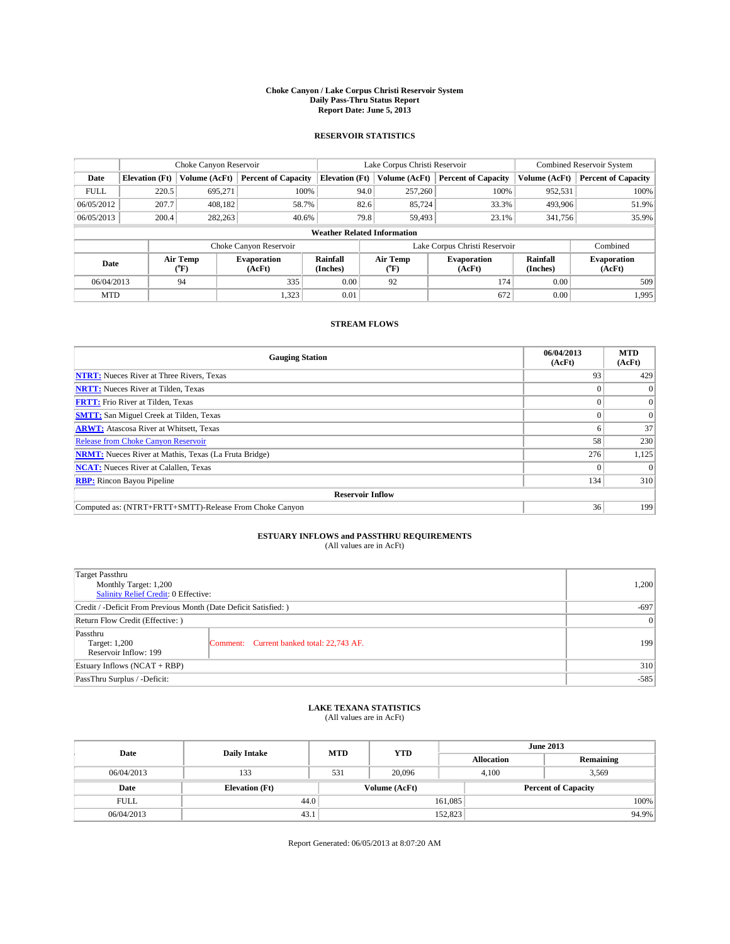#### **Choke Canyon / Lake Corpus Christi Reservoir System Daily Pass-Thru Status Report Report Date: June 5, 2013**

### **RESERVOIR STATISTICS**

|             |                                    | Choke Canyon Reservoir |                              |                       | Lake Corpus Christi Reservoir | Combined Reservoir System    |                      |                              |  |  |
|-------------|------------------------------------|------------------------|------------------------------|-----------------------|-------------------------------|------------------------------|----------------------|------------------------------|--|--|
| Date        | <b>Elevation</b> (Ft)              | Volume (AcFt)          | <b>Percent of Capacity</b>   | <b>Elevation (Ft)</b> | Volume (AcFt)                 | <b>Percent of Capacity</b>   | Volume (AcFt)        | <b>Percent of Capacity</b>   |  |  |
| <b>FULL</b> | 220.5                              | 695,271                | 100%                         | 94.0                  | 257,260                       | 100%                         | 952,531              | 100%                         |  |  |
| 06/05/2012  | 207.7                              | 408,182                | 58.7%                        | 82.6                  | 85,724                        | 33.3%                        | 493,906              | 51.9%                        |  |  |
| 06/05/2013  | 200.4                              | 282,263                | 40.6%                        | 79.8                  | 59,493                        | 23.1%                        | 341,756              | 35.9%                        |  |  |
|             | <b>Weather Related Information</b> |                        |                              |                       |                               |                              |                      |                              |  |  |
|             |                                    |                        | Choke Canyon Reservoir       |                       | Lake Corpus Christi Reservoir |                              | Combined             |                              |  |  |
| Date        |                                    | Air Temp<br>(°F)       | <b>Evaporation</b><br>(AcFt) | Rainfall<br>(Inches)  | Air Temp<br>(°F)              | <b>Evaporation</b><br>(AcFt) | Rainfall<br>(Inches) | <b>Evaporation</b><br>(AcFt) |  |  |
| 06/04/2013  |                                    | 94                     | 335                          | 0.00                  | 92                            | 174                          | 0.00                 | 509                          |  |  |
| <b>MTD</b>  |                                    |                        | 1,323                        | 0.01                  |                               | 672                          | 0.00                 | 1,995                        |  |  |

### **STREAM FLOWS**

| <b>Gauging Station</b>                                       | 06/04/2013<br>(AcFt) | <b>MTD</b><br>(AcFt) |  |  |  |  |  |
|--------------------------------------------------------------|----------------------|----------------------|--|--|--|--|--|
| <b>NTRT:</b> Nueces River at Three Rivers, Texas             | 93                   | 429                  |  |  |  |  |  |
| <b>NRTT:</b> Nueces River at Tilden, Texas                   |                      | $\Omega$             |  |  |  |  |  |
| <b>FRTT:</b> Frio River at Tilden, Texas                     |                      | $\mathbf{0}$         |  |  |  |  |  |
| <b>SMTT:</b> San Miguel Creek at Tilden, Texas               |                      | $\Omega$             |  |  |  |  |  |
| <b>ARWT:</b> Atascosa River at Whitsett, Texas               |                      | 37                   |  |  |  |  |  |
| <b>Release from Choke Canyon Reservoir</b>                   | 58                   | 230                  |  |  |  |  |  |
| <b>NRMT:</b> Nueces River at Mathis, Texas (La Fruta Bridge) | 276                  | 1,125                |  |  |  |  |  |
| <b>NCAT:</b> Nueces River at Calallen, Texas                 |                      | $\Omega$             |  |  |  |  |  |
| <b>RBP:</b> Rincon Bayou Pipeline                            | 134                  | 310                  |  |  |  |  |  |
| <b>Reservoir Inflow</b>                                      |                      |                      |  |  |  |  |  |
| Computed as: (NTRT+FRTT+SMTT)-Release From Choke Canyon      | 36                   | 199                  |  |  |  |  |  |

# **ESTUARY INFLOWS and PASSTHRU REQUIREMENTS**<br>(All values are in AcFt)

| <b>Target Passthru</b><br>Monthly Target: 1,200<br>Salinity Relief Credit: 0 Effective: |                                           | 1,200 |  |  |
|-----------------------------------------------------------------------------------------|-------------------------------------------|-------|--|--|
| Credit / -Deficit From Previous Month (Date Deficit Satisfied: )                        |                                           |       |  |  |
| Return Flow Credit (Effective: )                                                        | 0                                         |       |  |  |
| Passthru<br>Target: 1,200<br>Reservoir Inflow: 199                                      | Comment: Current banked total: 22,743 AF. | 199   |  |  |
| Estuary Inflows $(NCAT + RBP)$                                                          |                                           |       |  |  |
| PassThru Surplus / -Deficit:                                                            | $-585$                                    |       |  |  |

## **LAKE TEXANA STATISTICS** (All values are in AcFt)

| Date        | <b>Daily Intake</b>   | <b>MTD</b> | <b>YTD</b>    | <b>June 2013</b>  |                            |           |       |
|-------------|-----------------------|------------|---------------|-------------------|----------------------------|-----------|-------|
|             |                       |            |               | <b>Allocation</b> |                            | Remaining |       |
| 06/04/2013  | 133                   | 531        | 20,096        | 4.100             |                            | 3.569     |       |
| Date        | <b>Elevation (Ft)</b> |            | Volume (AcFt) |                   | <b>Percent of Capacity</b> |           |       |
| <b>FULL</b> | 44.0                  |            |               | 161,085           |                            |           | 100%  |
| 06/04/2013  | 43.1                  |            |               | 152,823           |                            |           | 94.9% |

Report Generated: 06/05/2013 at 8:07:20 AM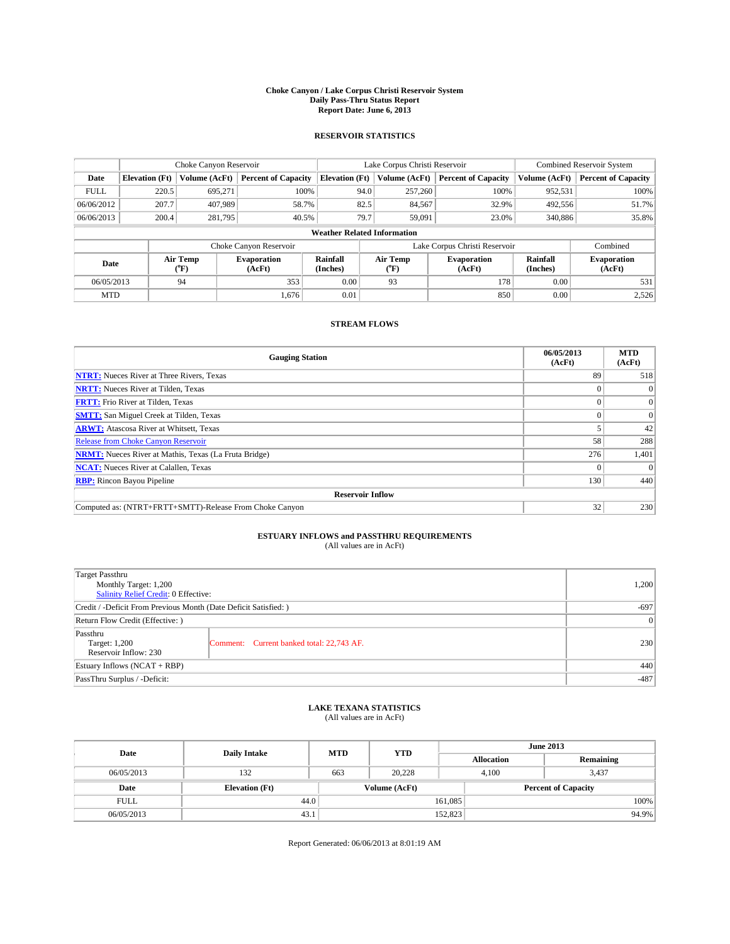#### **Choke Canyon / Lake Corpus Christi Reservoir System Daily Pass-Thru Status Report Report Date: June 6, 2013**

### **RESERVOIR STATISTICS**

|             |                                    | Choke Canyon Reservoir |                              |                       | Lake Corpus Christi Reservoir | Combined Reservoir System    |                      |                              |  |  |
|-------------|------------------------------------|------------------------|------------------------------|-----------------------|-------------------------------|------------------------------|----------------------|------------------------------|--|--|
| Date        | <b>Elevation</b> (Ft)              | Volume (AcFt)          | <b>Percent of Capacity</b>   | <b>Elevation (Ft)</b> | Volume (AcFt)                 | <b>Percent of Capacity</b>   | Volume (AcFt)        | <b>Percent of Capacity</b>   |  |  |
| <b>FULL</b> | 220.5                              | 695,271                | 100%                         | 94.0                  | 257,260                       | 100%                         | 952,531              | 100%                         |  |  |
| 06/06/2012  | 207.7                              | 407,989                | 58.7%                        | 82.5                  | 84,567                        | 32.9%                        | 492,556              | 51.7%                        |  |  |
| 06/06/2013  | 200.4                              | 281,795                | 40.5%                        | 79.7                  | 59,091                        | 23.0%                        | 340,886              | 35.8%                        |  |  |
|             | <b>Weather Related Information</b> |                        |                              |                       |                               |                              |                      |                              |  |  |
|             |                                    |                        | Choke Canyon Reservoir       |                       | Lake Corpus Christi Reservoir |                              | Combined             |                              |  |  |
| Date        |                                    | Air Temp<br>(°F)       | <b>Evaporation</b><br>(AcFt) | Rainfall<br>(Inches)  | Air Temp<br>$(^{0}F)$         | <b>Evaporation</b><br>(AcFt) | Rainfall<br>(Inches) | <b>Evaporation</b><br>(AcFt) |  |  |
| 06/05/2013  |                                    | 94                     | 353                          | 0.00                  | 93                            | 178                          | 0.00                 | 531                          |  |  |
| <b>MTD</b>  |                                    |                        | 1.676                        | 0.01                  |                               | 850                          | 0.00                 | 2,526                        |  |  |

### **STREAM FLOWS**

| <b>Gauging Station</b>                                       | 06/05/2013<br>(AcFt) | <b>MTD</b><br>(AcFt) |
|--------------------------------------------------------------|----------------------|----------------------|
| <b>NTRT:</b> Nueces River at Three Rivers, Texas             | 89                   | 518                  |
| <b>NRTT:</b> Nueces River at Tilden, Texas                   |                      | $\theta$             |
| <b>FRTT:</b> Frio River at Tilden, Texas                     |                      | $\overline{0}$       |
| <b>SMTT:</b> San Miguel Creek at Tilden, Texas               |                      | $\Omega$             |
| <b>ARWT:</b> Atascosa River at Whitsett, Texas               |                      | 42                   |
| <b>Release from Choke Canyon Reservoir</b>                   | 58                   | 288                  |
| <b>NRMT:</b> Nueces River at Mathis, Texas (La Fruta Bridge) | 276                  | 1,401                |
| <b>NCAT:</b> Nueces River at Calallen, Texas                 |                      | $\Omega$             |
| <b>RBP:</b> Rincon Bayou Pipeline                            | 130                  | 440                  |
| <b>Reservoir Inflow</b>                                      |                      |                      |
| Computed as: (NTRT+FRTT+SMTT)-Release From Choke Canyon      | 32                   | 230                  |

# **ESTUARY INFLOWS and PASSTHRU REQUIREMENTS**<br>(All values are in AcFt)

| <b>Target Passthru</b><br>Monthly Target: 1,200                  |                                           | 1,200 |  |  |
|------------------------------------------------------------------|-------------------------------------------|-------|--|--|
| Salinity Relief Credit: 0 Effective:                             |                                           |       |  |  |
| Credit / -Deficit From Previous Month (Date Deficit Satisfied: ) |                                           |       |  |  |
| Return Flow Credit (Effective: )                                 |                                           |       |  |  |
| Passthru<br>Target: 1,200<br>Reservoir Inflow: 230               | Comment: Current banked total: 22,743 AF. | 230   |  |  |
| Estuary Inflows $(NCAT + RBP)$                                   |                                           |       |  |  |
| PassThru Surplus / -Deficit:                                     |                                           |       |  |  |

## **LAKE TEXANA STATISTICS** (All values are in AcFt)

| Date        | <b>Daily Intake</b>   | <b>MTD</b> | <b>YTD</b>    | <b>June 2013</b>  |                            |           |       |
|-------------|-----------------------|------------|---------------|-------------------|----------------------------|-----------|-------|
|             |                       |            |               | <b>Allocation</b> |                            | Remaining |       |
| 06/05/2013  | 132                   | 663        | 20.228        |                   | 3.437<br>4.100             |           |       |
| Date        | <b>Elevation (Ft)</b> |            | Volume (AcFt) |                   | <b>Percent of Capacity</b> |           |       |
| <b>FULL</b> | 44.0                  |            |               | 161,085           |                            |           | 100%  |
| 06/05/2013  | 43.1                  |            |               | 152,823           |                            |           | 94.9% |

Report Generated: 06/06/2013 at 8:01:19 AM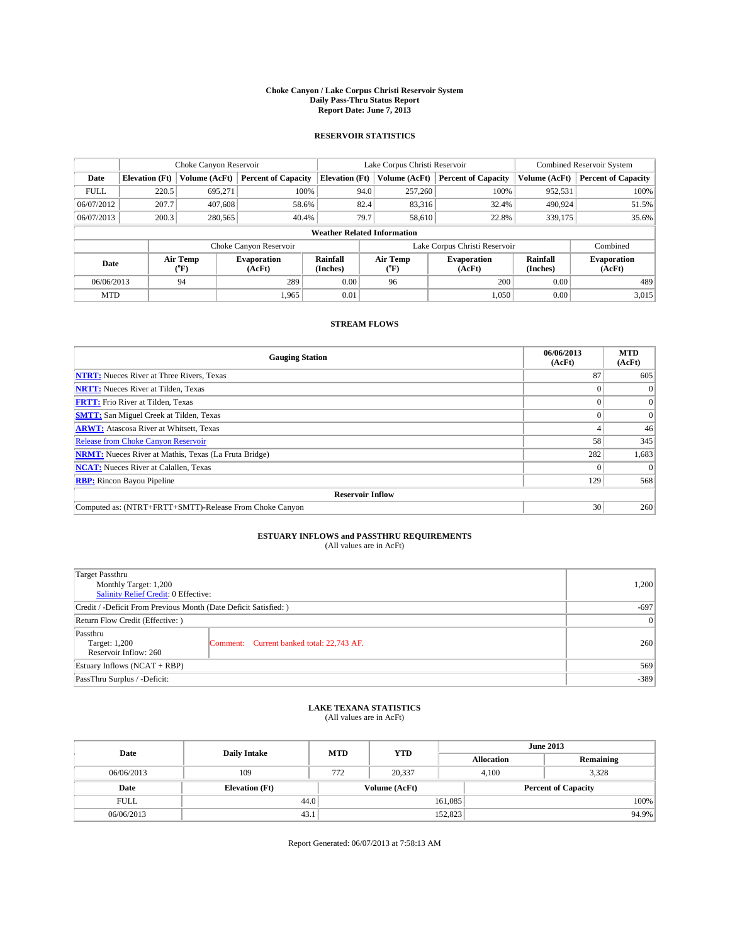#### **Choke Canyon / Lake Corpus Christi Reservoir System Daily Pass-Thru Status Report Report Date: June 7, 2013**

### **RESERVOIR STATISTICS**

|             |                                    | Choke Canyon Reservoir |                              |                       | Lake Corpus Christi Reservoir | Combined Reservoir System     |                      |                              |  |  |
|-------------|------------------------------------|------------------------|------------------------------|-----------------------|-------------------------------|-------------------------------|----------------------|------------------------------|--|--|
| Date        | <b>Elevation</b> (Ft)              | Volume (AcFt)          | <b>Percent of Capacity</b>   | <b>Elevation (Ft)</b> | Volume (AcFt)                 | <b>Percent of Capacity</b>    | Volume (AcFt)        | <b>Percent of Capacity</b>   |  |  |
| <b>FULL</b> | 220.5                              | 695,271                | 100%                         | 94.0                  | 257,260                       | 100%                          | 952,531              | 100%                         |  |  |
| 06/07/2012  | 207.7                              | 407.608                | 58.6%                        | 82.4                  | 83,316                        | 32.4%                         | 490,924              | 51.5%                        |  |  |
| 06/07/2013  | 200.3                              | 280,565                | 40.4%                        | 79.7                  | 58,610                        | 22.8%                         | 339,175              | 35.6%                        |  |  |
|             | <b>Weather Related Information</b> |                        |                              |                       |                               |                               |                      |                              |  |  |
|             |                                    |                        | Choke Canyon Reservoir       |                       |                               | Lake Corpus Christi Reservoir |                      | Combined                     |  |  |
| Date        |                                    | Air Temp<br>(°F)       | <b>Evaporation</b><br>(AcFt) | Rainfall<br>(Inches)  | Air Temp<br>(°F)              | <b>Evaporation</b><br>(AcFt)  | Rainfall<br>(Inches) | <b>Evaporation</b><br>(AcFt) |  |  |
| 06/06/2013  |                                    | 94                     | 289                          | 0.00                  | 96                            | 200                           | 0.00                 | 489                          |  |  |
| <b>MTD</b>  |                                    |                        | 1.965                        | 0.01                  |                               | 1,050                         | 0.00                 | 3,015                        |  |  |

### **STREAM FLOWS**

| <b>Gauging Station</b>                                       | 06/06/2013<br>(AcFt) | <b>MTD</b><br>(AcFt) |  |  |  |  |  |
|--------------------------------------------------------------|----------------------|----------------------|--|--|--|--|--|
| <b>NTRT:</b> Nueces River at Three Rivers, Texas             | 87                   | 605                  |  |  |  |  |  |
| <b>NRTT:</b> Nueces River at Tilden, Texas                   |                      |                      |  |  |  |  |  |
| <b>FRTT:</b> Frio River at Tilden, Texas                     |                      | $\overline{0}$       |  |  |  |  |  |
| <b>SMTT:</b> San Miguel Creek at Tilden, Texas               |                      | $\overline{0}$       |  |  |  |  |  |
| <b>ARWT:</b> Atascosa River at Whitsett, Texas               |                      | 46                   |  |  |  |  |  |
| Release from Choke Canyon Reservoir                          | 58                   | 345                  |  |  |  |  |  |
| <b>NRMT:</b> Nueces River at Mathis, Texas (La Fruta Bridge) | 282                  | 1,683                |  |  |  |  |  |
| <b>NCAT:</b> Nueces River at Calallen, Texas                 |                      | $\Omega$             |  |  |  |  |  |
| <b>RBP:</b> Rincon Bayou Pipeline                            | 129                  | 568                  |  |  |  |  |  |
| <b>Reservoir Inflow</b>                                      |                      |                      |  |  |  |  |  |
| Computed as: (NTRT+FRTT+SMTT)-Release From Choke Canyon      | 30                   | 260                  |  |  |  |  |  |

# **ESTUARY INFLOWS and PASSTHRU REQUIREMENTS**<br>(All values are in AcFt)

| Target Passthru<br>Monthly Target: 1,200                         | 1,200                                     |     |  |  |
|------------------------------------------------------------------|-------------------------------------------|-----|--|--|
| Salinity Relief Credit: 0 Effective:                             |                                           |     |  |  |
| Credit / -Deficit From Previous Month (Date Deficit Satisfied: ) | $-697$                                    |     |  |  |
| Return Flow Credit (Effective: )                                 | 0                                         |     |  |  |
| Passthru<br>Target: 1,200<br>Reservoir Inflow: 260               | Comment: Current banked total: 22,743 AF. | 260 |  |  |
| Estuary Inflows $(NCAT + RBP)$                                   | 569                                       |     |  |  |
| PassThru Surplus / -Deficit:                                     | $-389$                                    |     |  |  |

# **LAKE TEXANA STATISTICS** (All values are in AcFt)

| Date        | <b>Daily Intake</b>   | <b>MTD</b> | <b>YTD</b>    | <b>June 2013</b>  |                            |           |  |
|-------------|-----------------------|------------|---------------|-------------------|----------------------------|-----------|--|
|             |                       |            |               | <b>Allocation</b> |                            | Remaining |  |
| 06/06/2013  | 109                   | 772        | 20,337        |                   | 3,328<br>4,100             |           |  |
| Date        | <b>Elevation</b> (Ft) |            | Volume (AcFt) |                   | <b>Percent of Capacity</b> |           |  |
| <b>FULL</b> |                       | 44.0       |               | 161,085           |                            | 100%      |  |
| 06/06/2013  | 43.1                  |            |               | 152,823           |                            | 94.9%     |  |

Report Generated: 06/07/2013 at 7:58:13 AM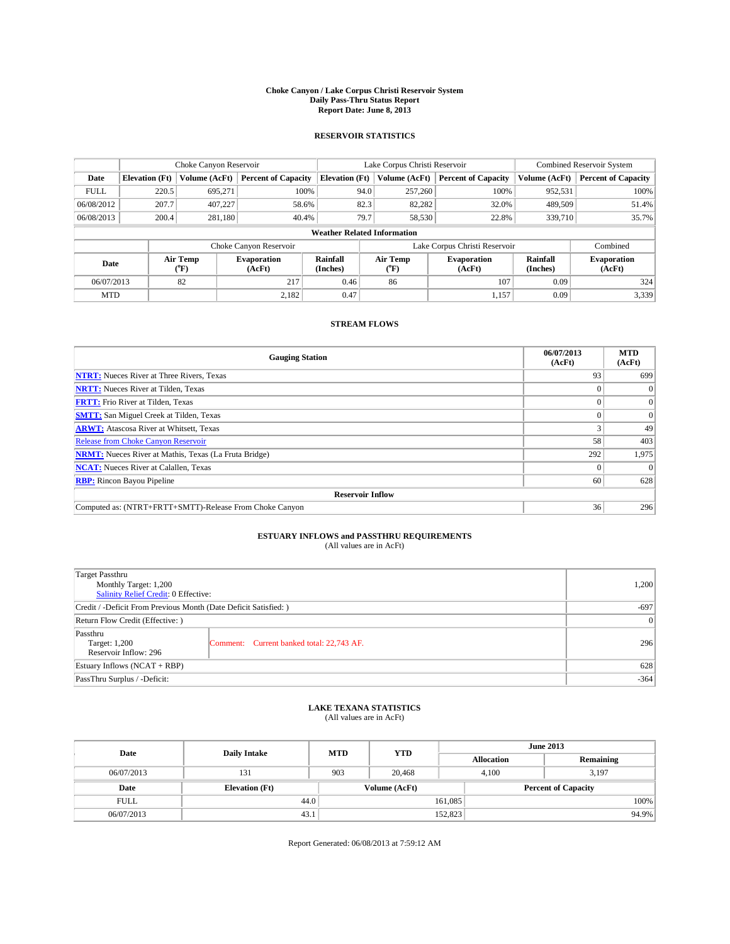#### **Choke Canyon / Lake Corpus Christi Reservoir System Daily Pass-Thru Status Report Report Date: June 8, 2013**

### **RESERVOIR STATISTICS**

|             |                                    | Choke Canyon Reservoir |                              |                       | Lake Corpus Christi Reservoir | <b>Combined Reservoir System</b> |                      |                              |  |
|-------------|------------------------------------|------------------------|------------------------------|-----------------------|-------------------------------|----------------------------------|----------------------|------------------------------|--|
| Date        | <b>Elevation</b> (Ft)              | Volume (AcFt)          | <b>Percent of Capacity</b>   | <b>Elevation (Ft)</b> | Volume (AcFt)                 | <b>Percent of Capacity</b>       | Volume (AcFt)        | <b>Percent of Capacity</b>   |  |
| <b>FULL</b> | 220.5                              | 695,271                | 100%                         | 94.0                  | 257,260                       | 100%                             | 952,531              | 100%                         |  |
| 06/08/2012  | 207.7                              | 407,227                | 58.6%                        | 82.3                  | 82,282                        | 32.0%                            | 489,509              | 51.4%                        |  |
| 06/08/2013  | 200.4                              | 281,180                | 40.4%                        | 79.7                  | 58,530                        | 22.8%                            | 339,710              | 35.7%                        |  |
|             | <b>Weather Related Information</b> |                        |                              |                       |                               |                                  |                      |                              |  |
|             |                                    |                        | Choke Canyon Reservoir       |                       |                               | Lake Corpus Christi Reservoir    |                      | Combined                     |  |
| Date        |                                    | Air Temp<br>(°F)       | <b>Evaporation</b><br>(AcFt) | Rainfall<br>(Inches)  | Air Temp<br>(°F)              | <b>Evaporation</b><br>(AcFt)     | Rainfall<br>(Inches) | <b>Evaporation</b><br>(AcFt) |  |
| 06/07/2013  |                                    | 82                     | 217                          | 0.46                  | 86                            | 107                              | 0.09                 | 324                          |  |
| <b>MTD</b>  |                                    |                        | 2.182                        | 0.47                  |                               | 1,157                            | 0.09                 | 3,339                        |  |

### **STREAM FLOWS**

| <b>Gauging Station</b>                                       | 06/07/2013<br>(AcFt) | <b>MTD</b><br>(AcFt) |  |  |  |  |
|--------------------------------------------------------------|----------------------|----------------------|--|--|--|--|
| <b>NTRT:</b> Nueces River at Three Rivers, Texas             | 93                   | 699                  |  |  |  |  |
| <b>NRTT:</b> Nueces River at Tilden, Texas                   |                      | $\Omega$             |  |  |  |  |
| <b>FRTT:</b> Frio River at Tilden, Texas                     |                      | $\mathbf{0}$         |  |  |  |  |
| <b>SMTT:</b> San Miguel Creek at Tilden, Texas               |                      | $\Omega$             |  |  |  |  |
| <b>ARWT:</b> Atascosa River at Whitsett, Texas               |                      | 49                   |  |  |  |  |
| <b>Release from Choke Canyon Reservoir</b>                   | 58                   | 403                  |  |  |  |  |
| <b>NRMT:</b> Nueces River at Mathis, Texas (La Fruta Bridge) | 292                  | 1,975                |  |  |  |  |
| <b>NCAT:</b> Nueces River at Calallen, Texas                 |                      | $\Omega$             |  |  |  |  |
| <b>RBP:</b> Rincon Bayou Pipeline                            | 60                   | 628                  |  |  |  |  |
| <b>Reservoir Inflow</b>                                      |                      |                      |  |  |  |  |
| Computed as: (NTRT+FRTT+SMTT)-Release From Choke Canyon      | 36                   | 296                  |  |  |  |  |

# **ESTUARY INFLOWS and PASSTHRU REQUIREMENTS**<br>(All values are in AcFt)

| Target Passthru<br>Monthly Target: 1,200<br>Salinity Relief Credit: 0 Effective: |                                           |        |  |  |
|----------------------------------------------------------------------------------|-------------------------------------------|--------|--|--|
|                                                                                  |                                           | $-697$ |  |  |
| Credit / -Deficit From Previous Month (Date Deficit Satisfied: )                 |                                           |        |  |  |
| Return Flow Credit (Effective: )                                                 |                                           |        |  |  |
| Passthru<br>Target: 1,200<br>Reservoir Inflow: 296                               | Comment: Current banked total: 22,743 AF. | 296    |  |  |
| Estuary Inflows $(NCAT + RBP)$                                                   |                                           |        |  |  |
| PassThru Surplus / -Deficit:                                                     | $-364$                                    |        |  |  |

## **LAKE TEXANA STATISTICS** (All values are in AcFt)

| Date        | <b>Daily Intake</b>   | <b>MTD</b> | <b>YTD</b>    | <b>June 2013</b>  |                            |           |  |
|-------------|-----------------------|------------|---------------|-------------------|----------------------------|-----------|--|
|             |                       |            |               | <b>Allocation</b> |                            | Remaining |  |
| 06/07/2013  | 131                   | 903        | 20,468        |                   | 3,197<br>4.100             |           |  |
| Date        | <b>Elevation</b> (Ft) |            | Volume (AcFt) |                   | <b>Percent of Capacity</b> |           |  |
| <b>FULL</b> | 44.0                  |            |               | 161,085           |                            | 100%      |  |
| 06/07/2013  | 43.1                  |            |               | 152,823           |                            | 94.9%     |  |

Report Generated: 06/08/2013 at 7:59:12 AM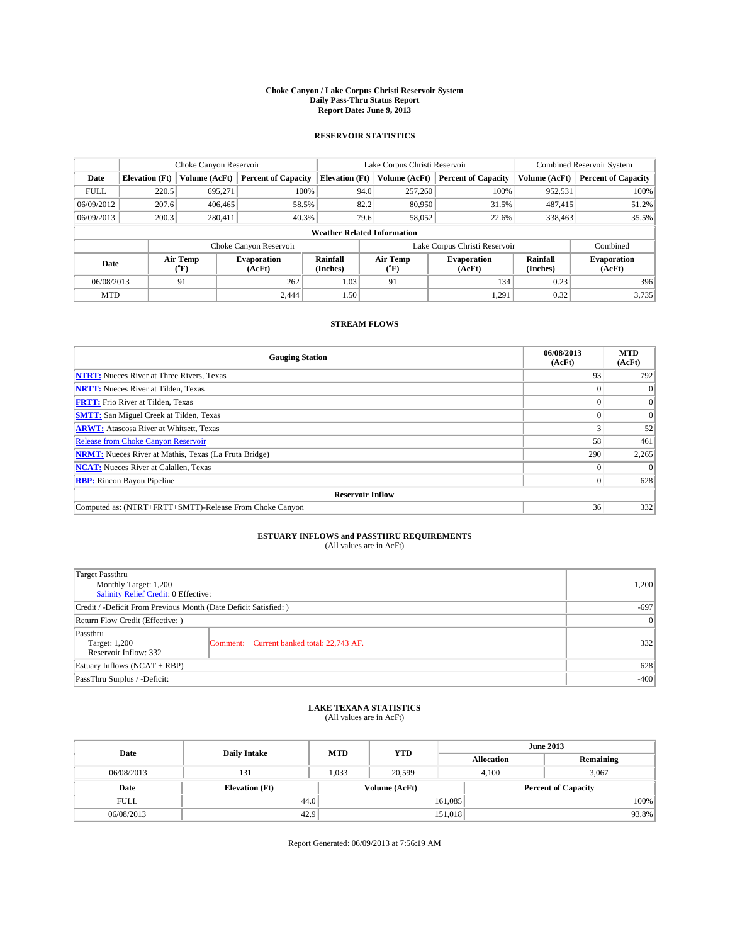#### **Choke Canyon / Lake Corpus Christi Reservoir System Daily Pass-Thru Status Report Report Date: June 9, 2013**

### **RESERVOIR STATISTICS**

|             |                                    | Choke Canyon Reservoir |                              |                       | Lake Corpus Christi Reservoir | <b>Combined Reservoir System</b> |                      |                              |  |
|-------------|------------------------------------|------------------------|------------------------------|-----------------------|-------------------------------|----------------------------------|----------------------|------------------------------|--|
| Date        | <b>Elevation</b> (Ft)              | Volume (AcFt)          | <b>Percent of Capacity</b>   | <b>Elevation (Ft)</b> | Volume (AcFt)                 | <b>Percent of Capacity</b>       | Volume (AcFt)        | <b>Percent of Capacity</b>   |  |
| <b>FULL</b> | 220.5                              | 695,271                | 100%                         | 94.0                  | 257,260                       | 100%                             | 952,531              | 100%                         |  |
| 06/09/2012  | 207.6                              | 406,465                | 58.5%                        | 82.2                  | 80,950                        | 31.5%                            | 487,415              | 51.2%                        |  |
| 06/09/2013  | 200.3                              | 280,411                | 40.3%                        | 79.6                  | 58,052                        | 22.6%                            | 338,463              | 35.5%                        |  |
|             | <b>Weather Related Information</b> |                        |                              |                       |                               |                                  |                      |                              |  |
|             |                                    |                        | Choke Canyon Reservoir       |                       |                               | Lake Corpus Christi Reservoir    |                      | Combined                     |  |
| Date        |                                    | Air Temp<br>(°F)       | <b>Evaporation</b><br>(AcFt) | Rainfall<br>(Inches)  | Air Temp<br>("F)              | <b>Evaporation</b><br>(AcFt)     | Rainfall<br>(Inches) | <b>Evaporation</b><br>(AcFt) |  |
| 06/08/2013  |                                    | 91                     | 262                          | 1.03                  | 91                            | 134                              | 0.23                 | 396                          |  |
| <b>MTD</b>  |                                    |                        | 2.444                        | 1.50                  |                               | 1,291                            | 0.32                 | 3,735                        |  |

### **STREAM FLOWS**

| <b>Gauging Station</b>                                       | 06/08/2013<br>(AcFt) | <b>MTD</b><br>(AcFt) |  |  |  |  |  |
|--------------------------------------------------------------|----------------------|----------------------|--|--|--|--|--|
| <b>NTRT:</b> Nueces River at Three Rivers, Texas             | 93                   | 792                  |  |  |  |  |  |
| <b>NRTT:</b> Nueces River at Tilden, Texas                   |                      |                      |  |  |  |  |  |
| <b>FRTT:</b> Frio River at Tilden, Texas                     |                      | $\overline{0}$       |  |  |  |  |  |
| <b>SMTT:</b> San Miguel Creek at Tilden, Texas               |                      | $\Omega$             |  |  |  |  |  |
| <b>ARWT:</b> Atascosa River at Whitsett, Texas               |                      | 52                   |  |  |  |  |  |
| Release from Choke Canyon Reservoir                          | 58                   | 461                  |  |  |  |  |  |
| <b>NRMT:</b> Nueces River at Mathis, Texas (La Fruta Bridge) | 290                  | 2,265                |  |  |  |  |  |
| <b>NCAT:</b> Nueces River at Calallen, Texas                 |                      | $\Omega$             |  |  |  |  |  |
| <b>RBP:</b> Rincon Bayou Pipeline                            | 0                    | 628                  |  |  |  |  |  |
| <b>Reservoir Inflow</b>                                      |                      |                      |  |  |  |  |  |
| Computed as: (NTRT+FRTT+SMTT)-Release From Choke Canyon      | 36                   | 332                  |  |  |  |  |  |

# **ESTUARY INFLOWS and PASSTHRU REQUIREMENTS**<br>(All values are in AcFt)

| <b>Target Passthru</b><br>Monthly Target: 1,200                  |                                           |     |  |  |
|------------------------------------------------------------------|-------------------------------------------|-----|--|--|
| Salinity Relief Credit: 0 Effective:                             |                                           |     |  |  |
| Credit / -Deficit From Previous Month (Date Deficit Satisfied: ) |                                           |     |  |  |
| Return Flow Credit (Effective: )                                 |                                           |     |  |  |
| Passthru<br>Target: 1,200<br>Reservoir Inflow: 332               | Comment: Current banked total: 22,743 AF. | 332 |  |  |
| Estuary Inflows $(NCAT + RBP)$                                   | 628                                       |     |  |  |
| PassThru Surplus / -Deficit:                                     | $-400$                                    |     |  |  |

## **LAKE TEXANA STATISTICS** (All values are in AcFt)

| Date        | <b>Daily Intake</b>   | <b>MTD</b> | <b>YTD</b>    | <b>June 2013</b>  |                            |           |  |
|-------------|-----------------------|------------|---------------|-------------------|----------------------------|-----------|--|
|             |                       |            |               | <b>Allocation</b> |                            | Remaining |  |
| 06/08/2013  | 131                   | 1,033      | 20.599        |                   | 3,067<br>4.100             |           |  |
| Date        | <b>Elevation</b> (Ft) |            | Volume (AcFt) |                   | <b>Percent of Capacity</b> |           |  |
| <b>FULL</b> | 44.0                  |            |               | 161,085           |                            | 100%      |  |
| 06/08/2013  | 42.9                  |            |               | 151,018           |                            | 93.8%     |  |

Report Generated: 06/09/2013 at 7:56:19 AM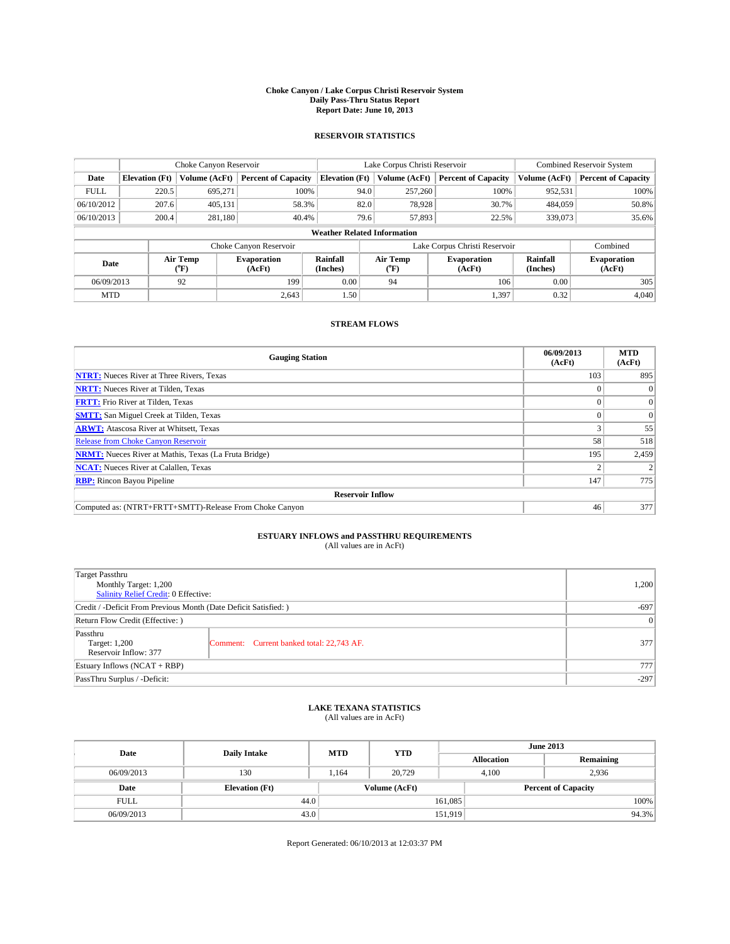#### **Choke Canyon / Lake Corpus Christi Reservoir System Daily Pass-Thru Status Report Report Date: June 10, 2013**

### **RESERVOIR STATISTICS**

|             |                                    | Choke Canyon Reservoir |                              |                       | Lake Corpus Christi Reservoir               | <b>Combined Reservoir System</b> |                      |                              |  |
|-------------|------------------------------------|------------------------|------------------------------|-----------------------|---------------------------------------------|----------------------------------|----------------------|------------------------------|--|
| Date        | <b>Elevation</b> (Ft)              | Volume (AcFt)          | <b>Percent of Capacity</b>   | <b>Elevation (Ft)</b> | Volume (AcFt)<br><b>Percent of Capacity</b> |                                  | Volume (AcFt)        | Percent of Capacity          |  |
| <b>FULL</b> | 220.5                              | 695,271                | 100%                         | 94.0                  | 257,260                                     | 100%                             | 952,531              | 100%                         |  |
| 06/10/2012  | 207.6                              | 405,131                | 58.3%                        |                       | 82.0<br>78,928                              | 30.7%                            | 484,059              | 50.8%                        |  |
| 06/10/2013  | 200.4                              | 281.180                | 40.4%                        |                       | 79.6<br>57,893                              | 22.5%                            | 339,073              | $35.6\%$                     |  |
|             | <b>Weather Related Information</b> |                        |                              |                       |                                             |                                  |                      |                              |  |
|             |                                    |                        | Choke Canyon Reservoir       |                       |                                             | Lake Corpus Christi Reservoir    |                      | Combined                     |  |
| Date        |                                    | Air Temp<br>(°F)       | <b>Evaporation</b><br>(AcFt) | Rainfall<br>(Inches)  | Air Temp<br>("F)                            | <b>Evaporation</b><br>(AcFt)     | Rainfall<br>(Inches) | <b>Evaporation</b><br>(AcFt) |  |
| 06/09/2013  |                                    | 92                     | 0.00<br>199<br>94            |                       | 106                                         | 0.00                             | 305                  |                              |  |
| <b>MTD</b>  |                                    |                        | 2.643                        | 1.50                  |                                             | 1,397                            | 0.32                 | 4.040                        |  |

### **STREAM FLOWS**

| <b>Gauging Station</b>                                       | 06/09/2013<br>(AcFt) | <b>MTD</b><br>(AcFt) |  |  |  |  |
|--------------------------------------------------------------|----------------------|----------------------|--|--|--|--|
| <b>NTRT:</b> Nueces River at Three Rivers, Texas             | 103                  | 895                  |  |  |  |  |
| <b>NRTT:</b> Nueces River at Tilden, Texas                   |                      |                      |  |  |  |  |
| <b>FRTT:</b> Frio River at Tilden, Texas                     |                      | $\overline{0}$       |  |  |  |  |
| <b>SMTT:</b> San Miguel Creek at Tilden, Texas               |                      | $\Omega$             |  |  |  |  |
| <b>ARWT:</b> Atascosa River at Whitsett, Texas               |                      | 55                   |  |  |  |  |
| Release from Choke Canyon Reservoir                          | 58                   | 518                  |  |  |  |  |
| <b>NRMT:</b> Nueces River at Mathis, Texas (La Fruta Bridge) | 195                  | 2,459                |  |  |  |  |
| <b>NCAT:</b> Nueces River at Calallen, Texas                 |                      |                      |  |  |  |  |
| <b>RBP:</b> Rincon Bayou Pipeline                            | 147                  | 775                  |  |  |  |  |
| <b>Reservoir Inflow</b>                                      |                      |                      |  |  |  |  |
| Computed as: (NTRT+FRTT+SMTT)-Release From Choke Canyon      | 46                   | 377                  |  |  |  |  |

# **ESTUARY INFLOWS and PASSTHRU REQUIREMENTS**<br>(All values are in AcFt)

| <b>Target Passthru</b><br>Monthly Target: 1,200<br>Salinity Relief Credit: 0 Effective: | 1,200                                     |     |  |  |
|-----------------------------------------------------------------------------------------|-------------------------------------------|-----|--|--|
| Credit / -Deficit From Previous Month (Date Deficit Satisfied: )                        |                                           |     |  |  |
| Return Flow Credit (Effective: )                                                        |                                           |     |  |  |
| Passthru<br>Target: 1,200<br>Reservoir Inflow: 377                                      | Comment: Current banked total: 22,743 AF. | 377 |  |  |
| Estuary Inflows $(NCAT + RBP)$                                                          |                                           |     |  |  |
| PassThru Surplus / -Deficit:                                                            | $-297$                                    |     |  |  |

# **LAKE TEXANA STATISTICS** (All values are in AcFt)

| Date        | <b>Daily Intake</b>   | <b>MTD</b> | <b>YTD</b>    | <b>June 2013</b>  |  |                            |       |
|-------------|-----------------------|------------|---------------|-------------------|--|----------------------------|-------|
|             |                       |            |               | <b>Allocation</b> |  | Remaining                  |       |
| 06/09/2013  | 130                   | 1.164      | 20,729        | 4.100             |  | 2.936                      |       |
| Date        | <b>Elevation (Ft)</b> |            | Volume (AcFt) |                   |  | <b>Percent of Capacity</b> |       |
| <b>FULL</b> | 44.0                  |            |               | 161,085           |  |                            | 100%  |
| 06/09/2013  | 43.0                  |            |               | 151,919           |  |                            | 94.3% |

Report Generated: 06/10/2013 at 12:03:37 PM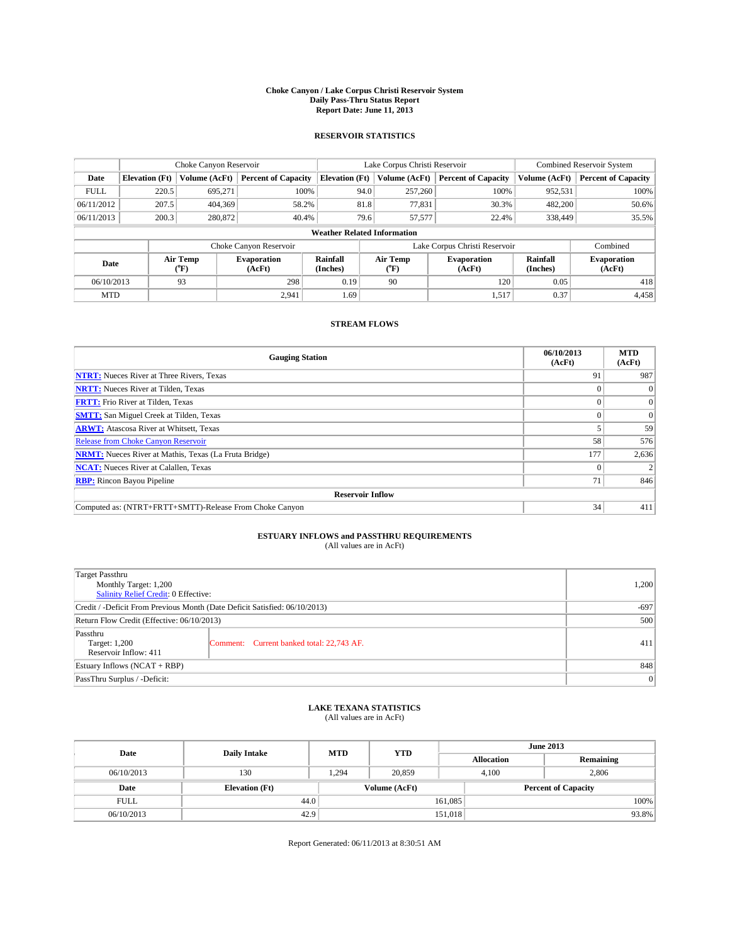#### **Choke Canyon / Lake Corpus Christi Reservoir System Daily Pass-Thru Status Report Report Date: June 11, 2013**

### **RESERVOIR STATISTICS**

|             |                                    | Choke Canyon Reservoir |                              |                       | Lake Corpus Christi Reservoir | <b>Combined Reservoir System</b> |                      |                              |  |
|-------------|------------------------------------|------------------------|------------------------------|-----------------------|-------------------------------|----------------------------------|----------------------|------------------------------|--|
| Date        | <b>Elevation</b> (Ft)              | Volume (AcFt)          | <b>Percent of Capacity</b>   | <b>Elevation (Ft)</b> | Volume (AcFt)                 | <b>Percent of Capacity</b>       | Volume (AcFt)        | <b>Percent of Capacity</b>   |  |
| <b>FULL</b> | 220.5                              | 695,271                | 100%                         | 94.0                  | 257,260                       | 100%                             | 952,531              | 100%                         |  |
| 06/11/2012  | 207.5                              | 404,369                | 58.2%                        | 81.8                  | 77,831                        | 30.3%                            | 482,200              | 50.6%                        |  |
| 06/11/2013  | 200.3                              | 280,872                | 40.4%                        | 79.6                  | 57,577                        | 22.4%                            | 338,449              | 35.5%                        |  |
|             | <b>Weather Related Information</b> |                        |                              |                       |                               |                                  |                      |                              |  |
|             |                                    |                        | Choke Canyon Reservoir       |                       |                               | Lake Corpus Christi Reservoir    |                      | Combined                     |  |
| Date        |                                    | Air Temp<br>(°F)       | <b>Evaporation</b><br>(AcFt) | Rainfall<br>(Inches)  | Air Temp<br>(°F)              | <b>Evaporation</b><br>(AcFt)     | Rainfall<br>(Inches) | <b>Evaporation</b><br>(AcFt) |  |
| 06/10/2013  |                                    | 93                     | 298                          | 0.19                  | 90                            | 120                              | 0.05                 | 418                          |  |
| <b>MTD</b>  |                                    |                        | 2,941                        | $1.69$ <sup>1</sup>   |                               | 1,517                            | 0.37                 | 4,458                        |  |

### **STREAM FLOWS**

| <b>Gauging Station</b>                                       | 06/10/2013<br>(AcFt) | <b>MTD</b><br>(AcFt) |  |  |  |  |
|--------------------------------------------------------------|----------------------|----------------------|--|--|--|--|
| <b>NTRT:</b> Nueces River at Three Rivers, Texas             | 91                   | 987                  |  |  |  |  |
| <b>NRTT:</b> Nueces River at Tilden, Texas                   |                      |                      |  |  |  |  |
| <b>FRTT:</b> Frio River at Tilden, Texas                     |                      | $\overline{0}$       |  |  |  |  |
| <b>SMTT:</b> San Miguel Creek at Tilden, Texas               |                      | $\Omega$             |  |  |  |  |
| <b>ARWT:</b> Atascosa River at Whitsett, Texas               |                      | 59                   |  |  |  |  |
| <b>Release from Choke Canyon Reservoir</b>                   | 58                   | 576                  |  |  |  |  |
| <b>NRMT:</b> Nueces River at Mathis, Texas (La Fruta Bridge) | 177                  | 2,636                |  |  |  |  |
| <b>NCAT:</b> Nueces River at Calallen, Texas                 |                      |                      |  |  |  |  |
| <b>RBP:</b> Rincon Bayou Pipeline                            | 71                   | 846                  |  |  |  |  |
| <b>Reservoir Inflow</b>                                      |                      |                      |  |  |  |  |
| Computed as: (NTRT+FRTT+SMTT)-Release From Choke Canyon      | 34                   | 411                  |  |  |  |  |

# **ESTUARY INFLOWS and PASSTHRU REQUIREMENTS**<br>(All values are in AcFt)

| Target Passthru                                                            |                                           |     |  |  |
|----------------------------------------------------------------------------|-------------------------------------------|-----|--|--|
| Monthly Target: 1,200                                                      | 1,200                                     |     |  |  |
| Salinity Relief Credit: 0 Effective:                                       |                                           |     |  |  |
| Credit / -Deficit From Previous Month (Date Deficit Satisfied: 06/10/2013) | $-697$                                    |     |  |  |
| Return Flow Credit (Effective: 06/10/2013)                                 |                                           |     |  |  |
| Passthru<br>Target: 1,200<br>Reservoir Inflow: 411                         | Comment: Current banked total: 22,743 AF. | 411 |  |  |
| Estuary Inflows $(NCAT + RBP)$                                             | 848                                       |     |  |  |
| PassThru Surplus / -Deficit:                                               | 0                                         |     |  |  |

# **LAKE TEXANA STATISTICS** (All values are in AcFt)

| Date        | <b>Daily Intake</b>   | <b>MTD</b> | <b>YTD</b>    | <b>June 2013</b>  |                            |           |  |
|-------------|-----------------------|------------|---------------|-------------------|----------------------------|-----------|--|
|             |                       |            |               | <b>Allocation</b> |                            | Remaining |  |
| 06/10/2013  | 130                   | 1.294      | 20.859        |                   | 2.806<br>4.100             |           |  |
| Date        | <b>Elevation</b> (Ft) |            | Volume (AcFt) |                   | <b>Percent of Capacity</b> |           |  |
| <b>FULL</b> | 44.0                  |            |               | 161,085           |                            | 100%      |  |
| 06/10/2013  | 42.9                  |            |               | 151,018           |                            | 93.8%     |  |

Report Generated: 06/11/2013 at 8:30:51 AM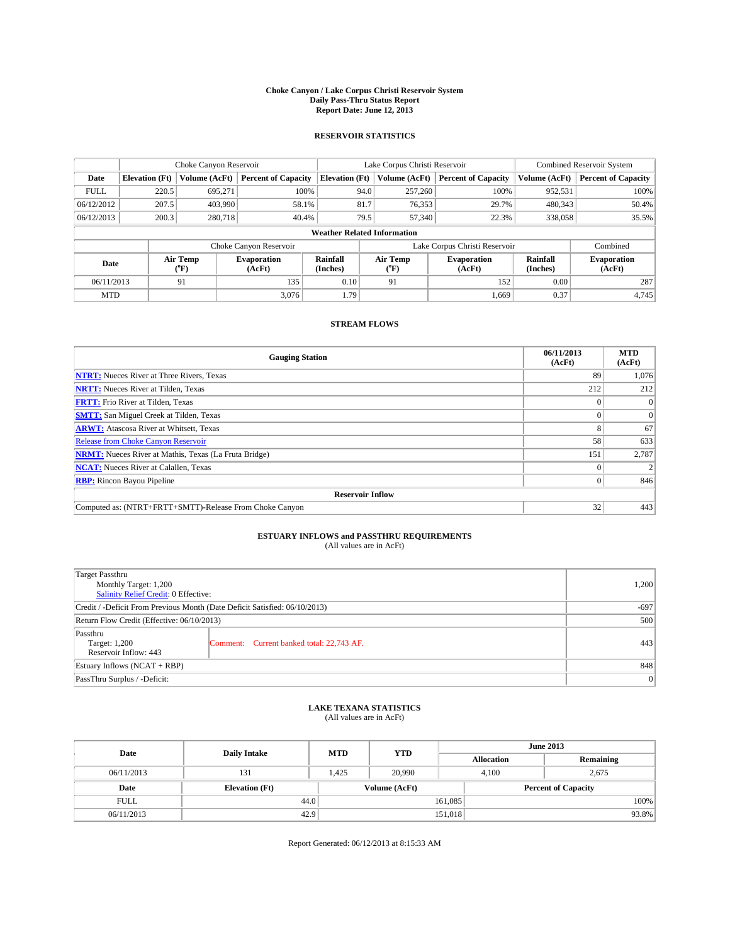#### **Choke Canyon / Lake Corpus Christi Reservoir System Daily Pass-Thru Status Report Report Date: June 12, 2013**

### **RESERVOIR STATISTICS**

|             |                                    | Choke Canyon Reservoir |                              |                       | Lake Corpus Christi Reservoir | <b>Combined Reservoir System</b> |                      |                              |  |
|-------------|------------------------------------|------------------------|------------------------------|-----------------------|-------------------------------|----------------------------------|----------------------|------------------------------|--|
| Date        | <b>Elevation</b> (Ft)              | Volume (AcFt)          | <b>Percent of Capacity</b>   | <b>Elevation (Ft)</b> | Volume (AcFt)                 | <b>Percent of Capacity</b>       | Volume (AcFt)        | <b>Percent of Capacity</b>   |  |
| <b>FULL</b> | 220.5                              | 695,271                | 100%                         | 94.0                  | 257,260                       | 100%                             | 952,531              | 100%                         |  |
| 06/12/2012  | 207.5                              | 403,990                | 58.1%                        | 81.7                  | 76,353                        | 29.7%                            | 480,343              | 50.4%                        |  |
| 06/12/2013  | 200.3                              | 280,718                | 40.4%                        | 79.5                  | 57,340                        | 22.3%                            | 338,058              | 35.5%                        |  |
|             | <b>Weather Related Information</b> |                        |                              |                       |                               |                                  |                      |                              |  |
|             |                                    |                        | Choke Canyon Reservoir       |                       |                               | Lake Corpus Christi Reservoir    |                      | Combined                     |  |
| Date        |                                    | Air Temp<br>(°F)       | <b>Evaporation</b><br>(AcFt) | Rainfall<br>(Inches)  | Air Temp<br>(°F)              | <b>Evaporation</b><br>(AcFt)     | Rainfall<br>(Inches) | <b>Evaporation</b><br>(AcFt) |  |
| 06/11/2013  |                                    | 91                     | 135                          | 0.10                  | 91                            | 152                              | 0.00                 | 287                          |  |
| <b>MTD</b>  |                                    |                        | 3.076                        | 1.79                  |                               | 1,669                            | 0.37                 | 4,745                        |  |

### **STREAM FLOWS**

| <b>Gauging Station</b>                                       | 06/11/2013<br>(AcFt) | <b>MTD</b><br>(AcFt) |  |  |  |  |
|--------------------------------------------------------------|----------------------|----------------------|--|--|--|--|
| <b>NTRT:</b> Nueces River at Three Rivers, Texas             | 89                   | 1,076                |  |  |  |  |
| <b>NRTT:</b> Nueces River at Tilden, Texas                   | 212                  | 212                  |  |  |  |  |
| <b>FRTT:</b> Frio River at Tilden, Texas                     |                      | $\mathbf{0}$         |  |  |  |  |
| <b>SMTT:</b> San Miguel Creek at Tilden, Texas               |                      | $\Omega$             |  |  |  |  |
| <b>ARWT:</b> Atascosa River at Whitsett, Texas               |                      | 67                   |  |  |  |  |
| <b>Release from Choke Canyon Reservoir</b>                   | 58                   | 633                  |  |  |  |  |
| <b>NRMT:</b> Nueces River at Mathis, Texas (La Fruta Bridge) | 151                  | 2,787                |  |  |  |  |
| <b>NCAT:</b> Nueces River at Calallen, Texas                 |                      |                      |  |  |  |  |
| <b>RBP:</b> Rincon Bayou Pipeline                            | $\Omega$             | 846                  |  |  |  |  |
| <b>Reservoir Inflow</b>                                      |                      |                      |  |  |  |  |
| Computed as: (NTRT+FRTT+SMTT)-Release From Choke Canyon      | 32                   | 443                  |  |  |  |  |

# **ESTUARY INFLOWS and PASSTHRU REQUIREMENTS**<br>(All values are in AcFt)

| Target Passthru<br>Monthly Target: 1,200<br>Salinity Relief Credit: 0 Effective: | 1,200                                     |     |
|----------------------------------------------------------------------------------|-------------------------------------------|-----|
| Credit / -Deficit From Previous Month (Date Deficit Satisfied: 06/10/2013)       | $-697$                                    |     |
| Return Flow Credit (Effective: 06/10/2013)                                       | 500                                       |     |
| Passthru<br>Target: 1,200<br>Reservoir Inflow: 443                               | Comment: Current banked total: 22,743 AF. | 443 |
| Estuary Inflows $(NCAT + RBP)$                                                   | 848                                       |     |
| PassThru Surplus / -Deficit:                                                     | 0                                         |     |

# **LAKE TEXANA STATISTICS** (All values are in AcFt)

| Date        | <b>Daily Intake</b>   | <b>MTD</b> | <b>YTD</b>    | <b>June 2013</b>  |                            |           |  |
|-------------|-----------------------|------------|---------------|-------------------|----------------------------|-----------|--|
|             |                       |            |               | <b>Allocation</b> |                            | Remaining |  |
| 06/11/2013  | 131                   | 1.425      | 20,990        |                   | 4.100<br>2,675             |           |  |
| Date        | <b>Elevation</b> (Ft) |            | Volume (AcFt) |                   | <b>Percent of Capacity</b> |           |  |
| <b>FULL</b> | 44.0                  |            |               | 161,085           |                            | 100%      |  |
| 06/11/2013  | 42.9                  |            |               | 151,018           |                            | 93.8%     |  |

Report Generated: 06/12/2013 at 8:15:33 AM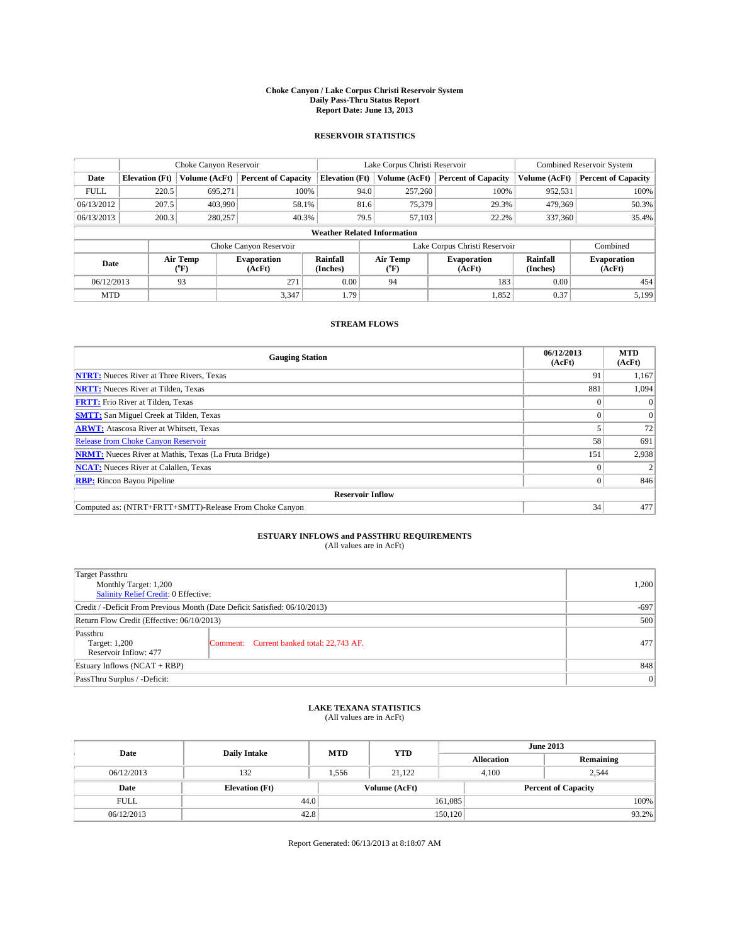#### **Choke Canyon / Lake Corpus Christi Reservoir System Daily Pass-Thru Status Report Report Date: June 13, 2013**

### **RESERVOIR STATISTICS**

|             |                                    | Choke Canyon Reservoir |                              |                       | Lake Corpus Christi Reservoir | <b>Combined Reservoir System</b> |                      |                              |  |  |
|-------------|------------------------------------|------------------------|------------------------------|-----------------------|-------------------------------|----------------------------------|----------------------|------------------------------|--|--|
| Date        | <b>Elevation</b> (Ft)              | Volume (AcFt)          | <b>Percent of Capacity</b>   | <b>Elevation (Ft)</b> | Volume (AcFt)                 | <b>Percent of Capacity</b>       | Volume (AcFt)        | <b>Percent of Capacity</b>   |  |  |
| <b>FULL</b> | 220.5                              | 695,271                | 100%                         | 94.0                  | 257,260                       | 100%                             | 952,531              | 100%                         |  |  |
| 06/13/2012  | 207.5                              | 403,990                | 58.1%                        | 81.6                  | 75,379                        | 29.3%                            | 479,369              | 50.3%                        |  |  |
| 06/13/2013  | 200.3                              | 280,257                | 40.3%                        | 79.5                  | 57,103                        | 22.2%                            | 337,360              | 35.4%                        |  |  |
|             | <b>Weather Related Information</b> |                        |                              |                       |                               |                                  |                      |                              |  |  |
|             |                                    |                        | Choke Canyon Reservoir       |                       |                               | Lake Corpus Christi Reservoir    |                      | Combined                     |  |  |
| Date        |                                    | Air Temp<br>(°F)       | <b>Evaporation</b><br>(AcFt) | Rainfall<br>(Inches)  | Air Temp<br>(°F)              | <b>Evaporation</b><br>(AcFt)     | Rainfall<br>(Inches) | <b>Evaporation</b><br>(AcFt) |  |  |
| 06/12/2013  |                                    | 93                     | 271                          | 0.00                  | 94                            | 183                              | 0.00                 | 454                          |  |  |
| <b>MTD</b>  |                                    |                        | 3,347                        | 1.79                  |                               | 1,852                            | 0.37                 | 5,199                        |  |  |

### **STREAM FLOWS**

| <b>Gauging Station</b>                                       | 06/12/2013<br>(AcFt) | <b>MTD</b><br>(AcFt) |  |  |  |  |
|--------------------------------------------------------------|----------------------|----------------------|--|--|--|--|
| <b>NTRT:</b> Nueces River at Three Rivers, Texas             | 91                   | 1,167                |  |  |  |  |
| <b>NRTT:</b> Nueces River at Tilden, Texas                   | 881                  | 1,094                |  |  |  |  |
| <b>FRTT:</b> Frio River at Tilden, Texas                     |                      | $\Omega$             |  |  |  |  |
| <b>SMTT:</b> San Miguel Creek at Tilden, Texas               |                      | $\Omega$             |  |  |  |  |
| <b>ARWT:</b> Atascosa River at Whitsett, Texas               |                      | 72                   |  |  |  |  |
| <b>Release from Choke Canyon Reservoir</b>                   | 58                   | 691                  |  |  |  |  |
| <b>NRMT:</b> Nueces River at Mathis, Texas (La Fruta Bridge) | 151                  | 2,938                |  |  |  |  |
| <b>NCAT:</b> Nueces River at Calallen, Texas                 |                      |                      |  |  |  |  |
| <b>RBP:</b> Rincon Bayou Pipeline                            | $\Omega$             | 846                  |  |  |  |  |
| <b>Reservoir Inflow</b>                                      |                      |                      |  |  |  |  |
| Computed as: (NTRT+FRTT+SMTT)-Release From Choke Canyon      | 34                   | 477                  |  |  |  |  |

# **ESTUARY INFLOWS and PASSTHRU REQUIREMENTS**<br>(All values are in AcFt)

| Target Passthru                                                            |                                           |     |  |  |
|----------------------------------------------------------------------------|-------------------------------------------|-----|--|--|
| Monthly Target: 1,200                                                      | 1,200                                     |     |  |  |
| Salinity Relief Credit: 0 Effective:                                       |                                           |     |  |  |
| Credit / -Deficit From Previous Month (Date Deficit Satisfied: 06/10/2013) |                                           |     |  |  |
| Return Flow Credit (Effective: 06/10/2013)                                 | 500                                       |     |  |  |
| Passthru<br>Target: 1,200<br>Reservoir Inflow: 477                         | Comment: Current banked total: 22,743 AF. | 477 |  |  |
| Estuary Inflows $(NCAT + RBP)$                                             | 848                                       |     |  |  |
| PassThru Surplus / -Deficit:                                               | 0                                         |     |  |  |

# **LAKE TEXANA STATISTICS** (All values are in AcFt)

| Date        |                       | <b>MTD</b> | <b>YTD</b>    | <b>June 2013</b>  |                            |           |  |
|-------------|-----------------------|------------|---------------|-------------------|----------------------------|-----------|--|
|             | <b>Daily Intake</b>   |            |               | <b>Allocation</b> |                            | Remaining |  |
| 06/12/2013  | 132                   | 1.556      | 21.122        | 4.100             |                            | 2.544     |  |
| Date        | <b>Elevation</b> (Ft) |            | Volume (AcFt) |                   | <b>Percent of Capacity</b> |           |  |
| <b>FULL</b> | 44.0                  |            |               | 161,085           |                            | 100%      |  |
| 06/12/2013  | 42.8                  |            |               | 150, 120          |                            | 93.2%     |  |

Report Generated: 06/13/2013 at 8:18:07 AM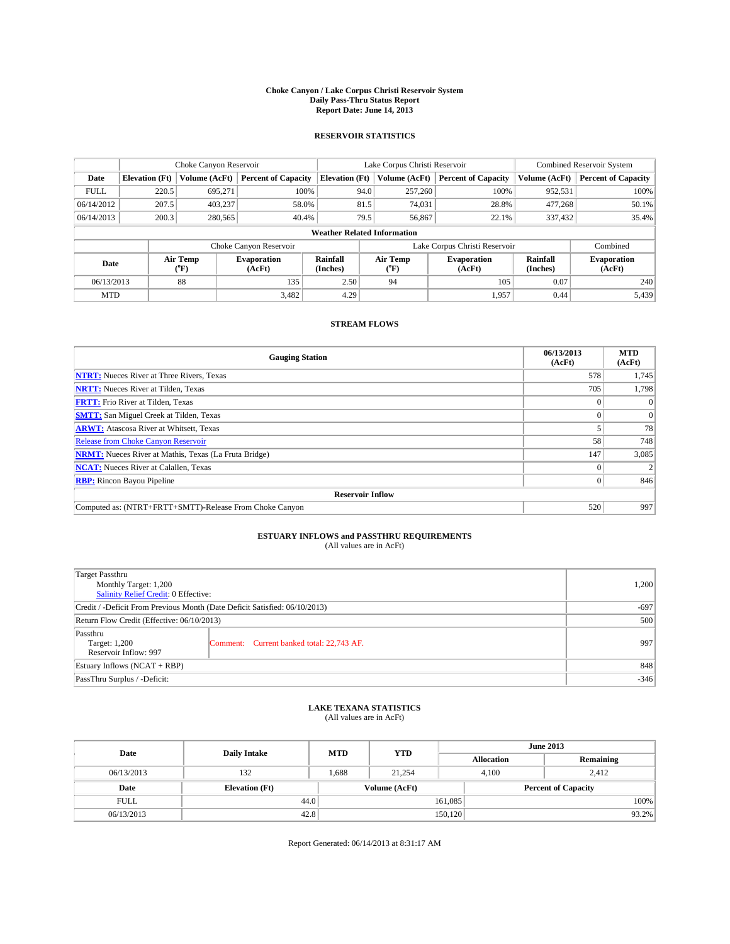#### **Choke Canyon / Lake Corpus Christi Reservoir System Daily Pass-Thru Status Report Report Date: June 14, 2013**

### **RESERVOIR STATISTICS**

|             |                                    | Choke Canyon Reservoir |                              |                       | Lake Corpus Christi Reservoir | <b>Combined Reservoir System</b> |               |                              |  |  |
|-------------|------------------------------------|------------------------|------------------------------|-----------------------|-------------------------------|----------------------------------|---------------|------------------------------|--|--|
| Date        | <b>Elevation</b> (Ft)              | Volume (AcFt)          | <b>Percent of Capacity</b>   | <b>Elevation (Ft)</b> | Volume (AcFt)                 | <b>Percent of Capacity</b>       | Volume (AcFt) | Percent of Capacity          |  |  |
| <b>FULL</b> | 220.5                              | 695,271                | 100%                         | 94.0                  | 257,260                       | 100%                             | 952,531       | 100%                         |  |  |
| 06/14/2012  | 207.5                              | 403,237                | 58.0%                        | 81.5                  | 74,031                        | 28.8%                            | 477,268       | $50.1\%$                     |  |  |
| 06/14/2013  | 200.3                              | 280,565                | 40.4%                        | 79.5                  | 56,867                        | 22.1%                            | 337,432       | $35.4\%$                     |  |  |
|             | <b>Weather Related Information</b> |                        |                              |                       |                               |                                  |               |                              |  |  |
|             |                                    |                        | Choke Canyon Reservoir       |                       |                               | Lake Corpus Christi Reservoir    |               | Combined                     |  |  |
| Date        |                                    | Air Temp<br>(°F)       | <b>Evaporation</b><br>(AcFt) | Rainfall<br>(Inches)  | Air Temp<br>("F)              | <b>Evaporation</b><br>(AcFt)     |               | <b>Evaporation</b><br>(AcFt) |  |  |
| 06/13/2013  |                                    | 88                     | 135                          | 2.50                  | 94                            | 105                              | 0.07          | 240                          |  |  |
| <b>MTD</b>  |                                    |                        | 3.482                        | 4.29                  |                               | 1.957                            | 0.44          | 5.439                        |  |  |

### **STREAM FLOWS**

| <b>Gauging Station</b>                                       | 06/13/2013<br>(AcFt) | <b>MTD</b><br>(AcFt) |  |  |  |  |
|--------------------------------------------------------------|----------------------|----------------------|--|--|--|--|
| <b>NTRT:</b> Nueces River at Three Rivers, Texas             | 578                  | 1,745                |  |  |  |  |
| <b>NRTT:</b> Nueces River at Tilden, Texas                   | 705                  | 1,798                |  |  |  |  |
| <b>FRTT:</b> Frio River at Tilden, Texas                     |                      | $\Omega$             |  |  |  |  |
| <b>SMTT:</b> San Miguel Creek at Tilden, Texas               |                      | $\Omega$             |  |  |  |  |
| <b>ARWT:</b> Atascosa River at Whitsett, Texas               |                      | 78                   |  |  |  |  |
| <b>Release from Choke Canyon Reservoir</b>                   | 58                   | 748                  |  |  |  |  |
| <b>NRMT:</b> Nueces River at Mathis, Texas (La Fruta Bridge) | 147                  | 3,085                |  |  |  |  |
| <b>NCAT:</b> Nueces River at Calallen, Texas                 |                      |                      |  |  |  |  |
| <b>RBP:</b> Rincon Bayou Pipeline                            | $\Omega$             | 846                  |  |  |  |  |
| <b>Reservoir Inflow</b>                                      |                      |                      |  |  |  |  |
| Computed as: (NTRT+FRTT+SMTT)-Release From Choke Canyon      | 520                  | 997                  |  |  |  |  |

# **ESTUARY INFLOWS and PASSTHRU REQUIREMENTS**<br>(All values are in AcFt)

| Target Passthru                                                            |        |  |  |  |
|----------------------------------------------------------------------------|--------|--|--|--|
| Monthly Target: 1,200                                                      | 1,200  |  |  |  |
| Salinity Relief Credit: 0 Effective:                                       |        |  |  |  |
| Credit / -Deficit From Previous Month (Date Deficit Satisfied: 06/10/2013) | $-697$ |  |  |  |
| Return Flow Credit (Effective: 06/10/2013)                                 | 500    |  |  |  |
| Passthru                                                                   |        |  |  |  |
| Comment: Current banked total: 22,743 AF.<br>Target: 1,200                 | 997    |  |  |  |
| Reservoir Inflow: 997                                                      |        |  |  |  |
| Estuary Inflows $(NCAT + RBP)$                                             | 848    |  |  |  |
| PassThru Surplus / -Deficit:                                               | $-346$ |  |  |  |

# **LAKE TEXANA STATISTICS** (All values are in AcFt)

| Date        | <b>Daily Intake</b>   | <b>MTD</b> | <b>YTD</b>    | <b>June 2013</b>  |  |                            |  |
|-------------|-----------------------|------------|---------------|-------------------|--|----------------------------|--|
|             |                       |            |               | <b>Allocation</b> |  | Remaining                  |  |
| 06/13/2013  | 132                   | 1.688      | 21.254        | 4.100             |  | 2.412                      |  |
| Date        | <b>Elevation (Ft)</b> |            | Volume (AcFt) |                   |  | <b>Percent of Capacity</b> |  |
| <b>FULL</b> | 44.0                  |            |               | 161,085           |  | 100%                       |  |
| 06/13/2013  | 42.8                  |            |               | 150,120           |  | 93.2%                      |  |

Report Generated: 06/14/2013 at 8:31:17 AM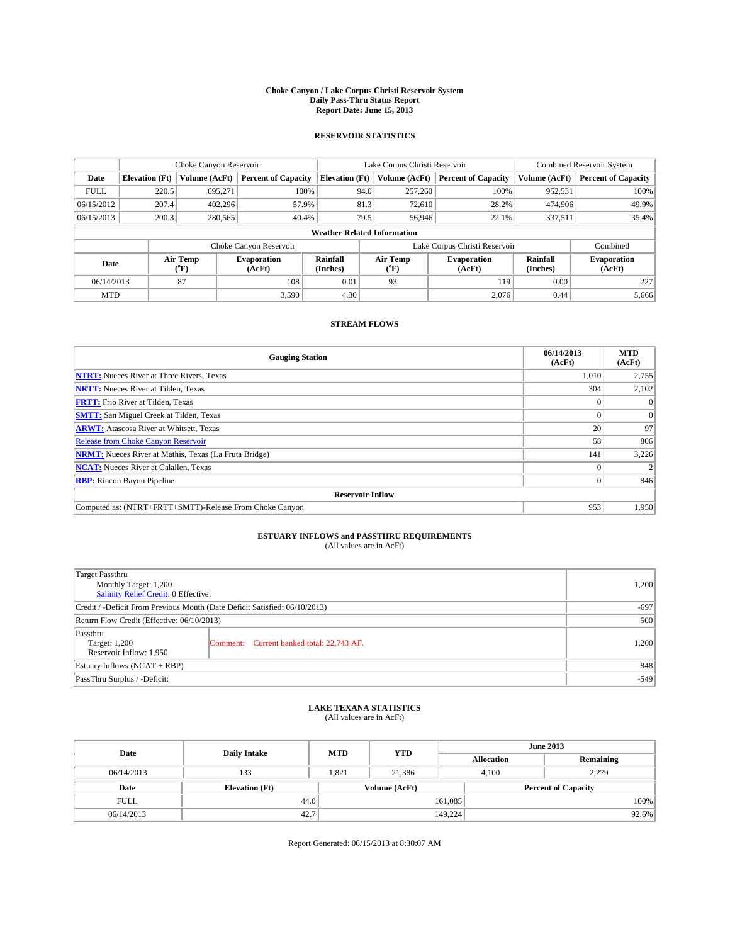#### **Choke Canyon / Lake Corpus Christi Reservoir System Daily Pass-Thru Status Report Report Date: June 15, 2013**

### **RESERVOIR STATISTICS**

|             |                                    | Choke Canyon Reservoir |                              |                       | Lake Corpus Christi Reservoir | <b>Combined Reservoir System</b> |               |                              |  |
|-------------|------------------------------------|------------------------|------------------------------|-----------------------|-------------------------------|----------------------------------|---------------|------------------------------|--|
| Date        | <b>Elevation</b> (Ft)              | Volume (AcFt)          | <b>Percent of Capacity</b>   | <b>Elevation (Ft)</b> | Volume (AcFt)                 | <b>Percent of Capacity</b>       | Volume (AcFt) | <b>Percent of Capacity</b>   |  |
| <b>FULL</b> | 220.5                              | 695,271                | 100%                         | 94.0                  | 257,260                       | 100%                             | 952,531       | 100%                         |  |
| 06/15/2012  | 207.4                              | 402,296                | 57.9%                        | 81.3                  | 72,610                        | 28.2%                            | 474,906       | 49.9%                        |  |
| 06/15/2013  | 200.3                              | 280,565                | 40.4%                        | 79.5                  | 56,946                        | 22.1%                            | 337,511       | 35.4%                        |  |
|             | <b>Weather Related Information</b> |                        |                              |                       |                               |                                  |               |                              |  |
|             |                                    |                        | Choke Canyon Reservoir       |                       |                               | Lake Corpus Christi Reservoir    |               | Combined                     |  |
| Date        | Air Temp<br>(°F)                   |                        | <b>Evaporation</b><br>(AcFt) | Rainfall<br>(Inches)  | Air Temp<br>(°F)              | <b>Evaporation</b><br>(AcFt)     |               | <b>Evaporation</b><br>(AcFt) |  |
| 06/14/2013  |                                    | 87                     | 108                          | 0.01                  | 93                            | 119                              | 0.00          | 227                          |  |
| <b>MTD</b>  |                                    |                        | 3.590                        | 4.30                  |                               | 2.076                            | 0.44          | 5,666                        |  |

### **STREAM FLOWS**

| <b>Gauging Station</b>                                       | 06/14/2013<br>(AcFt) | <b>MTD</b><br>(AcFt) |  |  |  |  |
|--------------------------------------------------------------|----------------------|----------------------|--|--|--|--|
| <b>NTRT:</b> Nueces River at Three Rivers, Texas             | 1,010                | 2,755                |  |  |  |  |
| <b>NRTT:</b> Nueces River at Tilden, Texas                   | 304                  | 2,102                |  |  |  |  |
| <b>FRTT:</b> Frio River at Tilden, Texas                     |                      | $\Omega$             |  |  |  |  |
| <b>SMTT:</b> San Miguel Creek at Tilden, Texas               |                      | $\Omega$             |  |  |  |  |
| <b>ARWT:</b> Atascosa River at Whitsett, Texas               | 20                   | 97                   |  |  |  |  |
| <b>Release from Choke Canyon Reservoir</b>                   | 58                   | 806                  |  |  |  |  |
| <b>NRMT:</b> Nueces River at Mathis, Texas (La Fruta Bridge) | 141                  | 3,226                |  |  |  |  |
| <b>NCAT:</b> Nueces River at Calallen, Texas                 |                      |                      |  |  |  |  |
| <b>RBP:</b> Rincon Bayou Pipeline                            |                      | 846                  |  |  |  |  |
| <b>Reservoir Inflow</b>                                      |                      |                      |  |  |  |  |
| Computed as: (NTRT+FRTT+SMTT)-Release From Choke Canyon      | 953                  | 1,950                |  |  |  |  |

# **ESTUARY INFLOWS and PASSTHRU REQUIREMENTS**<br>(All values are in AcFt)

| Target Passthru<br>Monthly Target: 1,200<br>Salinity Relief Credit: 0 Effective: | 1,200                                     |       |
|----------------------------------------------------------------------------------|-------------------------------------------|-------|
| Credit / -Deficit From Previous Month (Date Deficit Satisfied: 06/10/2013)       | $-697$                                    |       |
| Return Flow Credit (Effective: 06/10/2013)                                       | 500                                       |       |
| Passthru<br>Target: 1,200<br>Reservoir Inflow: 1,950                             | Comment: Current banked total: 22,743 AF. | 1,200 |
| Estuary Inflows $(NCAT + RBP)$                                                   | 848                                       |       |
| PassThru Surplus / -Deficit:                                                     | $-549$                                    |       |

# **LAKE TEXANA STATISTICS** (All values are in AcFt)

| Date        | <b>Daily Intake</b>   | <b>MTD</b> | <b>YTD</b>    | <b>June 2013</b>  |                            |           |  |
|-------------|-----------------------|------------|---------------|-------------------|----------------------------|-----------|--|
|             |                       |            |               | <b>Allocation</b> |                            | Remaining |  |
| 06/14/2013  | 133                   | 1.821      | 21.386        |                   | 2,279<br>4.100             |           |  |
| Date        | <b>Elevation</b> (Ft) |            | Volume (AcFt) |                   | <b>Percent of Capacity</b> |           |  |
| <b>FULL</b> | 44.0                  |            |               | 161,085           |                            | 100%      |  |
| 06/14/2013  | 42.7                  |            |               | 149,224           |                            | 92.6%     |  |

Report Generated: 06/15/2013 at 8:30:07 AM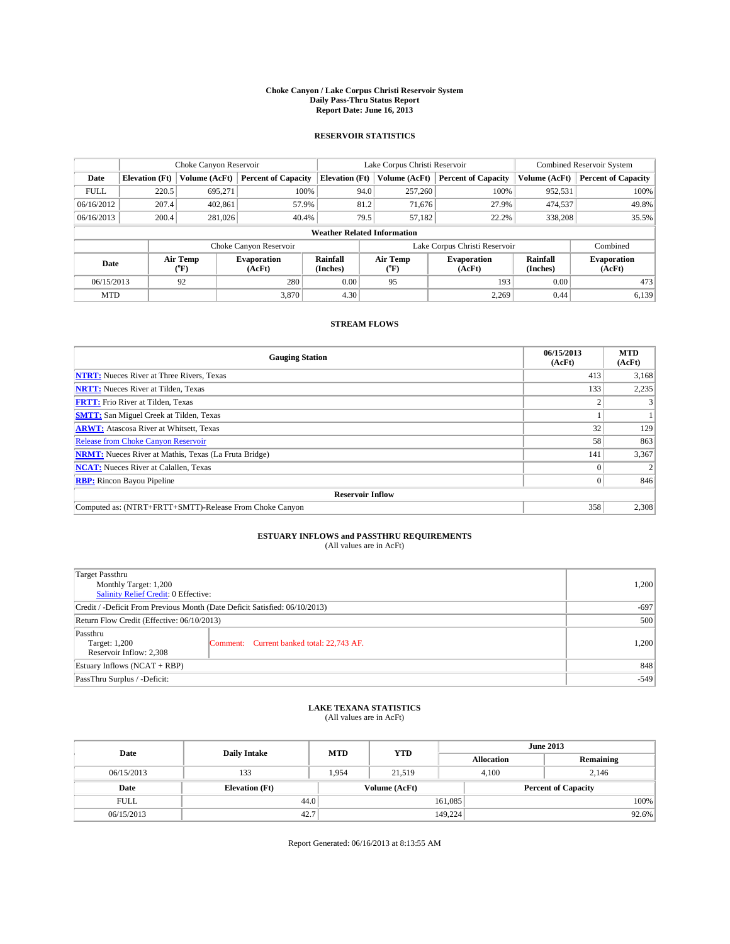#### **Choke Canyon / Lake Corpus Christi Reservoir System Daily Pass-Thru Status Report Report Date: June 16, 2013**

### **RESERVOIR STATISTICS**

|             | Choke Canyon Reservoir |                  |                              |                                    | Lake Corpus Christi Reservoir | <b>Combined Reservoir System</b> |               |                              |
|-------------|------------------------|------------------|------------------------------|------------------------------------|-------------------------------|----------------------------------|---------------|------------------------------|
| Date        | <b>Elevation</b> (Ft)  | Volume (AcFt)    | <b>Percent of Capacity</b>   | <b>Elevation (Ft)</b>              | Volume (AcFt)                 | <b>Percent of Capacity</b>       | Volume (AcFt) | <b>Percent of Capacity</b>   |
| <b>FULL</b> | 220.5                  | 695,271          | 100%                         | 94.0                               | 257,260                       | 100%                             | 952,531       | 100%                         |
| 06/16/2012  | 207.4                  | 402,861          | 57.9%                        | 81.2                               | 71,676                        | 27.9%                            | 474,537       | 49.8%                        |
| 06/16/2013  | 200.4                  | 281,026          | 40.4%                        | 79.5                               | 57,182                        | 22.2%                            | 338,208       | 35.5%                        |
|             |                        |                  |                              | <b>Weather Related Information</b> |                               |                                  |               |                              |
|             |                        |                  | Choke Canyon Reservoir       |                                    |                               | Lake Corpus Christi Reservoir    |               | Combined                     |
| Date        |                        | Air Temp<br>(°F) | <b>Evaporation</b><br>(AcFt) | Rainfall<br>(Inches)               | Air Temp<br>(°F)              | <b>Evaporation</b><br>(AcFt)     |               | <b>Evaporation</b><br>(AcFt) |
| 06/15/2013  |                        | 92               | 280                          | 0.00                               | 95                            | 193                              | 0.00          | 473                          |
| <b>MTD</b>  |                        |                  | 3.870                        | 4.30                               |                               | 2,269                            | 0.44          | 6,139                        |

### **STREAM FLOWS**

| <b>Gauging Station</b>                                       | 06/15/2013<br>(AcFt) | <b>MTD</b><br>(AcFt) |  |  |  |  |
|--------------------------------------------------------------|----------------------|----------------------|--|--|--|--|
| <b>NTRT:</b> Nueces River at Three Rivers, Texas             | 413                  | 3,168                |  |  |  |  |
| <b>NRTT:</b> Nueces River at Tilden, Texas                   | 133                  | 2,235                |  |  |  |  |
| <b>FRTT:</b> Frio River at Tilden, Texas                     |                      |                      |  |  |  |  |
| <b>SMTT:</b> San Miguel Creek at Tilden, Texas               |                      |                      |  |  |  |  |
| <b>ARWT:</b> Atascosa River at Whitsett, Texas               | 32                   | 129                  |  |  |  |  |
| <b>Release from Choke Canyon Reservoir</b>                   | 58                   | 863                  |  |  |  |  |
| <b>NRMT:</b> Nueces River at Mathis, Texas (La Fruta Bridge) | 141                  | 3,367                |  |  |  |  |
| <b>NCAT:</b> Nueces River at Calallen, Texas                 |                      |                      |  |  |  |  |
| <b>RBP:</b> Rincon Bayou Pipeline                            | $\Omega$             | 846                  |  |  |  |  |
| <b>Reservoir Inflow</b>                                      |                      |                      |  |  |  |  |
| Computed as: (NTRT+FRTT+SMTT)-Release From Choke Canyon      | 358                  | 2,308                |  |  |  |  |

# **ESTUARY INFLOWS and PASSTHRU REQUIREMENTS**<br>(All values are in AcFt)

| Target Passthru<br>Monthly Target: 1,200<br>Salinity Relief Credit: 0 Effective: | 1,200                                     |       |
|----------------------------------------------------------------------------------|-------------------------------------------|-------|
| Credit / -Deficit From Previous Month (Date Deficit Satisfied: 06/10/2013)       | $-697$                                    |       |
| Return Flow Credit (Effective: 06/10/2013)                                       | 500                                       |       |
| Passthru<br>Target: 1,200<br>Reservoir Inflow: 2,308                             | Comment: Current banked total: 22,743 AF. | 1,200 |
| Estuary Inflows $(NCAT + RBP)$                                                   | 848                                       |       |
| PassThru Surplus / -Deficit:                                                     | $-549$                                    |       |

# **LAKE TEXANA STATISTICS** (All values are in AcFt)

| Date        | <b>Daily Intake</b>   | <b>MTD</b> | <b>YTD</b>    | <b>June 2013</b>  |                            |           |  |
|-------------|-----------------------|------------|---------------|-------------------|----------------------------|-----------|--|
|             |                       |            |               | <b>Allocation</b> |                            | Remaining |  |
| 06/15/2013  | 133                   | 1,954      | 21,519        |                   | 4,100<br>2,146             |           |  |
| Date        | <b>Elevation</b> (Ft) |            | Volume (AcFt) |                   | <b>Percent of Capacity</b> |           |  |
| <b>FULL</b> | 44.0                  |            |               | 161,085           |                            | 100%      |  |
| 06/15/2013  | 42.7                  |            |               | 149.224           |                            | 92.6%     |  |

Report Generated: 06/16/2013 at 8:13:55 AM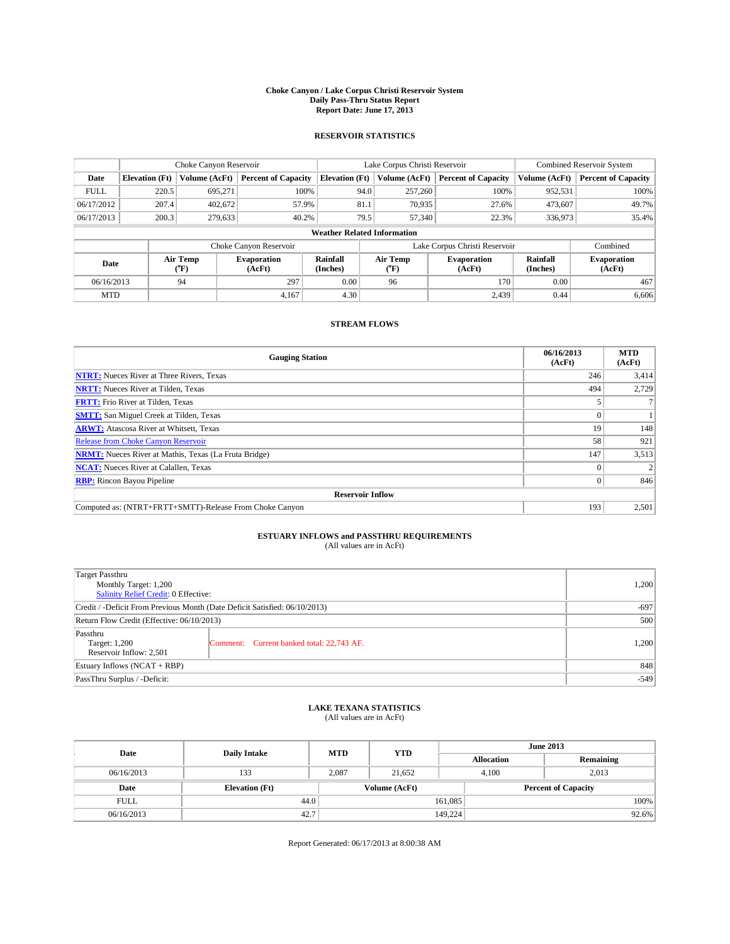#### **Choke Canyon / Lake Corpus Christi Reservoir System Daily Pass-Thru Status Report Report Date: June 17, 2013**

### **RESERVOIR STATISTICS**

|             | Choke Canyon Reservoir                                                                                                       |               |                            |                                    | Lake Corpus Christi Reservoir | <b>Combined Reservoir System</b> |               |                     |
|-------------|------------------------------------------------------------------------------------------------------------------------------|---------------|----------------------------|------------------------------------|-------------------------------|----------------------------------|---------------|---------------------|
| Date        | <b>Elevation</b> (Ft)                                                                                                        | Volume (AcFt) | <b>Percent of Capacity</b> | <b>Elevation (Ft)</b>              | Volume (AcFt)                 | <b>Percent of Capacity</b>       | Volume (AcFt) | Percent of Capacity |
| <b>FULL</b> | 220.5                                                                                                                        | 695,271       | 100%                       | 94.0                               | 257,260                       | 100%                             | 952,531       | 100%                |
| 06/17/2012  | 207.4                                                                                                                        | 402,672       | 57.9%                      | 81.1                               | 70,935                        | 27.6%                            | 473,607       | 49.7%               |
| 06/17/2013  | 200.3                                                                                                                        | 279,633       | 40.2%                      | 79.5                               | 57,340                        | 22.3%                            | 336,973       | $35.4\%$            |
|             |                                                                                                                              |               |                            | <b>Weather Related Information</b> |                               |                                  |               |                     |
|             |                                                                                                                              |               | Choke Canyon Reservoir     |                                    |                               | Lake Corpus Christi Reservoir    |               | Combined            |
| Date        | Rainfall<br>Air Temp<br>Air Temp<br><b>Evaporation</b><br><b>Evaporation</b><br>(Inches)<br>(AcFt)<br>(°F)<br>(AcFt)<br>("F) |               |                            | Rainfall<br>(Inches)               |                               |                                  |               |                     |
| 06/16/2013  |                                                                                                                              | 94            | 297                        | 0.00                               | 96                            | 170                              | 0.00          | 467                 |
| <b>MTD</b>  |                                                                                                                              |               | 4.167                      | 4.30                               |                               | 2.439                            | 0.44          | 6,606               |

### **STREAM FLOWS**

| <b>Gauging Station</b>                                       | 06/16/2013<br>(AcFt) | <b>MTD</b><br>(AcFt) |
|--------------------------------------------------------------|----------------------|----------------------|
| <b>NTRT:</b> Nueces River at Three Rivers, Texas             | 246                  | 3,414                |
| <b>NRTT:</b> Nueces River at Tilden, Texas                   | 494                  | 2,729                |
| <b>FRTT:</b> Frio River at Tilden, Texas                     |                      |                      |
| <b>SMTT:</b> San Miguel Creek at Tilden, Texas               |                      |                      |
| <b>ARWT:</b> Atascosa River at Whitsett, Texas               | 19                   | 148                  |
| <b>Release from Choke Canyon Reservoir</b>                   | 58                   | 921                  |
| <b>NRMT:</b> Nueces River at Mathis, Texas (La Fruta Bridge) | 147                  | 3,513                |
| <b>NCAT:</b> Nueces River at Calallen, Texas                 |                      |                      |
| <b>RBP:</b> Rincon Bayou Pipeline                            | $\Omega$             | 846                  |
| <b>Reservoir Inflow</b>                                      |                      |                      |
| Computed as: (NTRT+FRTT+SMTT)-Release From Choke Canyon      | 193                  | 2,501                |

# **ESTUARY INFLOWS and PASSTHRU REQUIREMENTS**<br>(All values are in AcFt)

| Target Passthru<br>Monthly Target: 1,200<br>Salinity Relief Credit: 0 Effective: | 1,200                                     |       |
|----------------------------------------------------------------------------------|-------------------------------------------|-------|
| Credit / -Deficit From Previous Month (Date Deficit Satisfied: 06/10/2013)       | $-697$                                    |       |
| Return Flow Credit (Effective: 06/10/2013)                                       | 500                                       |       |
| Passthru<br>Target: 1,200<br>Reservoir Inflow: 2,501                             | Comment: Current banked total: 22,743 AF. | 1,200 |
| Estuary Inflows $(NCAT + RBP)$                                                   | 848                                       |       |
| PassThru Surplus / -Deficit:                                                     | $-549$                                    |       |

# **LAKE TEXANA STATISTICS** (All values are in AcFt)

| Date        | <b>Daily Intake</b>   | <b>MTD</b> | <b>YTD</b>    | <b>June 2013</b>  |                            |           |       |
|-------------|-----------------------|------------|---------------|-------------------|----------------------------|-----------|-------|
|             |                       |            |               | <b>Allocation</b> |                            | Remaining |       |
| 06/16/2013  | 133                   | 2.087      | 21.652        |                   | 2.013<br>4.100             |           |       |
| Date        | <b>Elevation (Ft)</b> |            | Volume (AcFt) |                   | <b>Percent of Capacity</b> |           |       |
| <b>FULL</b> | 44.0                  |            |               | 161,085           |                            |           | 100%  |
| 06/16/2013  | 42.7                  |            |               | 149,224           |                            |           | 92.6% |

Report Generated: 06/17/2013 at 8:00:38 AM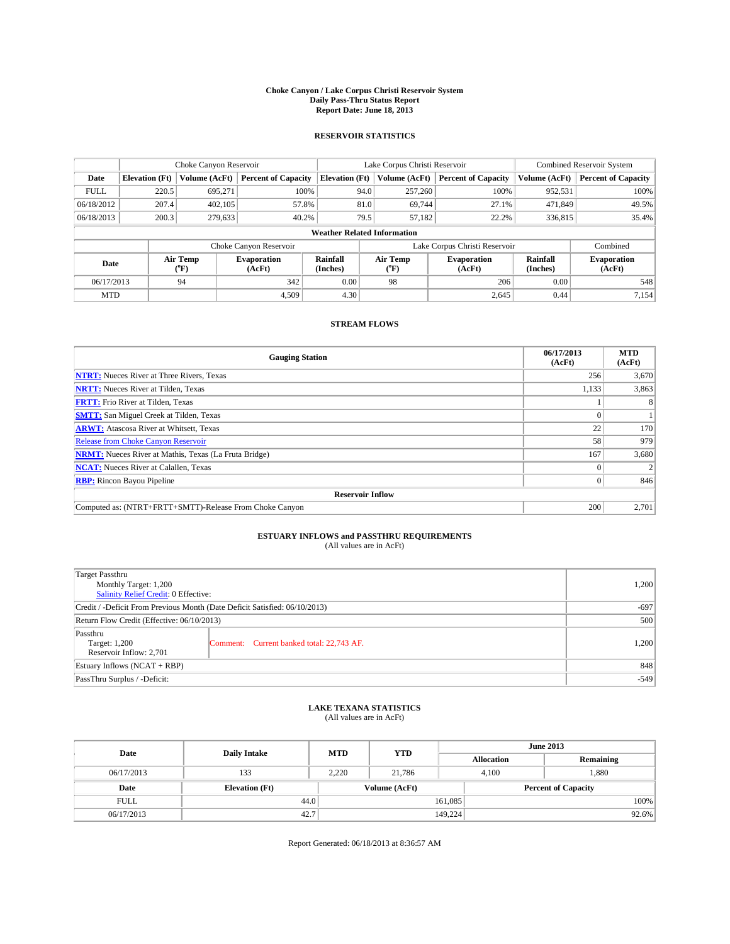#### **Choke Canyon / Lake Corpus Christi Reservoir System Daily Pass-Thru Status Report Report Date: June 18, 2013**

### **RESERVOIR STATISTICS**

|             | Choke Canyon Reservoir |                  |                              |                                    | Lake Corpus Christi Reservoir | <b>Combined Reservoir System</b> |               |                              |
|-------------|------------------------|------------------|------------------------------|------------------------------------|-------------------------------|----------------------------------|---------------|------------------------------|
| Date        | <b>Elevation</b> (Ft)  | Volume (AcFt)    | <b>Percent of Capacity</b>   | <b>Elevation (Ft)</b>              | Volume (AcFt)                 | <b>Percent of Capacity</b>       | Volume (AcFt) | <b>Percent of Capacity</b>   |
| <b>FULL</b> | 220.5                  | 695,271          | 100%                         | 94.0                               | 257,260                       | 100%                             | 952,531       | 100%                         |
| 06/18/2012  | 207.4                  | 402,105          | 57.8%                        | 81.0                               | 69,744                        | 27.1%                            | 471,849       | 49.5%                        |
| 06/18/2013  | 200.3                  | 279.633          | 40.2%                        | 79.5                               | 57,182                        | 22.2%                            | 336,815       | 35.4%                        |
|             |                        |                  |                              | <b>Weather Related Information</b> |                               |                                  |               |                              |
|             |                        |                  | Choke Canyon Reservoir       |                                    |                               | Lake Corpus Christi Reservoir    |               | Combined                     |
| Date        |                        | Air Temp<br>(°F) | <b>Evaporation</b><br>(AcFt) | Rainfall<br>(Inches)               | Air Temp<br>(°F)              | <b>Evaporation</b><br>(AcFt)     |               | <b>Evaporation</b><br>(AcFt) |
| 06/17/2013  |                        | 94               | 342                          | 0.00                               | 98                            | 206                              | 0.00          | 548                          |
| <b>MTD</b>  |                        |                  | 4.509                        | 4.30                               |                               | 2,645                            | 0.44          | 7,154                        |

### **STREAM FLOWS**

| <b>Gauging Station</b>                                       | 06/17/2013<br>(AcFt) | <b>MTD</b><br>(AcFt) |
|--------------------------------------------------------------|----------------------|----------------------|
| <b>NTRT:</b> Nueces River at Three Rivers, Texas             | 256                  | 3,670                |
| <b>NRTT:</b> Nueces River at Tilden, Texas                   | 1,133                | 3,863                |
| <b>FRTT:</b> Frio River at Tilden, Texas                     |                      |                      |
| <b>SMTT:</b> San Miguel Creek at Tilden, Texas               |                      |                      |
| <b>ARWT:</b> Atascosa River at Whitsett, Texas               | 22                   | 170                  |
| <b>Release from Choke Canyon Reservoir</b>                   | 58                   | 979                  |
| <b>NRMT:</b> Nueces River at Mathis, Texas (La Fruta Bridge) | 167                  | 3,680                |
| <b>NCAT:</b> Nueces River at Calallen, Texas                 |                      |                      |
| <b>RBP:</b> Rincon Bayou Pipeline                            | $\Omega$             | 846                  |
| <b>Reservoir Inflow</b>                                      |                      |                      |
| Computed as: (NTRT+FRTT+SMTT)-Release From Choke Canyon      | 200                  | 2,701                |

# **ESTUARY INFLOWS and PASSTHRU REQUIREMENTS**<br>(All values are in AcFt)

| Target Passthru<br>Monthly Target: 1,200<br>Salinity Relief Credit: 0 Effective: | 1,200                                     |       |
|----------------------------------------------------------------------------------|-------------------------------------------|-------|
| Credit / -Deficit From Previous Month (Date Deficit Satisfied: 06/10/2013)       | $-697$                                    |       |
| Return Flow Credit (Effective: 06/10/2013)                                       | 500                                       |       |
| Passthru<br>Target: 1,200<br>Reservoir Inflow: 2,701                             | Comment: Current banked total: 22,743 AF. | 1,200 |
| Estuary Inflows $(NCAT + RBP)$                                                   | 848                                       |       |
| PassThru Surplus / -Deficit:                                                     | $-549$                                    |       |

# **LAKE TEXANA STATISTICS** (All values are in AcFt)

| Date        | <b>Daily Intake</b>   | <b>MTD</b> | <b>YTD</b>    | <b>June 2013</b>           |                |           |  |
|-------------|-----------------------|------------|---------------|----------------------------|----------------|-----------|--|
|             |                       |            |               | <b>Allocation</b>          |                | Remaining |  |
| 06/17/2013  | 133                   | 2.220      | 21.786        |                            | .,880<br>4.100 |           |  |
| Date        | <b>Elevation (Ft)</b> |            | Volume (AcFt) | <b>Percent of Capacity</b> |                |           |  |
| <b>FULL</b> | 44.0                  |            |               | 161,085                    |                | 100%      |  |
| 06/17/2013  | 42.7                  |            |               | 149,224                    |                | 92.6%     |  |

Report Generated: 06/18/2013 at 8:36:57 AM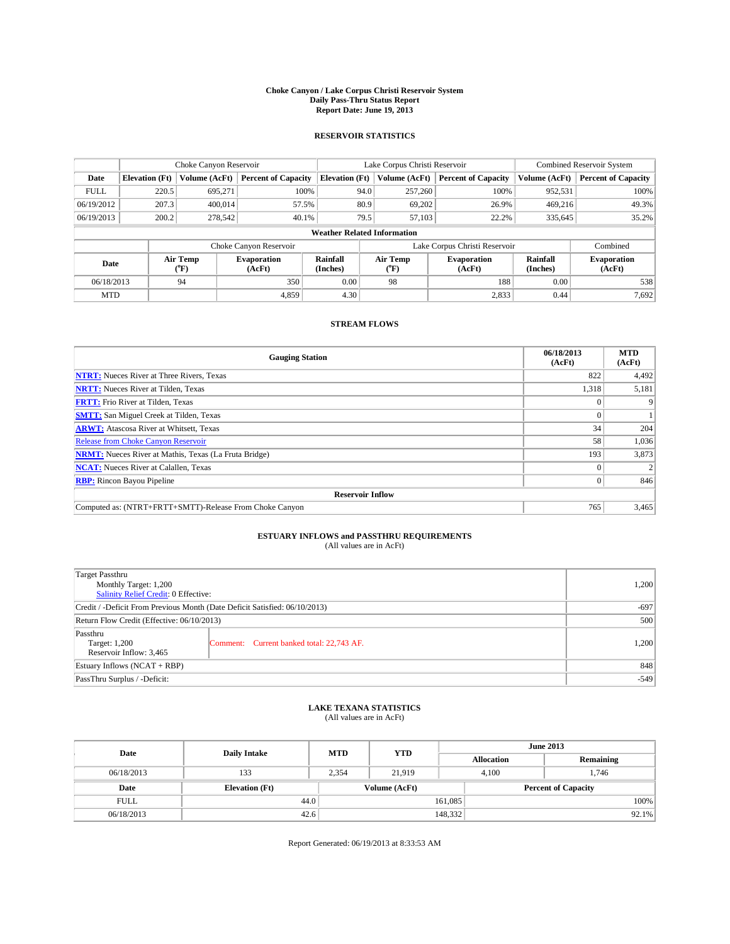#### **Choke Canyon / Lake Corpus Christi Reservoir System Daily Pass-Thru Status Report Report Date: June 19, 2013**

### **RESERVOIR STATISTICS**

|             | Choke Canyon Reservoir             |                  |                              |                       | Lake Corpus Christi Reservoir | <b>Combined Reservoir System</b> |                      |                              |  |  |
|-------------|------------------------------------|------------------|------------------------------|-----------------------|-------------------------------|----------------------------------|----------------------|------------------------------|--|--|
| Date        | <b>Elevation</b> (Ft)              | Volume (AcFt)    | <b>Percent of Capacity</b>   | <b>Elevation (Ft)</b> | Volume (AcFt)                 | <b>Percent of Capacity</b>       | Volume (AcFt)        | <b>Percent of Capacity</b>   |  |  |
| <b>FULL</b> | 220.5                              | 695,271          | 100%                         | 94.0                  | 257,260                       | 100%                             | 952,531              | 100%                         |  |  |
| 06/19/2012  | 207.3                              | 400,014          | 57.5%                        | 80.9                  | 69,202                        | 26.9%                            | 469,216              | 49.3%                        |  |  |
| 06/19/2013  | 200.2                              | 278,542          | 40.1%                        | 79.5                  | 57,103                        | 22.2%                            | 335,645              | 35.2%                        |  |  |
|             | <b>Weather Related Information</b> |                  |                              |                       |                               |                                  |                      |                              |  |  |
|             |                                    |                  | Choke Canyon Reservoir       |                       | Lake Corpus Christi Reservoir |                                  | Combined             |                              |  |  |
| Date        |                                    | Air Temp<br>(°F) | <b>Evaporation</b><br>(AcFt) | Rainfall<br>(Inches)  | Air Temp<br>(°F)              | <b>Evaporation</b><br>(AcFt)     | Rainfall<br>(Inches) | <b>Evaporation</b><br>(AcFt) |  |  |
| 06/18/2013  |                                    | 94               | 350                          | 0.00                  | 98                            | 188                              | 0.00                 | 538                          |  |  |
|             | <b>MTD</b>                         |                  | 4.859                        | 4.30                  |                               | 2,833                            | 0.44                 | 7,692                        |  |  |

### **STREAM FLOWS**

| <b>Gauging Station</b>                                       | 06/18/2013<br>(AcFt) | <b>MTD</b><br>(AcFt) |  |  |  |  |  |
|--------------------------------------------------------------|----------------------|----------------------|--|--|--|--|--|
| <b>NTRT:</b> Nueces River at Three Rivers, Texas             | 822                  | 4,492                |  |  |  |  |  |
| <b>NRTT:</b> Nueces River at Tilden, Texas                   | 1,318                | 5,181                |  |  |  |  |  |
| <b>FRTT:</b> Frio River at Tilden, Texas                     |                      |                      |  |  |  |  |  |
| <b>SMTT:</b> San Miguel Creek at Tilden, Texas               |                      |                      |  |  |  |  |  |
| <b>ARWT:</b> Atascosa River at Whitsett, Texas               | 34                   | 204                  |  |  |  |  |  |
| <b>Release from Choke Canyon Reservoir</b>                   | 58                   | 1,036                |  |  |  |  |  |
| <b>NRMT:</b> Nueces River at Mathis, Texas (La Fruta Bridge) | 193                  | 3,873                |  |  |  |  |  |
| <b>NCAT:</b> Nueces River at Calallen, Texas                 |                      |                      |  |  |  |  |  |
| <b>RBP:</b> Rincon Bayou Pipeline                            | $\Omega$             | 846                  |  |  |  |  |  |
| <b>Reservoir Inflow</b>                                      |                      |                      |  |  |  |  |  |
| Computed as: (NTRT+FRTT+SMTT)-Release From Choke Canyon      | 765                  | 3,465                |  |  |  |  |  |

# **ESTUARY INFLOWS and PASSTHRU REQUIREMENTS**<br>(All values are in AcFt)

| Target Passthru<br>Monthly Target: 1,200<br>Salinity Relief Credit: 0 Effective: |                                           |       |  |  |
|----------------------------------------------------------------------------------|-------------------------------------------|-------|--|--|
| Credit / -Deficit From Previous Month (Date Deficit Satisfied: 06/10/2013)       |                                           |       |  |  |
| Return Flow Credit (Effective: 06/10/2013)                                       |                                           |       |  |  |
| Passthru<br>Target: 1,200<br>Reservoir Inflow: 3,465                             | Comment: Current banked total: 22,743 AF. | 1,200 |  |  |
| Estuary Inflows $(NCAT + RBP)$                                                   | 848                                       |       |  |  |
| PassThru Surplus / -Deficit:                                                     | $-549$                                    |       |  |  |

# **LAKE TEXANA STATISTICS** (All values are in AcFt)

| Date        | <b>Daily Intake</b>   | <b>MTD</b> | <b>YTD</b>    | <b>June 2013</b>  |                            |           |  |
|-------------|-----------------------|------------|---------------|-------------------|----------------------------|-----------|--|
|             |                       |            |               | <b>Allocation</b> |                            | Remaining |  |
| 06/18/2013  | 133                   | 2.354      | 21.919        |                   | 4.100<br>1.746             |           |  |
| Date        | <b>Elevation (Ft)</b> |            | Volume (AcFt) |                   | <b>Percent of Capacity</b> |           |  |
| <b>FULL</b> | 44.0                  |            |               | 161,085           |                            | 100%      |  |
| 06/18/2013  | 42.6                  |            |               | 148,332           |                            | $92.1\%$  |  |

Report Generated: 06/19/2013 at 8:33:53 AM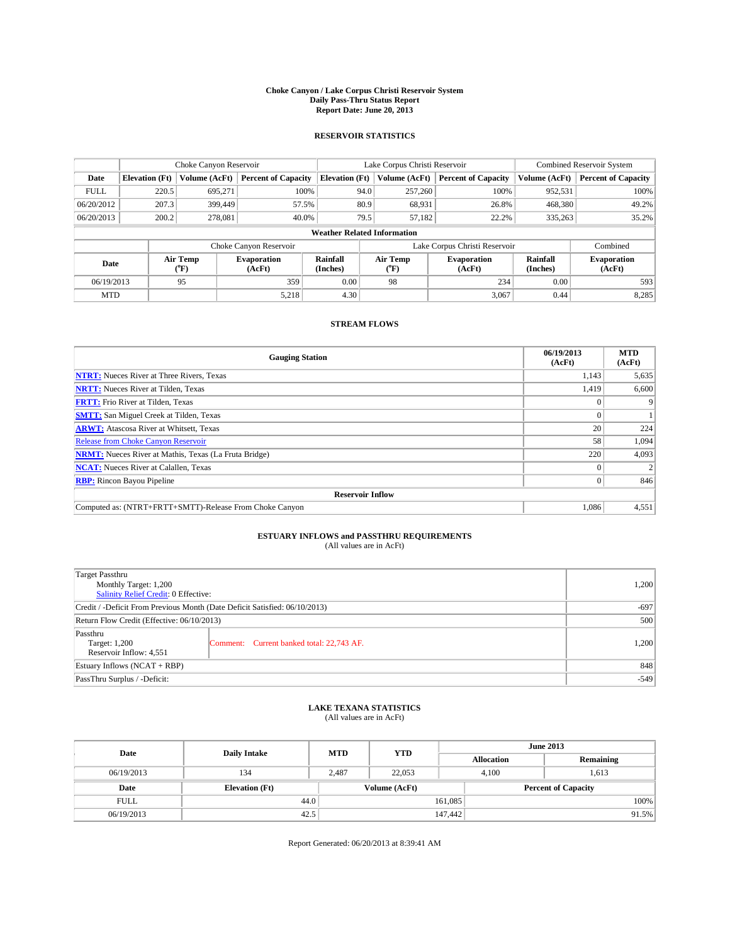#### **Choke Canyon / Lake Corpus Christi Reservoir System Daily Pass-Thru Status Report Report Date: June 20, 2013**

### **RESERVOIR STATISTICS**

|             |                                    | Choke Canyon Reservoir |                              |                       | Lake Corpus Christi Reservoir | <b>Combined Reservoir System</b> |                      |                              |  |
|-------------|------------------------------------|------------------------|------------------------------|-----------------------|-------------------------------|----------------------------------|----------------------|------------------------------|--|
| Date        | <b>Elevation</b> (Ft)              | Volume (AcFt)          | <b>Percent of Capacity</b>   | <b>Elevation (Ft)</b> | Volume (AcFt)                 | <b>Percent of Capacity</b>       | Volume (AcFt)        | <b>Percent of Capacity</b>   |  |
| <b>FULL</b> | 220.5                              | 695,271                | 100%                         | 94.0                  | 257,260                       | 100%                             | 952,531              | 100%                         |  |
| 06/20/2012  | 207.3                              | 399,449                | 57.5%                        | 80.9                  | 68,931                        | 26.8%                            | 468,380              | 49.2%                        |  |
| 06/20/2013  | 200.2                              | 278.081                | 40.0%                        | 79.5                  | 57,182                        | 22.2%                            | 335,263              | 35.2%                        |  |
|             | <b>Weather Related Information</b> |                        |                              |                       |                               |                                  |                      |                              |  |
|             |                                    |                        | Choke Canyon Reservoir       |                       | Lake Corpus Christi Reservoir |                                  | Combined             |                              |  |
| Date        |                                    | Air Temp<br>(°F)       | <b>Evaporation</b><br>(AcFt) | Rainfall<br>(Inches)  | Air Temp<br>("F)              | <b>Evaporation</b><br>(AcFt)     | Rainfall<br>(Inches) | <b>Evaporation</b><br>(AcFt) |  |
| 06/19/2013  |                                    | 95                     | 359                          | 0.00                  | 98                            | 234                              | 0.00                 | 593                          |  |
| <b>MTD</b>  |                                    |                        | 5,218                        | 4.30                  |                               | 3,067                            | 0.44                 | 8,285                        |  |

### **STREAM FLOWS**

| <b>Gauging Station</b>                                       | 06/19/2013<br>(AcFt) | <b>MTD</b><br>(AcFt) |  |  |  |  |  |
|--------------------------------------------------------------|----------------------|----------------------|--|--|--|--|--|
| <b>NTRT:</b> Nueces River at Three Rivers, Texas             | 1,143                | 5,635                |  |  |  |  |  |
| <b>NRTT:</b> Nueces River at Tilden, Texas                   | 1,419                | 6,600                |  |  |  |  |  |
| <b>FRTT:</b> Frio River at Tilden, Texas                     | 0                    | 9                    |  |  |  |  |  |
| <b>SMTT:</b> San Miguel Creek at Tilden, Texas               | $\Omega$             |                      |  |  |  |  |  |
| <b>ARWT:</b> Atascosa River at Whitsett, Texas               | 20                   | 224                  |  |  |  |  |  |
| <b>Release from Choke Canyon Reservoir</b>                   | 58                   | 1,094                |  |  |  |  |  |
| <b>NRMT:</b> Nueces River at Mathis, Texas (La Fruta Bridge) | 220                  | 4,093                |  |  |  |  |  |
| <b>NCAT:</b> Nueces River at Calallen, Texas                 |                      | 2                    |  |  |  |  |  |
| <b>RBP:</b> Rincon Bayou Pipeline                            | $\Omega$             | 846                  |  |  |  |  |  |
| <b>Reservoir Inflow</b>                                      |                      |                      |  |  |  |  |  |
| Computed as: (NTRT+FRTT+SMTT)-Release From Choke Canyon      | 1,086                | 4,551                |  |  |  |  |  |

# **ESTUARY INFLOWS and PASSTHRU REQUIREMENTS**<br>(All values are in AcFt)

| Target Passthru<br>Monthly Target: 1,200<br>Salinity Relief Credit: 0 Effective: |                                           |       |  |  |
|----------------------------------------------------------------------------------|-------------------------------------------|-------|--|--|
| Credit / -Deficit From Previous Month (Date Deficit Satisfied: 06/10/2013)       |                                           |       |  |  |
| Return Flow Credit (Effective: 06/10/2013)                                       |                                           |       |  |  |
| Passthru<br>Target: 1,200<br>Reservoir Inflow: 4,551                             | Comment: Current banked total: 22,743 AF. | 1,200 |  |  |
| Estuary Inflows $(NCAT + RBP)$                                                   | 848                                       |       |  |  |
| PassThru Surplus / -Deficit:                                                     | $-549$                                    |       |  |  |

# **LAKE TEXANA STATISTICS** (All values are in AcFt)

| Date        | <b>Daily Intake</b>   | <b>MTD</b> | <b>YTD</b>    | <b>June 2013</b>  |                            |           |       |
|-------------|-----------------------|------------|---------------|-------------------|----------------------------|-----------|-------|
|             |                       |            |               | <b>Allocation</b> |                            | Remaining |       |
| 06/19/2013  | 134                   | 2.487      | 22,053        |                   | 4.100<br>1,613             |           |       |
| Date        | <b>Elevation (Ft)</b> |            | Volume (AcFt) |                   | <b>Percent of Capacity</b> |           |       |
| <b>FULL</b> | 44.0                  |            |               | 161,085           |                            |           | 100%  |
| 06/19/2013  | 42.5                  |            |               | 147,442           |                            |           | 91.5% |

Report Generated: 06/20/2013 at 8:39:41 AM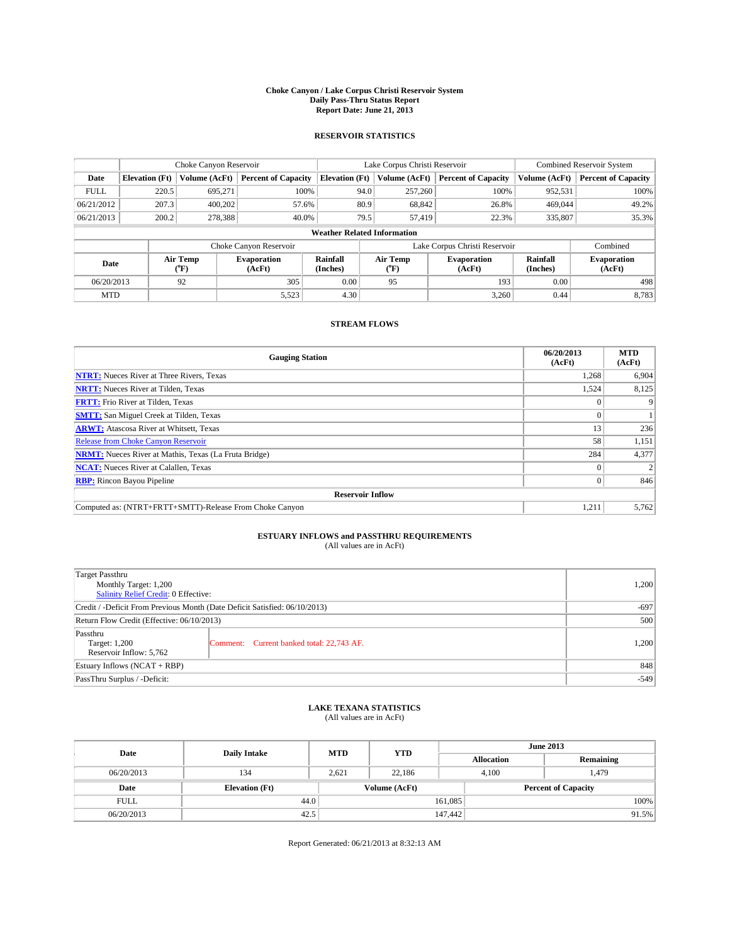#### **Choke Canyon / Lake Corpus Christi Reservoir System Daily Pass-Thru Status Report Report Date: June 21, 2013**

### **RESERVOIR STATISTICS**

|             |                                    | Choke Canyon Reservoir |                              |                       | Lake Corpus Christi Reservoir | <b>Combined Reservoir System</b> |                      |                              |  |  |
|-------------|------------------------------------|------------------------|------------------------------|-----------------------|-------------------------------|----------------------------------|----------------------|------------------------------|--|--|
| Date        | <b>Elevation</b> (Ft)              | Volume (AcFt)          | <b>Percent of Capacity</b>   | <b>Elevation (Ft)</b> | Volume (AcFt)                 | <b>Percent of Capacity</b>       | Volume (AcFt)        | Percent of Capacity          |  |  |
| <b>FULL</b> | 220.5                              | 695,271                | 100%                         | 94.0                  | 257,260                       | 100%                             | 952,531              | 100%                         |  |  |
| 06/21/2012  | 207.3                              | 400,202                | 57.6%                        | 80.9                  | 68,842                        | 26.8%                            | 469,044              | 49.2%                        |  |  |
| 06/21/2013  | 200.2                              | 278,388                | 40.0%                        | 79.5                  | 57,419                        | 22.3%                            | 335,807              | 35.3%                        |  |  |
|             | <b>Weather Related Information</b> |                        |                              |                       |                               |                                  |                      |                              |  |  |
|             |                                    |                        | Choke Canyon Reservoir       |                       | Lake Corpus Christi Reservoir |                                  | Combined             |                              |  |  |
| Date        |                                    | Air Temp<br>(°F)       | <b>Evaporation</b><br>(AcFt) | Rainfall<br>(Inches)  | Air Temp<br>("F)              | <b>Evaporation</b><br>(AcFt)     | Rainfall<br>(Inches) | <b>Evaporation</b><br>(AcFt) |  |  |
| 06/20/2013  |                                    | 92                     | 305                          | 0.00                  | 95                            | 193                              | 0.00                 |                              |  |  |
| <b>MTD</b>  |                                    |                        | 5,523                        | 4.30                  |                               | 3,260                            | 0.44                 | 8,783                        |  |  |

### **STREAM FLOWS**

| <b>Gauging Station</b>                                       | 06/20/2013<br>(AcFt) | <b>MTD</b><br>(AcFt) |  |  |  |  |  |
|--------------------------------------------------------------|----------------------|----------------------|--|--|--|--|--|
| <b>NTRT:</b> Nueces River at Three Rivers, Texas             | 1,268                | 6,904                |  |  |  |  |  |
| <b>NRTT:</b> Nueces River at Tilden, Texas                   | 1,524                | 8,125                |  |  |  |  |  |
| <b>FRTT:</b> Frio River at Tilden, Texas                     |                      |                      |  |  |  |  |  |
| <b>SMTT:</b> San Miguel Creek at Tilden, Texas               |                      |                      |  |  |  |  |  |
| <b>ARWT:</b> Atascosa River at Whitsett, Texas               | 13                   | 236                  |  |  |  |  |  |
| <b>Release from Choke Canyon Reservoir</b>                   | 58                   | 1,151                |  |  |  |  |  |
| <b>NRMT:</b> Nueces River at Mathis, Texas (La Fruta Bridge) | 284                  | 4,377                |  |  |  |  |  |
| <b>NCAT:</b> Nueces River at Calallen, Texas                 |                      |                      |  |  |  |  |  |
| <b>RBP:</b> Rincon Bayou Pipeline                            | $\Omega$             | 846                  |  |  |  |  |  |
| <b>Reservoir Inflow</b>                                      |                      |                      |  |  |  |  |  |
| Computed as: (NTRT+FRTT+SMTT)-Release From Choke Canyon      | 1,211                | 5,762                |  |  |  |  |  |

# **ESTUARY INFLOWS and PASSTHRU REQUIREMENTS**<br>(All values are in AcFt)

| Target Passthru                                                            |                                           |       |  |  |  |
|----------------------------------------------------------------------------|-------------------------------------------|-------|--|--|--|
| Monthly Target: 1,200                                                      |                                           |       |  |  |  |
| Salinity Relief Credit: 0 Effective:                                       |                                           |       |  |  |  |
| Credit / -Deficit From Previous Month (Date Deficit Satisfied: 06/10/2013) |                                           |       |  |  |  |
| Return Flow Credit (Effective: 06/10/2013)                                 |                                           |       |  |  |  |
| Passthru                                                                   |                                           |       |  |  |  |
| Target: 1,200                                                              | Comment: Current banked total: 22,743 AF. | 1,200 |  |  |  |
| Reservoir Inflow: 5,762                                                    |                                           |       |  |  |  |
| Estuary Inflows (NCAT + RBP)                                               |                                           |       |  |  |  |
| PassThru Surplus / -Deficit:                                               | $-549$                                    |       |  |  |  |

# **LAKE TEXANA STATISTICS** (All values are in AcFt)

| Date        | <b>Daily Intake</b>   | <b>MTD</b> | <b>YTD</b>    | <b>June 2013</b>  |                |                            |       |
|-------------|-----------------------|------------|---------------|-------------------|----------------|----------------------------|-------|
|             |                       |            |               | <b>Allocation</b> |                | Remaining                  |       |
| 06/20/2013  | 134                   | 2.621      | 22.186        |                   | 1.479<br>4.100 |                            |       |
| Date        | <b>Elevation (Ft)</b> |            | Volume (AcFt) |                   |                | <b>Percent of Capacity</b> |       |
| <b>FULL</b> | 44.0                  |            |               | 161,085           |                |                            | 100%  |
| 06/20/2013  | 42.5                  |            |               | 147,442           |                |                            | 91.5% |

Report Generated: 06/21/2013 at 8:32:13 AM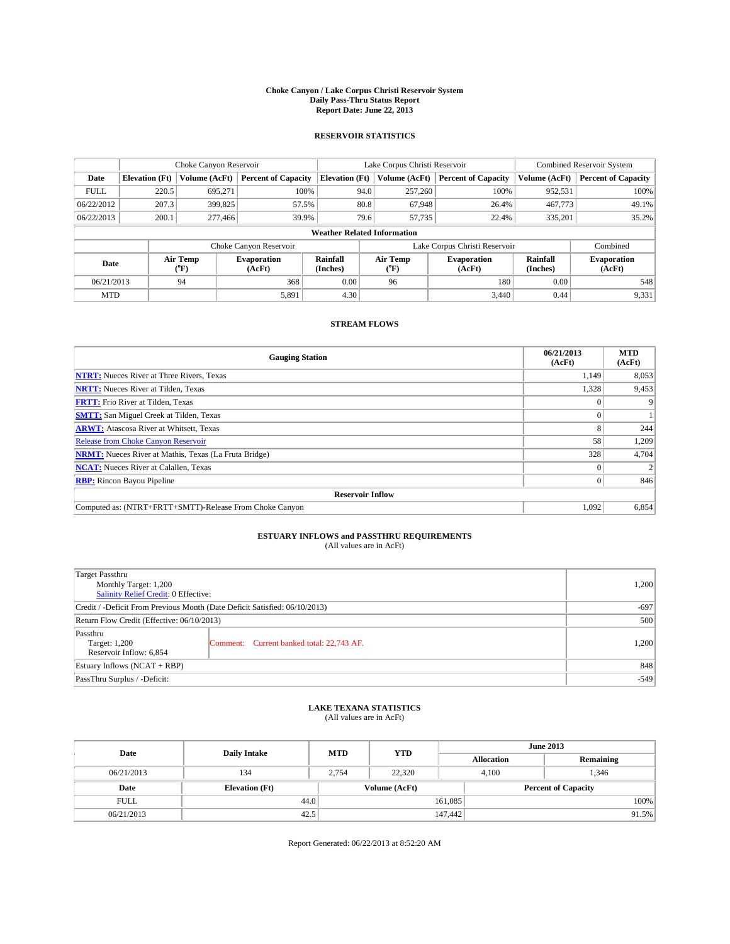#### **Choke Canyon / Lake Corpus Christi Reservoir System Daily Pass-Thru Status Report Report Date: June 22, 2013**

### **RESERVOIR STATISTICS**

|             |                                    | Choke Canyon Reservoir  |                              |                       | Lake Corpus Christi Reservoir | <b>Combined Reservoir System</b> |                      |                              |  |
|-------------|------------------------------------|-------------------------|------------------------------|-----------------------|-------------------------------|----------------------------------|----------------------|------------------------------|--|
| Date        | <b>Elevation</b> (Ft)              | Volume (AcFt)           | <b>Percent of Capacity</b>   | <b>Elevation (Ft)</b> | Volume (AcFt)                 | <b>Percent of Capacity</b>       | Volume (AcFt)        | <b>Percent of Capacity</b>   |  |
| <b>FULL</b> | 220.5                              | 695,271                 | 100%                         | 94.0                  | 257,260                       | 100%                             | 952,531              | 100%                         |  |
| 06/22/2012  | 207.3                              | 399,825                 | 57.5%                        | 80.8                  | 67,948                        | 26.4%                            | 467,773              | 49.1%                        |  |
| 06/22/2013  | 200.1                              | 277,466                 | 39.9%                        | 79.6                  | 57,735                        | 22.4%                            | 335,201              | 35.2%                        |  |
|             | <b>Weather Related Information</b> |                         |                              |                       |                               |                                  |                      |                              |  |
|             |                                    |                         | Choke Canyon Reservoir       |                       | Lake Corpus Christi Reservoir |                                  | Combined             |                              |  |
| Date        |                                    | Air Temp<br>(°F)        | <b>Evaporation</b><br>(AcFt) | Rainfall<br>(Inches)  | Air Temp<br>("F)              | <b>Evaporation</b><br>(AcFt)     | Rainfall<br>(Inches) | <b>Evaporation</b><br>(AcFt) |  |
| 06/21/2013  |                                    | 0.00<br>94<br>368<br>96 |                              | 180                   | 0.00                          | 548                              |                      |                              |  |
| <b>MTD</b>  |                                    |                         | 5,891                        | 4.30                  |                               | 3.440                            | 0.44                 | 9,331                        |  |

### **STREAM FLOWS**

| <b>Gauging Station</b>                                       | 06/21/2013<br>(AcFt) | <b>MTD</b><br>(AcFt) |  |  |  |
|--------------------------------------------------------------|----------------------|----------------------|--|--|--|
| <b>NTRT:</b> Nueces River at Three Rivers, Texas             | 1,149                | 8,053                |  |  |  |
| <b>NRTT:</b> Nueces River at Tilden, Texas                   | 1,328                | 9,453                |  |  |  |
| <b>FRTT:</b> Frio River at Tilden, Texas                     |                      |                      |  |  |  |
| <b>SMTT:</b> San Miguel Creek at Tilden, Texas               |                      |                      |  |  |  |
| <b>ARWT:</b> Atascosa River at Whitsett, Texas               | 8                    | 244                  |  |  |  |
| <b>Release from Choke Canyon Reservoir</b>                   | 58                   | 1,209                |  |  |  |
| <b>NRMT:</b> Nueces River at Mathis, Texas (La Fruta Bridge) | 328                  | 4,704                |  |  |  |
| <b>NCAT:</b> Nueces River at Calallen, Texas                 |                      |                      |  |  |  |
| <b>RBP:</b> Rincon Bayou Pipeline                            |                      | 846                  |  |  |  |
| <b>Reservoir Inflow</b>                                      |                      |                      |  |  |  |
| Computed as: (NTRT+FRTT+SMTT)-Release From Choke Canyon      | 1,092                | 6,854                |  |  |  |

# **ESTUARY INFLOWS and PASSTHRU REQUIREMENTS**<br>(All values are in AcFt)

| Target Passthru<br>Monthly Target: 1,200<br>Salinity Relief Credit: 0 Effective: |                                           |       |  |  |
|----------------------------------------------------------------------------------|-------------------------------------------|-------|--|--|
| Credit / -Deficit From Previous Month (Date Deficit Satisfied: 06/10/2013)       |                                           |       |  |  |
| Return Flow Credit (Effective: 06/10/2013)                                       |                                           |       |  |  |
| Passthru<br>Target: 1,200<br>Reservoir Inflow: 6,854                             | Comment: Current banked total: 22,743 AF. | 1,200 |  |  |
| Estuary Inflows $(NCAT + RBP)$                                                   | 848                                       |       |  |  |
| PassThru Surplus / -Deficit:                                                     | $-549$                                    |       |  |  |

# **LAKE TEXANA STATISTICS** (All values are in AcFt)

| Date        | <b>Daily Intake</b>   | <b>MTD</b> | <b>YTD</b>    | <b>June 2013</b>  |                            |           |  |
|-------------|-----------------------|------------|---------------|-------------------|----------------------------|-----------|--|
|             |                       |            |               | <b>Allocation</b> |                            | Remaining |  |
| 06/21/2013  | 134                   | 2.754      | 22,320        | 4.100             |                            | 1.346     |  |
| Date        | <b>Elevation</b> (Ft) |            | Volume (AcFt) |                   | <b>Percent of Capacity</b> |           |  |
| <b>FULL</b> | 44.0                  |            |               | 161,085           |                            | 100%      |  |
| 06/21/2013  | 42.5                  |            |               | 147,442           |                            | 91.5%     |  |

Report Generated: 06/22/2013 at 8:52:20 AM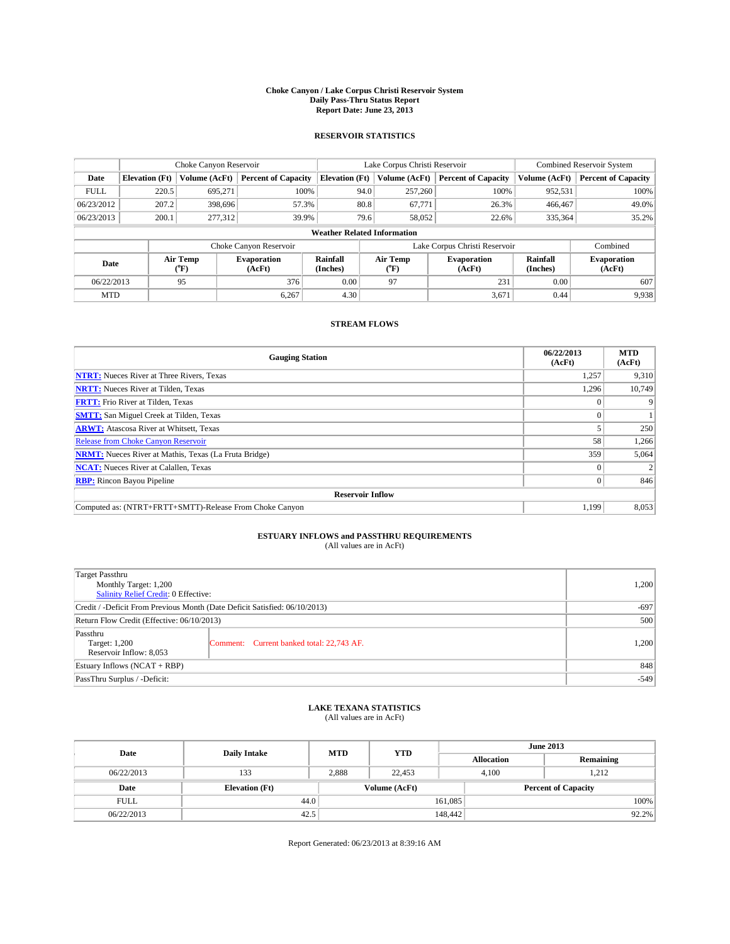#### **Choke Canyon / Lake Corpus Christi Reservoir System Daily Pass-Thru Status Report Report Date: June 23, 2013**

### **RESERVOIR STATISTICS**

|             | Choke Canyon Reservoir             |               | Lake Corpus Christi Reservoir |                       |                                           |         | <b>Combined Reservoir System</b> |                      |                              |
|-------------|------------------------------------|---------------|-------------------------------|-----------------------|-------------------------------------------|---------|----------------------------------|----------------------|------------------------------|
| Date        | <b>Elevation</b> (Ft)              | Volume (AcFt) | <b>Percent of Capacity</b>    | <b>Elevation (Ft)</b> | Volume (AcFt)                             |         | <b>Percent of Capacity</b>       | Volume (AcFt)        | Percent of Capacity          |
| <b>FULL</b> | 220.5                              | 695,271       | 100%                          |                       | 94.0                                      | 257,260 | 100%                             | 952,531              | 100%                         |
| 06/23/2012  | 207.2                              | 398,696       | 57.3%                         |                       | 80.8                                      | 67,771  | 26.3%                            | 466,467              | 49.0%                        |
| 06/23/2013  | 200.1                              | 277,312       | 39.9%                         |                       | 79.6                                      | 58,052  | 22.6%                            | 335,364              | $35.2\%$                     |
|             | <b>Weather Related Information</b> |               |                               |                       |                                           |         |                                  |                      |                              |
|             |                                    |               | Choke Canyon Reservoir        |                       | Combined<br>Lake Corpus Christi Reservoir |         |                                  |                      |                              |
| Date        | Air Temp<br>(°F)                   |               | <b>Evaporation</b><br>(AcFt)  | Rainfall<br>(Inches)  | Air Temp<br>("F)                          |         | <b>Evaporation</b><br>(AcFt)     | Rainfall<br>(Inches) | <b>Evaporation</b><br>(AcFt) |
| 06/22/2013  |                                    | 95            | 376<br>0.00<br>231<br>97      |                       | 0.00                                      | 607     |                                  |                      |                              |
| <b>MTD</b>  |                                    |               | 6.267                         | 4.30                  |                                           |         | 3,671                            | 0.44                 | 9,938                        |

### **STREAM FLOWS**

| <b>Gauging Station</b>                                       | 06/22/2013<br>(AcFt) | <b>MTD</b><br>(AcFt) |  |  |  |
|--------------------------------------------------------------|----------------------|----------------------|--|--|--|
| <b>NTRT:</b> Nueces River at Three Rivers, Texas             | 1,257                | 9,310                |  |  |  |
| <b>NRTT:</b> Nueces River at Tilden, Texas                   | 1,296                | 10,749               |  |  |  |
| <b>FRTT:</b> Frio River at Tilden, Texas                     |                      | 9                    |  |  |  |
| <b>SMTT:</b> San Miguel Creek at Tilden, Texas               | $\Omega$             |                      |  |  |  |
| <b>ARWT:</b> Atascosa River at Whitsett, Texas               |                      | 250                  |  |  |  |
| <b>Release from Choke Canyon Reservoir</b>                   | 58                   | 1,266                |  |  |  |
| <b>NRMT:</b> Nueces River at Mathis, Texas (La Fruta Bridge) | 359                  | 5,064                |  |  |  |
| <b>NCAT:</b> Nueces River at Calallen, Texas                 |                      | 2                    |  |  |  |
| <b>RBP:</b> Rincon Bayou Pipeline                            | $\Omega$             | 846                  |  |  |  |
| <b>Reservoir Inflow</b>                                      |                      |                      |  |  |  |
| Computed as: (NTRT+FRTT+SMTT)-Release From Choke Canyon      | 1,199                | 8,053                |  |  |  |

# **ESTUARY INFLOWS and PASSTHRU REQUIREMENTS**<br>(All values are in AcFt)

| Target Passthru<br>Monthly Target: 1,200<br>Salinity Relief Credit: 0 Effective: |                                           |       |  |  |
|----------------------------------------------------------------------------------|-------------------------------------------|-------|--|--|
| Credit / -Deficit From Previous Month (Date Deficit Satisfied: 06/10/2013)       |                                           |       |  |  |
| Return Flow Credit (Effective: 06/10/2013)                                       | 500                                       |       |  |  |
| Passthru<br>Target: 1,200<br>Reservoir Inflow: 8,053                             | Comment: Current banked total: 22,743 AF. | 1,200 |  |  |
| Estuary Inflows $(NCAT + RBP)$                                                   | 848                                       |       |  |  |
| PassThru Surplus / -Deficit:                                                     | $-549$                                    |       |  |  |

# **LAKE TEXANA STATISTICS** (All values are in AcFt)

| Date        |                       | <b>MTD</b> | <b>YTD</b>    | <b>June 2013</b>  |                            |           |       |
|-------------|-----------------------|------------|---------------|-------------------|----------------------------|-----------|-------|
|             | <b>Daily Intake</b>   |            |               | <b>Allocation</b> |                            | Remaining |       |
| 06/22/2013  | 133                   | 2.888      | 22,453        |                   | 1.212<br>4.100             |           |       |
| Date        | <b>Elevation (Ft)</b> |            | Volume (AcFt) |                   | <b>Percent of Capacity</b> |           |       |
| <b>FULL</b> | 44.0                  |            |               | 161,085           |                            |           | 100%  |
| 06/22/2013  | 42.5                  |            |               | 148,442           |                            |           | 92.2% |

Report Generated: 06/23/2013 at 8:39:16 AM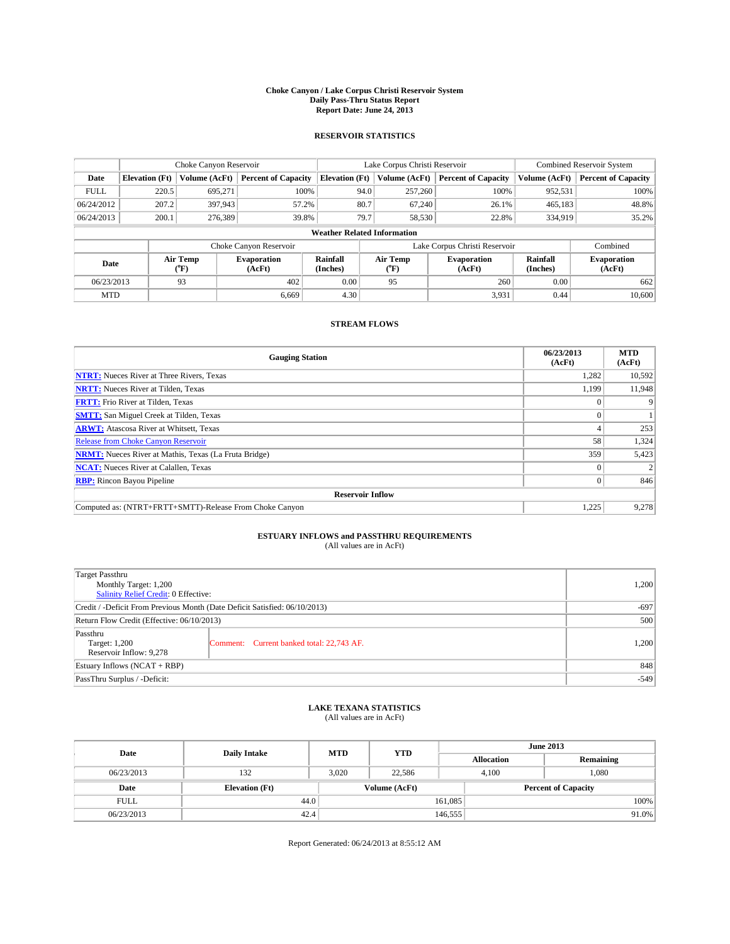#### **Choke Canyon / Lake Corpus Christi Reservoir System Daily Pass-Thru Status Report Report Date: June 24, 2013**

### **RESERVOIR STATISTICS**

|             | Choke Canyon Reservoir             |               | Lake Corpus Christi Reservoir |                       |                               |         | <b>Combined Reservoir System</b> |                      |                              |
|-------------|------------------------------------|---------------|-------------------------------|-----------------------|-------------------------------|---------|----------------------------------|----------------------|------------------------------|
| Date        | <b>Elevation</b> (Ft)              | Volume (AcFt) | <b>Percent of Capacity</b>    | <b>Elevation (Ft)</b> | Volume (AcFt)                 |         | <b>Percent of Capacity</b>       | Volume (AcFt)        | <b>Percent of Capacity</b>   |
| <b>FULL</b> | 220.5                              | 695,271       | 100%                          |                       | 94.0                          | 257,260 | 100%                             | 952,531              | 100%                         |
| 06/24/2012  | 207.2                              | 397,943       | 57.2%                         |                       | 80.7                          | 67,240  | 26.1%                            | 465,183              | 48.8%                        |
| 06/24/2013  | 200.1                              | 276,389       | 39.8%                         |                       | 79.7                          | 58,530  | 22.8%                            | 334,919              | 35.2%                        |
|             | <b>Weather Related Information</b> |               |                               |                       |                               |         |                                  |                      |                              |
|             |                                    |               | Choke Canyon Reservoir        |                       | Lake Corpus Christi Reservoir |         |                                  |                      | Combined                     |
| Date        | Air Temp<br>(°F)                   |               | <b>Evaporation</b><br>(AcFt)  | Rainfall<br>(Inches)  | Air Temp<br>("F)              |         | <b>Evaporation</b><br>(AcFt)     | Rainfall<br>(Inches) | <b>Evaporation</b><br>(AcFt) |
|             | 93<br>06/23/2013                   |               | 402                           | 0.00                  | 95                            |         | 260                              | 0.00                 | 662                          |
| <b>MTD</b>  |                                    |               | 6.669                         | 4.30                  |                               |         | 3,931                            | 0.44                 | 10,600                       |

### **STREAM FLOWS**

| <b>Gauging Station</b>                                       | 06/23/2013<br>(AcFt) | <b>MTD</b><br>(AcFt) |  |  |  |  |
|--------------------------------------------------------------|----------------------|----------------------|--|--|--|--|
| <b>NTRT:</b> Nueces River at Three Rivers, Texas             | 1,282                | 10,592               |  |  |  |  |
| <b>NRTT:</b> Nueces River at Tilden, Texas                   | 1,199                | 11,948               |  |  |  |  |
| <b>FRTT:</b> Frio River at Tilden, Texas                     |                      |                      |  |  |  |  |
| <b>SMTT:</b> San Miguel Creek at Tilden, Texas               |                      |                      |  |  |  |  |
| <b>ARWT:</b> Atascosa River at Whitsett, Texas               |                      | 253                  |  |  |  |  |
| <b>Release from Choke Canyon Reservoir</b>                   | 58                   | 1,324                |  |  |  |  |
| <b>NRMT:</b> Nueces River at Mathis, Texas (La Fruta Bridge) | 359                  | 5,423                |  |  |  |  |
| <b>NCAT:</b> Nueces River at Calallen, Texas                 |                      |                      |  |  |  |  |
| <b>RBP:</b> Rincon Bayou Pipeline                            | $\Omega$             | 846                  |  |  |  |  |
| <b>Reservoir Inflow</b>                                      |                      |                      |  |  |  |  |
| Computed as: (NTRT+FRTT+SMTT)-Release From Choke Canyon      | 1,225                | 9,278                |  |  |  |  |

# **ESTUARY INFLOWS and PASSTHRU REQUIREMENTS**<br>(All values are in AcFt)

| Target Passthru                                                            |        |  |  |  |  |
|----------------------------------------------------------------------------|--------|--|--|--|--|
| Monthly Target: 1,200                                                      | 1,200  |  |  |  |  |
| Salinity Relief Credit: 0 Effective:                                       |        |  |  |  |  |
| Credit / -Deficit From Previous Month (Date Deficit Satisfied: 06/10/2013) |        |  |  |  |  |
| Return Flow Credit (Effective: 06/10/2013)                                 | 500    |  |  |  |  |
| Passthru                                                                   |        |  |  |  |  |
| Comment: Current banked total: 22,743 AF.<br>Target: 1,200                 | 1,200  |  |  |  |  |
| Reservoir Inflow: 9,278                                                    |        |  |  |  |  |
| Estuary Inflows (NCAT + RBP)                                               |        |  |  |  |  |
| PassThru Surplus / -Deficit:                                               | $-549$ |  |  |  |  |

# **LAKE TEXANA STATISTICS** (All values are in AcFt)

| Date        | <b>Daily Intake</b>   | <b>MTD</b> | <b>YTD</b>    | <b>June 2013</b>  |                            |           |  |
|-------------|-----------------------|------------|---------------|-------------------|----------------------------|-----------|--|
|             |                       |            |               | <b>Allocation</b> |                            | Remaining |  |
| 06/23/2013  | 132                   | 3.020      | 22.586        | 4.100             |                            | 1.080     |  |
| Date        | <b>Elevation</b> (Ft) |            | Volume (AcFt) |                   | <b>Percent of Capacity</b> |           |  |
| <b>FULL</b> | 44.0                  |            |               | 161,085           |                            | 100%      |  |
| 06/23/2013  | 42.4                  |            |               | 146,555           |                            | 91.0%     |  |

Report Generated: 06/24/2013 at 8:55:12 AM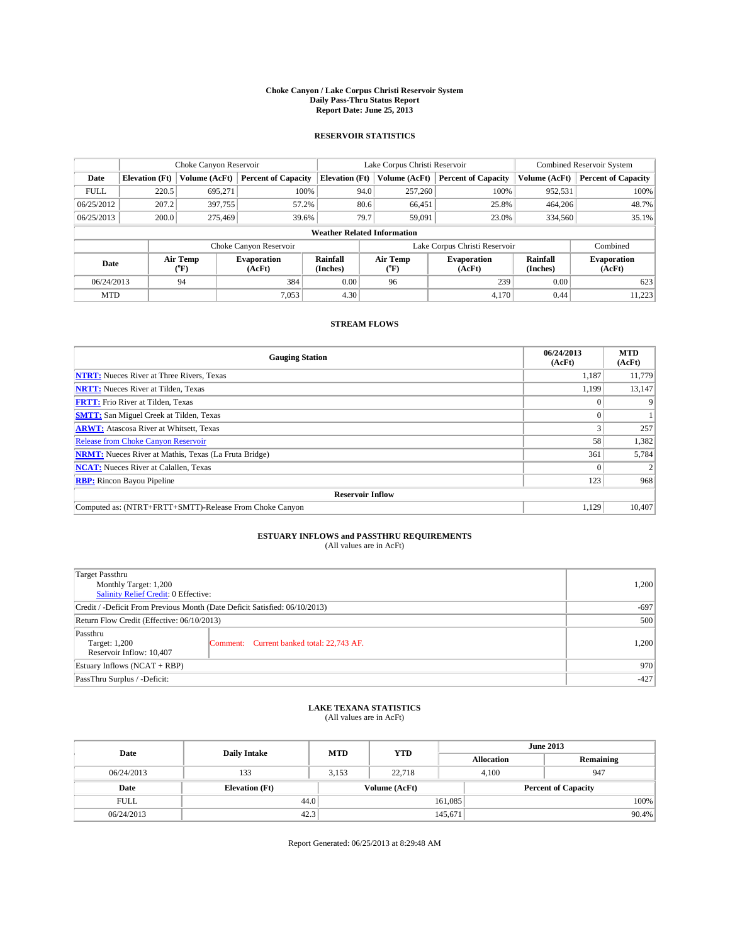#### **Choke Canyon / Lake Corpus Christi Reservoir System Daily Pass-Thru Status Report Report Date: June 25, 2013**

### **RESERVOIR STATISTICS**

|             |                                    | Choke Canyon Reservoir |                              |                       | Lake Corpus Christi Reservoir | <b>Combined Reservoir System</b> |                      |                              |  |
|-------------|------------------------------------|------------------------|------------------------------|-----------------------|-------------------------------|----------------------------------|----------------------|------------------------------|--|
| Date        | <b>Elevation</b> (Ft)              | Volume (AcFt)          | <b>Percent of Capacity</b>   | <b>Elevation (Ft)</b> | Volume (AcFt)                 | <b>Percent of Capacity</b>       | Volume (AcFt)        | <b>Percent of Capacity</b>   |  |
| <b>FULL</b> | 220.5                              | 695,271                | 100%                         | 94.0                  | 257,260                       | 100%                             | 952,531              | 100%                         |  |
| 06/25/2012  | 207.2                              | 397,755                | 57.2%                        | 80.6                  | 66,451                        | 25.8%                            | 464,206              | 48.7%                        |  |
| 06/25/2013  | 200.0                              | 275,469                | 39.6%                        | 79.7                  | 59,091                        | 23.0%                            | 334,560              | 35.1%                        |  |
|             | <b>Weather Related Information</b> |                        |                              |                       |                               |                                  |                      |                              |  |
|             |                                    |                        | Choke Canyon Reservoir       |                       | Lake Corpus Christi Reservoir |                                  | Combined             |                              |  |
| Date        |                                    | Air Temp<br>(°F)       | <b>Evaporation</b><br>(AcFt) | Rainfall<br>(Inches)  | Air Temp<br>(°F)              | <b>Evaporation</b><br>(AcFt)     | Rainfall<br>(Inches) | <b>Evaporation</b><br>(AcFt) |  |
| 06/24/2013  |                                    | 94                     | 384                          | 0.00                  | 96                            | 239                              | 0.00                 | 623                          |  |
| <b>MTD</b>  |                                    |                        | 7.053                        | 4.30                  |                               | 4.170                            | 0.44                 | 11,223                       |  |

### **STREAM FLOWS**

| <b>Gauging Station</b>                                       | 06/24/2013<br>(AcFt) | <b>MTD</b><br>(AcFt) |  |  |  |  |
|--------------------------------------------------------------|----------------------|----------------------|--|--|--|--|
| <b>NTRT:</b> Nueces River at Three Rivers, Texas             | 1,187                | 11,779               |  |  |  |  |
| <b>NRTT:</b> Nueces River at Tilden, Texas                   | 1,199                | 13,147               |  |  |  |  |
| <b>FRTT:</b> Frio River at Tilden, Texas                     |                      |                      |  |  |  |  |
| <b>SMTT:</b> San Miguel Creek at Tilden, Texas               |                      |                      |  |  |  |  |
| <b>ARWT:</b> Atascosa River at Whitsett, Texas               |                      | 257                  |  |  |  |  |
| <b>Release from Choke Canyon Reservoir</b>                   | 58                   | 1,382                |  |  |  |  |
| <b>NRMT:</b> Nueces River at Mathis, Texas (La Fruta Bridge) | 361                  | 5,784                |  |  |  |  |
| <b>NCAT:</b> Nueces River at Calallen, Texas                 |                      |                      |  |  |  |  |
| <b>RBP:</b> Rincon Bayou Pipeline                            | 123                  | 968                  |  |  |  |  |
| <b>Reservoir Inflow</b>                                      |                      |                      |  |  |  |  |
| Computed as: (NTRT+FRTT+SMTT)-Release From Choke Canyon      | 1,129                | 10,407               |  |  |  |  |

# **ESTUARY INFLOWS and PASSTHRU REQUIREMENTS**<br>(All values are in AcFt)

| Target Passthru<br>Monthly Target: 1,200<br>Salinity Relief Credit: 0 Effective: | 1,200                                     |       |
|----------------------------------------------------------------------------------|-------------------------------------------|-------|
| Credit / -Deficit From Previous Month (Date Deficit Satisfied: 06/10/2013)       | $-697$                                    |       |
| Return Flow Credit (Effective: 06/10/2013)                                       | 500                                       |       |
| Passthru<br>Target: 1,200<br>Reservoir Inflow: 10,407                            | Comment: Current banked total: 22,743 AF. | 1,200 |
| Estuary Inflows $(NCAT + RBP)$                                                   | 970                                       |       |
| PassThru Surplus / -Deficit:                                                     | $-427$                                    |       |

## **LAKE TEXANA STATISTICS** (All values are in AcFt)

| Date        | <b>Daily Intake</b>   | <b>MTD</b> | <b>YTD</b>    | <b>June 2013</b>  |                            |           |  |
|-------------|-----------------------|------------|---------------|-------------------|----------------------------|-----------|--|
|             |                       |            |               | <b>Allocation</b> |                            | Remaining |  |
| 06/24/2013  | 133                   | 3.153      | 22,718        | 4.100             |                            | 947       |  |
| Date        | <b>Elevation</b> (Ft) |            | Volume (AcFt) |                   | <b>Percent of Capacity</b> |           |  |
| <b>FULL</b> | 44.0                  |            |               | 161,085           |                            | 100%      |  |
| 06/24/2013  | 42.3                  |            |               | 145,671           |                            | 90.4%     |  |

Report Generated: 06/25/2013 at 8:29:48 AM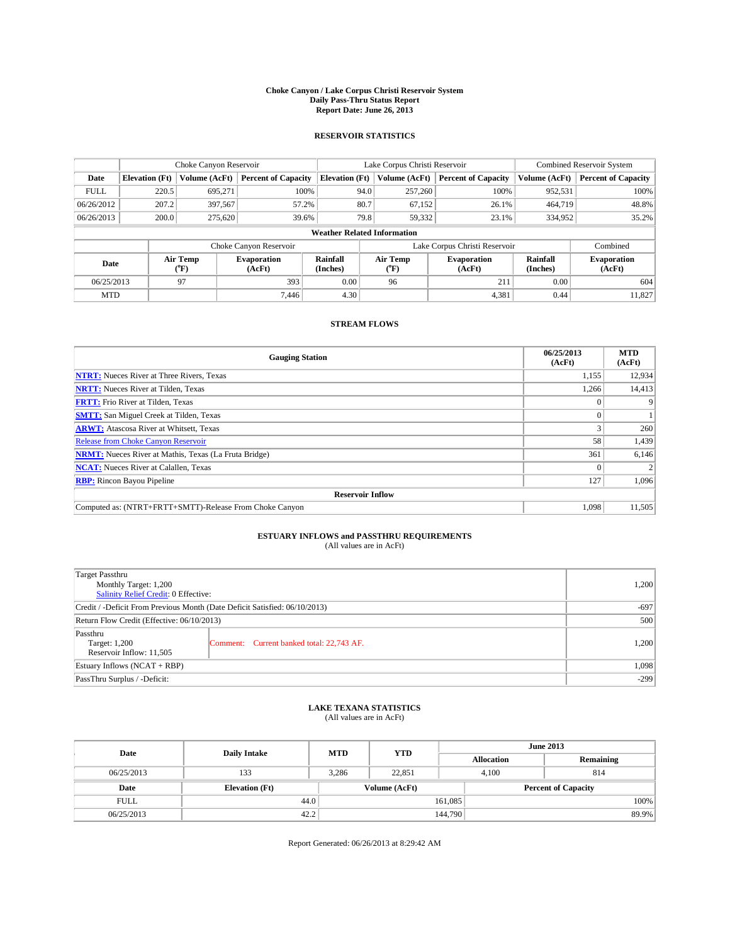#### **Choke Canyon / Lake Corpus Christi Reservoir System Daily Pass-Thru Status Report Report Date: June 26, 2013**

### **RESERVOIR STATISTICS**

|             | Choke Canyon Reservoir             |               | Lake Corpus Christi Reservoir |                       |                               |                  | <b>Combined Reservoir System</b> |                      |                              |
|-------------|------------------------------------|---------------|-------------------------------|-----------------------|-------------------------------|------------------|----------------------------------|----------------------|------------------------------|
| Date        | <b>Elevation</b> (Ft)              | Volume (AcFt) | <b>Percent of Capacity</b>    | <b>Elevation (Ft)</b> |                               | Volume (AcFt)    | <b>Percent of Capacity</b>       | Volume (AcFt)        | <b>Percent of Capacity</b>   |
| <b>FULL</b> | 220.5                              | 695,271       | 100%                          |                       | 94.0                          | 257,260          | 100%                             | 952,531              | 100%                         |
| 06/26/2012  | 207.2                              | 397,567       | 57.2%                         |                       | 80.7                          | 67,152           | 26.1%                            | 464,719              | 48.8%                        |
| 06/26/2013  | 200.0                              | 275.620       | 39.6%                         |                       | 79.8                          | 59,332           | 23.1%                            | 334,952              | 35.2%                        |
|             | <b>Weather Related Information</b> |               |                               |                       |                               |                  |                                  |                      |                              |
|             |                                    |               | Choke Canyon Reservoir        |                       | Lake Corpus Christi Reservoir |                  |                                  |                      | Combined                     |
| Date        | Air Temp<br>(°F)                   |               | <b>Evaporation</b><br>(AcFt)  | Rainfall<br>(Inches)  |                               | Air Temp<br>(°F) | <b>Evaporation</b><br>(AcFt)     | Rainfall<br>(Inches) | <b>Evaporation</b><br>(AcFt) |
| 06/25/2013  |                                    | 97            | 393                           | 0.00                  |                               | 96               | 211                              | 0.00                 | 604                          |
| <b>MTD</b>  |                                    |               | 7.446                         | 4.30                  |                               |                  | 4,381                            | 0.44                 | 11,827                       |

### **STREAM FLOWS**

| <b>Gauging Station</b>                                       | 06/25/2013<br>(AcFt) | <b>MTD</b><br>(AcFt) |  |  |  |  |
|--------------------------------------------------------------|----------------------|----------------------|--|--|--|--|
| <b>NTRT:</b> Nueces River at Three Rivers, Texas             | 1,155                | 12,934               |  |  |  |  |
| <b>NRTT:</b> Nueces River at Tilden, Texas                   | 1,266                | 14,413               |  |  |  |  |
| <b>FRTT:</b> Frio River at Tilden, Texas                     |                      |                      |  |  |  |  |
| <b>SMTT:</b> San Miguel Creek at Tilden, Texas               |                      |                      |  |  |  |  |
| <b>ARWT:</b> Atascosa River at Whitsett, Texas               |                      | 260                  |  |  |  |  |
| <b>Release from Choke Canyon Reservoir</b>                   | 58                   | 1,439                |  |  |  |  |
| <b>NRMT:</b> Nueces River at Mathis, Texas (La Fruta Bridge) | 361                  | 6,146                |  |  |  |  |
| <b>NCAT:</b> Nueces River at Calallen, Texas                 |                      |                      |  |  |  |  |
| <b>RBP:</b> Rincon Bayou Pipeline                            | 127                  | 1,096                |  |  |  |  |
| <b>Reservoir Inflow</b>                                      |                      |                      |  |  |  |  |
| Computed as: (NTRT+FRTT+SMTT)-Release From Choke Canyon      | 1,098                | 11,505               |  |  |  |  |

# **ESTUARY INFLOWS and PASSTHRU REQUIREMENTS**<br>(All values are in AcFt)

| Target Passthru<br>Monthly Target: 1,200<br>Salinity Relief Credit: 0 Effective: | 1,200                                     |       |
|----------------------------------------------------------------------------------|-------------------------------------------|-------|
| Credit / -Deficit From Previous Month (Date Deficit Satisfied: 06/10/2013)       | $-697$                                    |       |
| Return Flow Credit (Effective: 06/10/2013)                                       | 500                                       |       |
| Passthru<br>Target: 1,200<br>Reservoir Inflow: 11,505                            | Comment: Current banked total: 22,743 AF. | 1,200 |
| Estuary Inflows $(NCAT + RBP)$                                                   | 1,098                                     |       |
| PassThru Surplus / -Deficit:                                                     | $-299$                                    |       |

# **LAKE TEXANA STATISTICS** (All values are in AcFt)

| Date        | <b>Daily Intake</b>   | <b>MTD</b> | <b>YTD</b>    | <b>June 2013</b>  |                            |           |  |
|-------------|-----------------------|------------|---------------|-------------------|----------------------------|-----------|--|
|             |                       |            |               | <b>Allocation</b> |                            | Remaining |  |
| 06/25/2013  | 133                   | 3.286      | 22.851        | 4.100             |                            | 814       |  |
| Date        | <b>Elevation</b> (Ft) |            | Volume (AcFt) |                   | <b>Percent of Capacity</b> |           |  |
| <b>FULL</b> | 44.0                  |            |               | 161,085           |                            | 100%      |  |
| 06/25/2013  | 42.2                  |            |               | 144,790           |                            | 89.9%     |  |

Report Generated: 06/26/2013 at 8:29:42 AM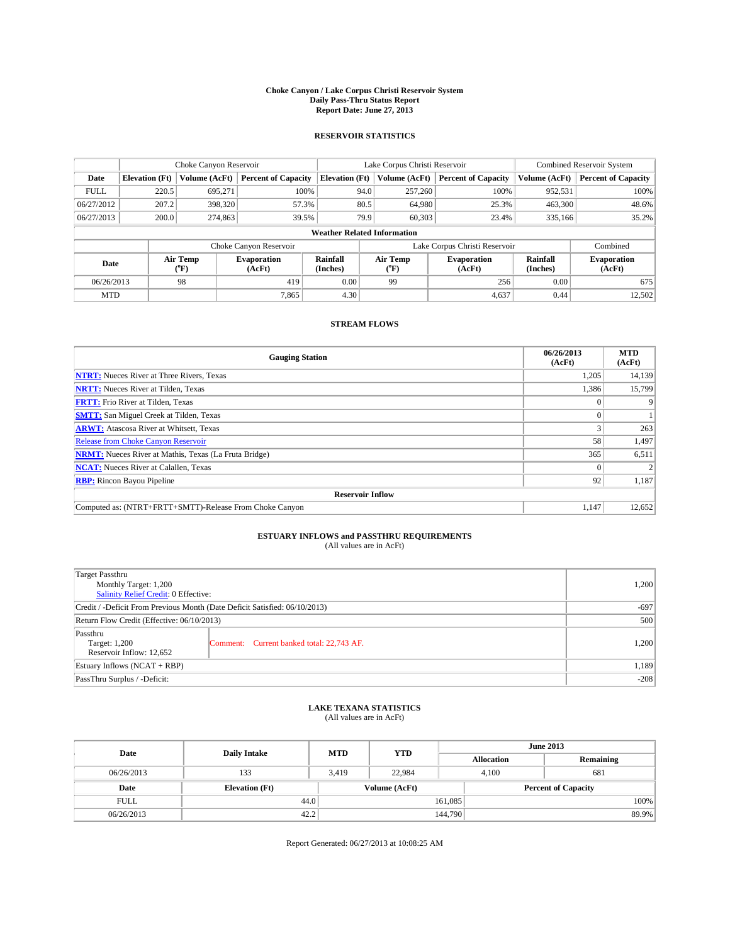#### **Choke Canyon / Lake Corpus Christi Reservoir System Daily Pass-Thru Status Report Report Date: June 27, 2013**

### **RESERVOIR STATISTICS**

|             |                                    | Choke Canyon Reservoir |                              |                       | Lake Corpus Christi Reservoir | <b>Combined Reservoir System</b> |                      |                              |  |
|-------------|------------------------------------|------------------------|------------------------------|-----------------------|-------------------------------|----------------------------------|----------------------|------------------------------|--|
| Date        | <b>Elevation</b> (Ft)              | Volume (AcFt)          | <b>Percent of Capacity</b>   | <b>Elevation (Ft)</b> | Volume (AcFt)                 | <b>Percent of Capacity</b>       | Volume (AcFt)        | <b>Percent of Capacity</b>   |  |
| <b>FULL</b> | 220.5                              | 695,271                | 100%                         |                       | 94.0<br>257,260               | 100%                             | 952,531              | 100%                         |  |
| 06/27/2012  | 207.2                              | 398,320                | 57.3%                        |                       | 80.5<br>64,980                | 25.3%                            | 463,300              | 48.6%                        |  |
| 06/27/2013  | 200.0                              | 274,863                | 39.5%                        |                       | 79.9<br>60.303                | 23.4%                            | 335,166              | 35.2%                        |  |
|             | <b>Weather Related Information</b> |                        |                              |                       |                               |                                  |                      |                              |  |
|             |                                    |                        | Choke Canyon Reservoir       |                       | Lake Corpus Christi Reservoir |                                  | Combined             |                              |  |
| Date        |                                    | Air Temp<br>(°F)       | <b>Evaporation</b><br>(AcFt) | Rainfall<br>(Inches)  | Air Temp<br>(°F)              | <b>Evaporation</b><br>(AcFt)     | Rainfall<br>(Inches) | <b>Evaporation</b><br>(AcFt) |  |
| 06/26/2013  |                                    | 98                     | 419                          | 0.00                  | 99                            | 256                              | 0.00                 | 675                          |  |
| <b>MTD</b>  |                                    |                        | 7.865                        | 4.30                  |                               | 4,637                            | 0.44                 | 12,502                       |  |

### **STREAM FLOWS**

| <b>Gauging Station</b>                                       | 06/26/2013<br>(AcFt) | <b>MTD</b><br>(AcFt) |  |  |  |  |
|--------------------------------------------------------------|----------------------|----------------------|--|--|--|--|
| <b>NTRT:</b> Nueces River at Three Rivers, Texas             | 1,205                | 14,139               |  |  |  |  |
| <b>NRTT:</b> Nueces River at Tilden, Texas                   | 1,386                | 15,799               |  |  |  |  |
| <b>FRTT:</b> Frio River at Tilden, Texas                     |                      |                      |  |  |  |  |
| <b>SMTT:</b> San Miguel Creek at Tilden, Texas               |                      |                      |  |  |  |  |
| <b>ARWT:</b> Atascosa River at Whitsett, Texas               |                      | 263                  |  |  |  |  |
| <b>Release from Choke Canyon Reservoir</b>                   | 58                   | 1,497                |  |  |  |  |
| <b>NRMT:</b> Nueces River at Mathis, Texas (La Fruta Bridge) | 365                  | 6,511                |  |  |  |  |
| <b>NCAT:</b> Nueces River at Calallen, Texas                 |                      |                      |  |  |  |  |
| <b>RBP:</b> Rincon Bayou Pipeline                            | 92                   | 1,187                |  |  |  |  |
| <b>Reservoir Inflow</b>                                      |                      |                      |  |  |  |  |
| Computed as: (NTRT+FRTT+SMTT)-Release From Choke Canyon      | 1,147                | 12,652               |  |  |  |  |

# **ESTUARY INFLOWS and PASSTHRU REQUIREMENTS**<br>(All values are in AcFt)

| Target Passthru<br>Monthly Target: 1,200<br>Salinity Relief Credit: 0 Effective: | 1,200                                     |       |
|----------------------------------------------------------------------------------|-------------------------------------------|-------|
| Credit / -Deficit From Previous Month (Date Deficit Satisfied: 06/10/2013)       | $-697$                                    |       |
| Return Flow Credit (Effective: 06/10/2013)                                       | 500                                       |       |
| Passthru<br>Target: 1,200<br>Reservoir Inflow: 12,652                            | Comment: Current banked total: 22,743 AF. | 1,200 |
| Estuary Inflows $(NCAT + RBP)$                                                   | 1,189                                     |       |
| PassThru Surplus / -Deficit:                                                     | $-208$                                    |       |

# **LAKE TEXANA STATISTICS** (All values are in AcFt)

| Date        | <b>Daily Intake</b>   | <b>MTD</b> | <b>YTD</b>    | <b>June 2013</b>  |                            |           |  |
|-------------|-----------------------|------------|---------------|-------------------|----------------------------|-----------|--|
|             |                       |            |               | <b>Allocation</b> |                            | Remaining |  |
| 06/26/2013  | 133                   | 3.419      | 22,984        | 4.100             |                            | 681       |  |
| Date        | <b>Elevation</b> (Ft) |            | Volume (AcFt) |                   | <b>Percent of Capacity</b> |           |  |
| <b>FULL</b> | 44.0                  |            |               | 161,085           |                            | 100%      |  |
| 06/26/2013  | 42.2                  |            |               | 144,790           |                            | 89.9%     |  |

Report Generated: 06/27/2013 at 10:08:25 AM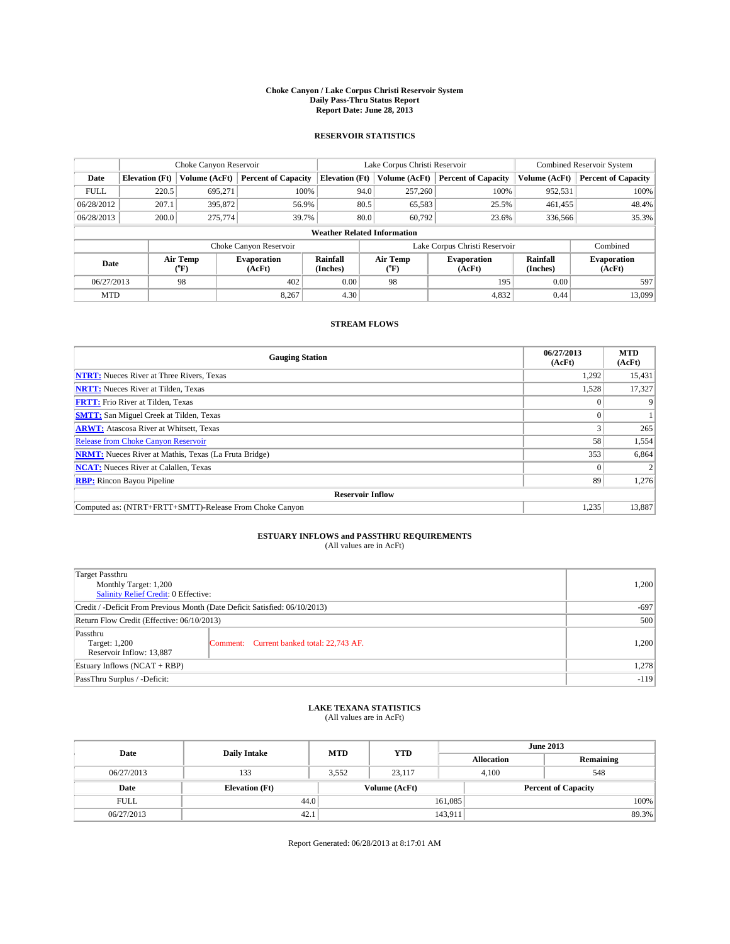#### **Choke Canyon / Lake Corpus Christi Reservoir System Daily Pass-Thru Status Report Report Date: June 28, 2013**

### **RESERVOIR STATISTICS**

|                                    | Choke Canyon Reservoir |                                        | Lake Corpus Christi Reservoir |                       |                               |                  | <b>Combined Reservoir System</b> |                      |                              |
|------------------------------------|------------------------|----------------------------------------|-------------------------------|-----------------------|-------------------------------|------------------|----------------------------------|----------------------|------------------------------|
| Date                               | <b>Elevation</b> (Ft)  | Volume (AcFt)                          | <b>Percent of Capacity</b>    | <b>Elevation (Ft)</b> |                               | Volume (AcFt)    | <b>Percent of Capacity</b>       | Volume (AcFt)        | Percent of Capacity          |
| <b>FULL</b>                        | 220.5                  | 695,271                                | 100%                          |                       | 94.0                          | 257,260          | 100%                             | 952,531              | 100%                         |
| 06/28/2012                         | 207.1                  | 395,872                                | 56.9%                         |                       | 80.5                          | 65,583           | 25.5%                            | 461,455              | 48.4%                        |
| 06/28/2013                         | 200.0                  | 275,774                                | 39.7%                         |                       | 80.0                          | 60.792           | 23.6%                            | 336,566              | 35.3%                        |
| <b>Weather Related Information</b> |                        |                                        |                               |                       |                               |                  |                                  |                      |                              |
|                                    |                        |                                        | Choke Canyon Reservoir        |                       | Lake Corpus Christi Reservoir |                  |                                  |                      | Combined                     |
| Date                               |                        | Air Temp<br><b>Evaporation</b><br>(°F) |                               | Rainfall<br>(Inches)  |                               | Air Temp<br>("F) | <b>Evaporation</b><br>(AcFt)     | Rainfall<br>(Inches) | <b>Evaporation</b><br>(AcFt) |
| 06/27/2013                         |                        | 98                                     | 402                           | 0.00                  |                               | 98               | 195                              | 0.00                 | 597                          |
| <b>MTD</b>                         |                        |                                        | 8.267                         | 4.30                  |                               |                  | 4,832                            | 0.44                 | 13,099                       |

### **STREAM FLOWS**

| <b>Gauging Station</b>                                       | 06/27/2013<br>(AcFt) | <b>MTD</b><br>(AcFt) |  |  |  |  |
|--------------------------------------------------------------|----------------------|----------------------|--|--|--|--|
| <b>NTRT:</b> Nueces River at Three Rivers, Texas             | 1,292                | 15,431               |  |  |  |  |
| <b>NRTT:</b> Nueces River at Tilden, Texas                   | 1,528                | 17,327               |  |  |  |  |
| <b>FRTT:</b> Frio River at Tilden, Texas                     |                      |                      |  |  |  |  |
| <b>SMTT:</b> San Miguel Creek at Tilden, Texas               |                      |                      |  |  |  |  |
| <b>ARWT:</b> Atascosa River at Whitsett, Texas               |                      | 265                  |  |  |  |  |
| <b>Release from Choke Canyon Reservoir</b>                   | 58                   | 1,554                |  |  |  |  |
| <b>NRMT:</b> Nueces River at Mathis, Texas (La Fruta Bridge) | 353                  | 6,864                |  |  |  |  |
| <b>NCAT:</b> Nueces River at Calallen, Texas                 |                      |                      |  |  |  |  |
| <b>RBP:</b> Rincon Bayou Pipeline                            | 89                   | 1,276                |  |  |  |  |
| <b>Reservoir Inflow</b>                                      |                      |                      |  |  |  |  |
| Computed as: (NTRT+FRTT+SMTT)-Release From Choke Canyon      | 1,235                | 13,887               |  |  |  |  |

# **ESTUARY INFLOWS and PASSTHRU REQUIREMENTS**<br>(All values are in AcFt)

| Target Passthru                                                            |                                           | 1,200 |  |  |
|----------------------------------------------------------------------------|-------------------------------------------|-------|--|--|
| Monthly Target: 1,200                                                      |                                           |       |  |  |
| Salinity Relief Credit: 0 Effective:                                       |                                           |       |  |  |
| Credit / -Deficit From Previous Month (Date Deficit Satisfied: 06/10/2013) | $-697$                                    |       |  |  |
| Return Flow Credit (Effective: 06/10/2013)                                 | 500                                       |       |  |  |
| Passthru<br>Target: 1,200<br>Reservoir Inflow: 13,887                      | Comment: Current banked total: 22,743 AF. | 1,200 |  |  |
| Estuary Inflows $(NCAT + RBP)$                                             |                                           |       |  |  |
| PassThru Surplus / -Deficit:                                               | $-119$                                    |       |  |  |

# **LAKE TEXANA STATISTICS** (All values are in AcFt)

| Date        | <b>Daily Intake</b>   | <b>MTD</b> | <b>YTD</b>    | <b>June 2013</b>  |                            |           |  |
|-------------|-----------------------|------------|---------------|-------------------|----------------------------|-----------|--|
|             |                       |            |               | <b>Allocation</b> |                            | Remaining |  |
| 06/27/2013  | 133                   | 3.552      | 23.117        | 4.100             |                            | 548       |  |
| Date        | <b>Elevation</b> (Ft) |            | Volume (AcFt) |                   | <b>Percent of Capacity</b> |           |  |
| <b>FULL</b> | 44.0                  |            |               | 161,085           |                            | 100%      |  |
| 06/27/2013  | 42.1                  |            |               | 143,911           |                            | 89.3%     |  |

Report Generated: 06/28/2013 at 8:17:01 AM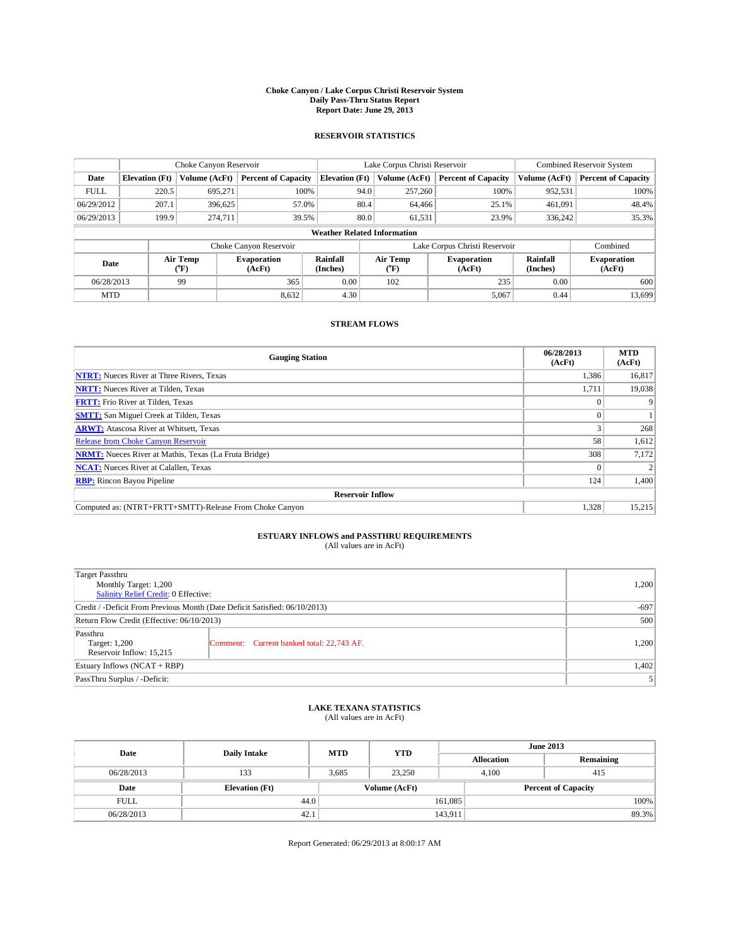#### **Choke Canyon / Lake Corpus Christi Reservoir System Daily Pass-Thru Status Report Report Date: June 29, 2013**

### **RESERVOIR STATISTICS**

|                                    |                       | Choke Canyon Reservoir |                              |                       | Lake Corpus Christi Reservoir | <b>Combined Reservoir System</b> |               |                              |
|------------------------------------|-----------------------|------------------------|------------------------------|-----------------------|-------------------------------|----------------------------------|---------------|------------------------------|
| Date                               | <b>Elevation</b> (Ft) | Volume (AcFt)          | <b>Percent of Capacity</b>   | <b>Elevation (Ft)</b> | Volume (AcFt)                 | <b>Percent of Capacity</b>       | Volume (AcFt) | Percent of Capacity          |
| <b>FULL</b>                        | 220.5                 | 695,271                | 100%                         | 94.0                  | 257,260                       | 100%                             | 952,531       | 100%                         |
| 06/29/2012                         | 207.1                 | 396,625                | 57.0%                        | 80.4                  | 64,466                        | 25.1%                            | 461,091       | 48.4%                        |
| 06/29/2013                         | 199.9                 | 274.711                | 39.5%                        | 80.0                  | 61,531                        | 23.9%                            | 336,242       | 35.3%                        |
| <b>Weather Related Information</b> |                       |                        |                              |                       |                               |                                  |               |                              |
|                                    |                       |                        | Choke Canyon Reservoir       |                       | Lake Corpus Christi Reservoir |                                  | Combined      |                              |
| Date                               |                       | Air Temp<br>(°F)       | <b>Evaporation</b><br>(AcFt) | Rainfall<br>(Inches)  | Air Temp<br>("F)              | <b>Evaporation</b><br>(AcFt)     |               | <b>Evaporation</b><br>(AcFt) |
| 06/28/2013                         |                       | 99                     | 365                          | 0.00                  | 102                           | 235                              | 0.00          | 600                          |
| <b>MTD</b>                         |                       |                        | 8,632                        | 4.30                  |                               | 5,067                            | 0.44          | 13,699                       |

### **STREAM FLOWS**

| <b>Gauging Station</b>                                       | 06/28/2013<br>(AcFt) | <b>MTD</b><br>(AcFt) |  |  |  |  |
|--------------------------------------------------------------|----------------------|----------------------|--|--|--|--|
| <b>NTRT:</b> Nueces River at Three Rivers, Texas             | 1,386                | 16,817               |  |  |  |  |
| <b>NRTT:</b> Nueces River at Tilden, Texas                   | 1,711                | 19,038               |  |  |  |  |
| <b>FRTT:</b> Frio River at Tilden, Texas                     |                      |                      |  |  |  |  |
| <b>SMTT:</b> San Miguel Creek at Tilden, Texas               |                      |                      |  |  |  |  |
| <b>ARWT:</b> Atascosa River at Whitsett, Texas               |                      | 268                  |  |  |  |  |
| <b>Release from Choke Canyon Reservoir</b>                   | 58                   | 1,612                |  |  |  |  |
| <b>NRMT:</b> Nueces River at Mathis, Texas (La Fruta Bridge) | 308                  | 7,172                |  |  |  |  |
| <b>NCAT:</b> Nueces River at Calallen, Texas                 |                      |                      |  |  |  |  |
| <b>RBP:</b> Rincon Bayou Pipeline                            | 124                  | 1,400                |  |  |  |  |
| <b>Reservoir Inflow</b>                                      |                      |                      |  |  |  |  |
| Computed as: (NTRT+FRTT+SMTT)-Release From Choke Canyon      | 1,328                | 15,215               |  |  |  |  |

# **ESTUARY INFLOWS and PASSTHRU REQUIREMENTS**<br>(All values are in AcFt)

| Target Passthru<br>Monthly Target: 1,200<br>Salinity Relief Credit: 0 Effective: |                                           |       |  |  |
|----------------------------------------------------------------------------------|-------------------------------------------|-------|--|--|
| Credit / -Deficit From Previous Month (Date Deficit Satisfied: 06/10/2013)       | $-697$                                    |       |  |  |
| Return Flow Credit (Effective: 06/10/2013)                                       | 500                                       |       |  |  |
| Passthru<br>Target: 1,200<br>Reservoir Inflow: 15,215                            | Comment: Current banked total: 22,743 AF. | 1,200 |  |  |
| Estuary Inflows $(NCAT + RBP)$                                                   | 1,402                                     |       |  |  |
| PassThru Surplus / -Deficit:                                                     | 5                                         |       |  |  |

# **LAKE TEXANA STATISTICS** (All values are in AcFt)

| Date        | <b>Daily Intake</b>   | <b>MTD</b> | <b>YTD</b>    | <b>June 2013</b>  |                            |           |  |
|-------------|-----------------------|------------|---------------|-------------------|----------------------------|-----------|--|
|             |                       |            |               | <b>Allocation</b> |                            | Remaining |  |
| 06/28/2013  | 133                   | 3.685      | 23.250        | 4.100             |                            | 415       |  |
| Date        | <b>Elevation</b> (Ft) |            | Volume (AcFt) |                   | <b>Percent of Capacity</b> |           |  |
| <b>FULL</b> | 44.0                  |            |               | 161,085           |                            | 100%      |  |
| 06/28/2013  | 42.1                  |            |               | 143,911           |                            | 89.3%     |  |

Report Generated: 06/29/2013 at 8:00:17 AM